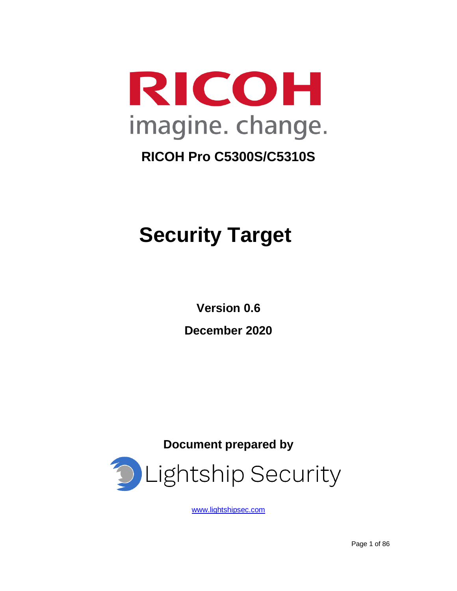

# **Security Target**

**Version 0.6 December 2020**

**Document prepared by**



[www.lightshipsec.com](http://www.arkinfosec.net/)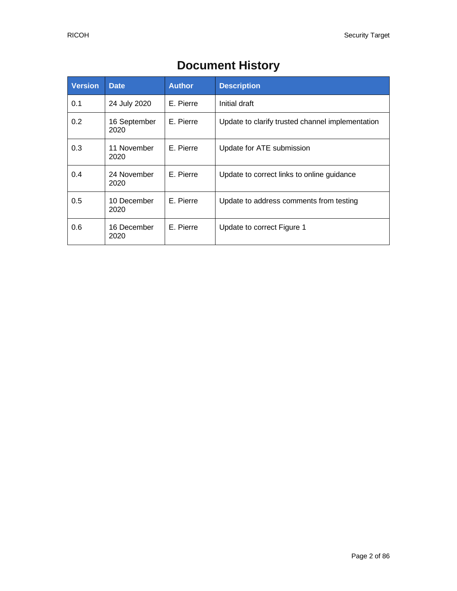| <b>Version</b> | <b>Date</b>          | <b>Author</b> | <b>Description</b>                               |
|----------------|----------------------|---------------|--------------------------------------------------|
| 0.1            | 24 July 2020         | E. Pierre     | Initial draft                                    |
| 0.2            | 16 September<br>2020 | E. Pierre     | Update to clarify trusted channel implementation |
| 0.3            | 11 November<br>2020  | E. Pierre     | Update for ATE submission                        |
| 0.4            | 24 November<br>2020  | E. Pierre     | Update to correct links to online guidance       |
| 0.5            | 10 December<br>2020  | E. Pierre     | Update to address comments from testing          |
| 0.6            | 16 December<br>2020  | E. Pierre     | Update to correct Figure 1                       |

## **Document History**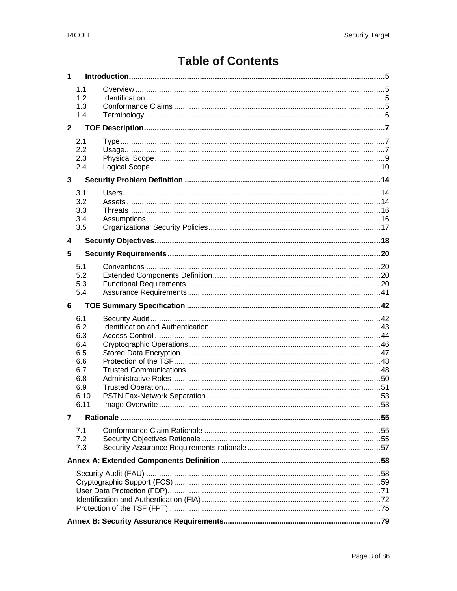## **Table of Contents**

| 1                       |            |  |
|-------------------------|------------|--|
|                         | 1.1        |  |
|                         | 1.2        |  |
|                         | 1.3        |  |
|                         | 1.4        |  |
| $\mathbf{2}$            |            |  |
|                         |            |  |
|                         | 2.1        |  |
|                         | 2.2        |  |
|                         | 2.3        |  |
|                         | 2.4        |  |
| $\overline{\mathbf{3}}$ |            |  |
|                         | 3.1        |  |
|                         | 3.2        |  |
|                         | 3.3        |  |
|                         | 3.4        |  |
|                         | 3.5        |  |
| 4                       |            |  |
| 5                       |            |  |
|                         | 5.1        |  |
|                         | 5.2        |  |
|                         | 5.3        |  |
|                         | 5.4        |  |
|                         |            |  |
|                         |            |  |
| 6                       |            |  |
|                         | 6.1        |  |
|                         | 6.2        |  |
|                         | 6.3        |  |
|                         | 6.4        |  |
|                         | 6.5<br>6.6 |  |
|                         | 6.7        |  |
|                         | 6.8        |  |
|                         | 6.9        |  |
|                         | 6.10       |  |
|                         | 6.11       |  |
| 7                       |            |  |
|                         | 7.1        |  |
|                         | 7.2        |  |
|                         | 7.3        |  |
|                         |            |  |
|                         |            |  |
|                         |            |  |
|                         |            |  |
|                         |            |  |
|                         |            |  |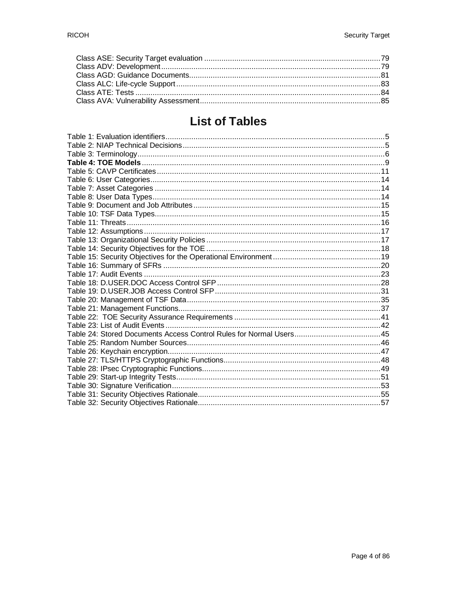## **List of Tables**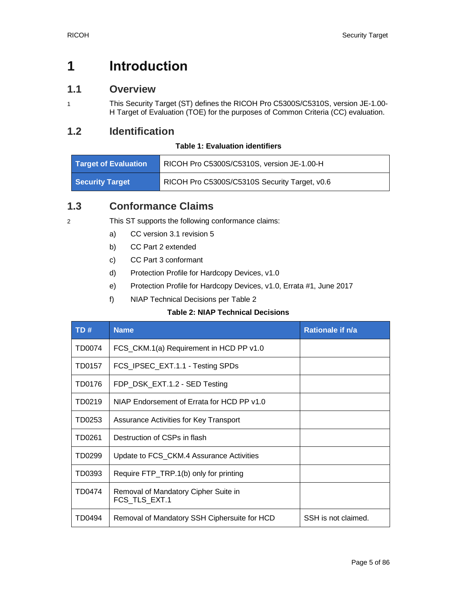## <span id="page-4-0"></span>**1 Introduction**

### <span id="page-4-1"></span>**1.1 Overview**

1 This Security Target (ST) defines the RICOH Pro C5300S/C5310S, version JE-1.00- H Target of Evaluation (TOE) for the purposes of Common Criteria (CC) evaluation.

### <span id="page-4-4"></span><span id="page-4-2"></span>**1.2 Identification**

#### **Table 1: Evaluation identifiers**

| <b>Target of Evaluation</b> | RICOH Pro C5300S/C5310S, version JE-1.00-H    |
|-----------------------------|-----------------------------------------------|
| Security Target             | RICOH Pro C5300S/C5310S Security Target, v0.6 |

## <span id="page-4-3"></span>**1.3 Conformance Claims**

- 2 This ST supports the following conformance claims:
	- a) CC version 3.1 revision 5
	- b) CC Part 2 extended
	- c) CC Part 3 conformant
	- d) Protection Profile for Hardcopy Devices, v1.0
	- e) Protection Profile for Hardcopy Devices, v1.0, Errata #1, June 2017
	- f) NIAP Technical Decisions per [Table 2](#page-4-5)

#### **Table 2: NIAP Technical Decisions**

<span id="page-4-5"></span>

| TD#    | <b>Name</b>                                           | Rationale if n/a    |
|--------|-------------------------------------------------------|---------------------|
| TD0074 | FCS_CKM.1(a) Requirement in HCD PP v1.0               |                     |
| TD0157 | FCS_IPSEC_EXT.1.1 - Testing SPDs                      |                     |
| TD0176 | FDP_DSK_EXT.1.2 - SED Testing                         |                     |
| TD0219 | NIAP Endorsement of Errata for HCD PP v1.0            |                     |
| TD0253 | Assurance Activities for Key Transport                |                     |
| TD0261 | Destruction of CSPs in flash                          |                     |
| TD0299 | Update to FCS_CKM.4 Assurance Activities              |                     |
| TD0393 | Require FTP_TRP.1(b) only for printing                |                     |
| TD0474 | Removal of Mandatory Cipher Suite in<br>FCS TLS EXT.1 |                     |
| TD0494 | Removal of Mandatory SSH Ciphersuite for HCD          | SSH is not claimed. |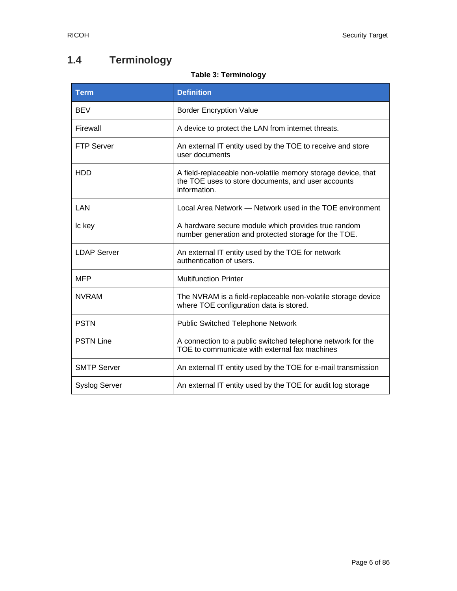## <span id="page-5-0"></span>**1.4 Terminology**

### **Table 3: Terminology**

<span id="page-5-1"></span>

| <b>Term</b>          | <b>Definition</b>                                                                                                                  |  |
|----------------------|------------------------------------------------------------------------------------------------------------------------------------|--|
| <b>BEV</b>           | <b>Border Encryption Value</b>                                                                                                     |  |
| Firewall             | A device to protect the LAN from internet threats.                                                                                 |  |
| <b>FTP Server</b>    | An external IT entity used by the TOE to receive and store<br>user documents                                                       |  |
| <b>HDD</b>           | A field-replaceable non-volatile memory storage device, that<br>the TOE uses to store documents, and user accounts<br>information. |  |
| LAN                  | Local Area Network — Network used in the TOE environment                                                                           |  |
| Ic key               | A hardware secure module which provides true random<br>number generation and protected storage for the TOE.                        |  |
| <b>LDAP Server</b>   | An external IT entity used by the TOE for network<br>authentication of users.                                                      |  |
| <b>MFP</b>           | <b>Multifunction Printer</b>                                                                                                       |  |
| <b>NVRAM</b>         | The NVRAM is a field-replaceable non-volatile storage device<br>where TOE configuration data is stored.                            |  |
| <b>PSTN</b>          | <b>Public Switched Telephone Network</b>                                                                                           |  |
| <b>PSTN Line</b>     | A connection to a public switched telephone network for the<br>TOE to communicate with external fax machines                       |  |
| <b>SMTP Server</b>   | An external IT entity used by the TOE for e-mail transmission                                                                      |  |
| <b>Syslog Server</b> | An external IT entity used by the TOE for audit log storage                                                                        |  |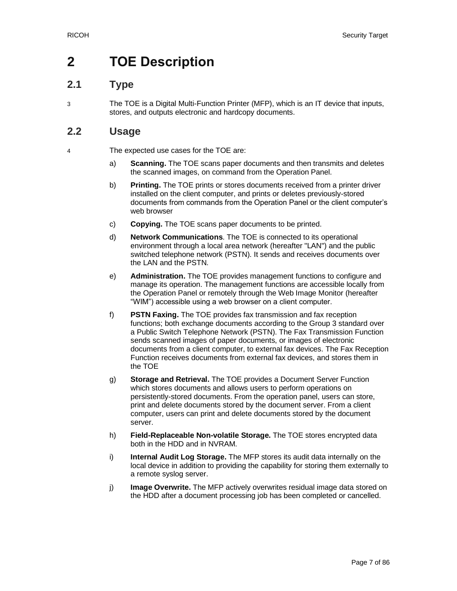## <span id="page-6-0"></span>**2 TOE Description**

## <span id="page-6-1"></span>**2.1 Type**

3 The TOE is a Digital Multi-Function Printer (MFP), which is an IT device that inputs, stores, and outputs electronic and hardcopy documents.

## <span id="page-6-2"></span>**2.2 Usage**

4 The expected use cases for the TOE are:

- a) **Scanning.** The TOE scans paper documents and then transmits and deletes the scanned images, on command from the Operation Panel.
- b) **Printing.** The TOE prints or stores documents received from a printer driver installed on the client computer, and prints or deletes previously-stored documents from commands from the Operation Panel or the client computer's web browser
- c) **Copying.** The TOE scans paper documents to be printed.
- d) **Network Communications**. The TOE is connected to its operational environment through a local area network (hereafter "LAN") and the public switched telephone network (PSTN). It sends and receives documents over the LAN and the PSTN.
- e) **Administration.** The TOE provides management functions to configure and manage its operation. The management functions are accessible locally from the Operation Panel or remotely through the Web Image Monitor (hereafter "WIM") accessible using a web browser on a client computer.
- f) **PSTN Faxing.** The TOE provides fax transmission and fax reception functions; both exchange documents according to the Group 3 standard over a Public Switch Telephone Network (PSTN). The Fax Transmission Function sends scanned images of paper documents, or images of electronic documents from a client computer, to external fax devices. The Fax Reception Function receives documents from external fax devices, and stores them in the TOE
- g) **Storage and Retrieval.** The TOE provides a Document Server Function which stores documents and allows users to perform operations on persistently-stored documents. From the operation panel, users can store, print and delete documents stored by the document server. From a client computer, users can print and delete documents stored by the document server.
- h) **Field-Replaceable Non-volatile Storage.** The TOE stores encrypted data both in the HDD and in NVRAM.
- i) **Internal Audit Log Storage.** The MFP stores its audit data internally on the local device in addition to providing the capability for storing them externally to a remote syslog server.
- j) **Image Overwrite.** The MFP actively overwrites residual image data stored on the HDD after a document processing job has been completed or cancelled.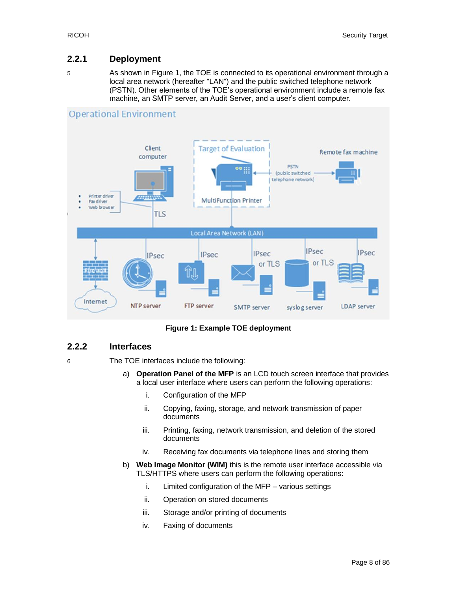#### **2.2.1 Deployment**

5 As shown in Figure 1, the TOE is connected to its operational environment through a local area network (hereafter "LAN") and the public switched telephone network (PSTN). Other elements of the TOE's operational environment include a remote fax machine, an SMTP server, an Audit Server, and a user's client computer.



**Figure 1: Example TOE deployment**

#### **2.2.2 Interfaces**

6 The TOE interfaces include the following:

- a) **Operation Panel of the MFP** is an LCD touch screen interface that provides a local user interface where users can perform the following operations:
	- i. Configuration of the MFP
	- ii. Copying, faxing, storage, and network transmission of paper documents
	- iii. Printing, faxing, network transmission, and deletion of the stored documents
	- iv. Receiving fax documents via telephone lines and storing them
- b) **Web Image Monitor (WIM)** this is the remote user interface accessible via TLS/HTTPS where users can perform the following operations:
	- i. Limited configuration of the MFP various settings
	- ii. Operation on stored documents
	- iii. Storage and/or printing of documents
	- iv. Faxing of documents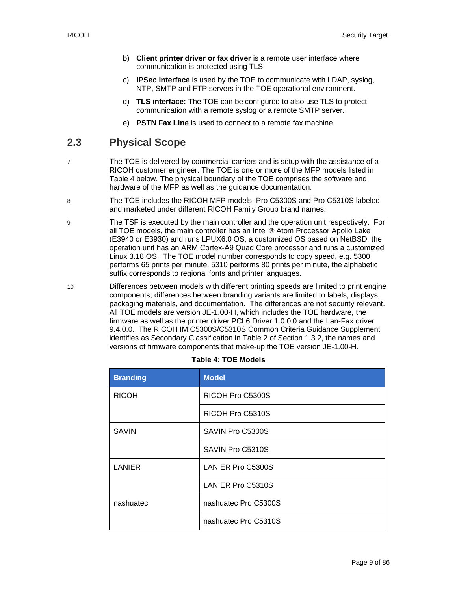- b) **Client printer driver or fax driver** is a remote user interface where communication is protected using TLS.
- c) **IPSec interface** is used by the TOE to communicate with LDAP, syslog, NTP, SMTP and FTP servers in the TOE operational environment.
- d) **TLS interface:** The TOE can be configured to also use TLS to protect communication with a remote syslog or a remote SMTP server.
- e) **PSTN Fax Line** is used to connect to a remote fax machine.

## <span id="page-8-0"></span>**2.3 Physical Scope**

- 7 The TOE is delivered by commercial carriers and is setup with the assistance of a RICOH customer engineer. The TOE is one or more of the MFP models listed in Table 4 below. The physical boundary of the TOE comprises the software and hardware of the MFP as well as the guidance documentation.
- 8 The TOE includes the RICOH MFP models: Pro C5300S and Pro C5310S labeled and marketed under different RICOH Family Group brand names.
- 9 The TSF is executed by the main controller and the operation unit respectively. For all TOE models, the main controller has an Intel ® Atom Processor Apollo Lake (E3940 or E3930) and runs LPUX6.0 OS, a customized OS based on NetBSD; the operation unit has an ARM Cortex-A9 Quad Core processor and runs a customized Linux 3.18 OS. The TOE model number corresponds to copy speed, e.g. 5300 performs 65 prints per minute, 5310 performs 80 prints per minute, the alphabetic suffix corresponds to regional fonts and printer languages.
- 10 Differences between models with different printing speeds are limited to print engine components; differences between branding variants are limited to labels, displays, packaging materials, and documentation. The differences are not security relevant. All TOE models are version JE-1.00-H, which includes the TOE hardware, the firmware as well as the printer driver PCL6 Driver 1.0.0.0 and the Lan-Fax driver 9.4.0.0. The RICOH IM C5300S/C5310S Common Criteria Guidance Supplement identifies as Secondary Classification in Table 2 of Section 1.3.2, the names and versions of firmware components that make-up the TOE version JE-1.00-H.

<span id="page-8-1"></span>

| <b>Branding</b> | <b>Model</b>             |  |
|-----------------|--------------------------|--|
| <b>RICOH</b>    | RICOH Pro C5300S         |  |
|                 | RICOH Pro C5310S         |  |
| <b>SAVIN</b>    | SAVIN Pro C5300S         |  |
|                 | SAVIN Pro C5310S         |  |
| <b>LANIER</b>   | <b>LANIER Pro C5300S</b> |  |
|                 | <b>LANIER Pro C5310S</b> |  |
| nashuatec       | nashuatec Pro C5300S     |  |
|                 | nashuatec Pro C5310S     |  |

#### **Table 4: TOE Models**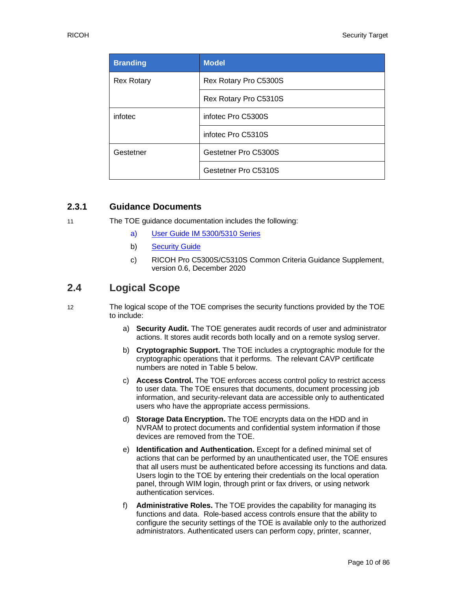| <b>Branding</b>   | <b>Model</b>          |  |
|-------------------|-----------------------|--|
| <b>Rex Rotary</b> | Rex Rotary Pro C5300S |  |
|                   | Rex Rotary Pro C5310S |  |
| infotec           | infotec Pro C5300S    |  |
|                   | infotec Pro C5310S    |  |
| Gestetner         | Gestetner Pro C5300S  |  |
|                   | Gestetner Pro C5310S  |  |

#### **2.3.1 Guidance Documents**

- 11 The TOE guidance documentation includes the following:
	- a) [User Guide IM 5300/5310](https://support.ricoh.com/services/device/ccmanual/PRO_C5300_C5310/en-GB/booklist/int/index_book.htm) Series
	- b) [Security Guide](https://support.ricoh.com/services/device/ccmanual/PRO_C5300_C5310/SecurityReference/en-GB/booklist/int/index_book.htm)
	- c) RICOH Pro C5300S/C5310S Common Criteria Guidance Supplement, version 0.6, December 2020

## <span id="page-9-0"></span>**2.4 Logical Scope**

- 12 The logical scope of the TOE comprises the security functions provided by the TOE to include:
	- a) **Security Audit.** The TOE generates audit records of user and administrator actions. It stores audit records both locally and on a remote syslog server.
	- b) **Cryptographic Support.** The TOE includes a cryptographic module for the cryptographic operations that it performs. The relevant CAVP certificate numbers are noted in Table 5 below.
	- c) **Access Control.** The TOE enforces access control policy to restrict access to user data. The TOE ensures that documents, document processing job information, and security-relevant data are accessible only to authenticated users who have the appropriate access permissions.
	- d) **Storage Data Encryption.** The TOE encrypts data on the HDD and in NVRAM to protect documents and confidential system information if those devices are removed from the TOE.
	- e) **Identification and Authentication.** Except for a defined minimal set of actions that can be performed by an unauthenticated user, the TOE ensures that all users must be authenticated before accessing its functions and data. Users login to the TOE by entering their credentials on the local operation panel, through WIM login, through print or fax drivers, or using network authentication services.
	- f) **Administrative Roles.** The TOE provides the capability for managing its functions and data. Role-based access controls ensure that the ability to configure the security settings of the TOE is available only to the authorized administrators. Authenticated users can perform copy, printer, scanner,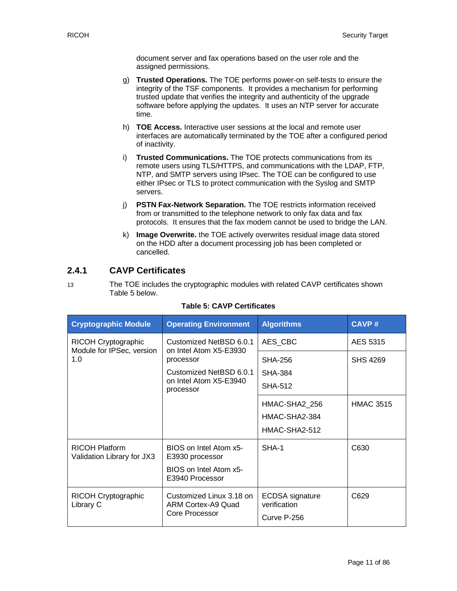document server and fax operations based on the user role and the assigned permissions.

- g) **Trusted Operations.** The TOE performs power-on self-tests to ensure the integrity of the TSF components. It provides a mechanism for performing trusted update that verifies the integrity and authenticity of the upgrade software before applying the updates. It uses an NTP server for accurate time.
- h) **TOE Access.** Interactive user sessions at the local and remote user interfaces are automatically terminated by the TOE after a configured period of inactivity.
- i) **Trusted Communications.** The TOE protects communications from its remote users using TLS/HTTPS, and communications with the LDAP, FTP, NTP, and SMTP servers using IPsec. The TOE can be configured to use either IPsec or TLS to protect communication with the Syslog and SMTP servers.
- j) **PSTN Fax-Network Separation.** The TOE restricts information received from or transmitted to the telephone network to only fax data and fax protocols. It ensures that the fax modem cannot be used to bridge the LAN.
- k) **Image Overwrite.** the TOE actively overwrites residual image data stored on the HDD after a document processing job has been completed or cancelled.

#### **2.4.1 CAVP Certificates**

[Table 5](#page-10-0) below.

13 The TOE includes the cryptographic modules with related CAVP certificates shown

<span id="page-10-0"></span>

| <b>Cryptographic Module</b>                         | <b>Operating Environment</b>                                                           | <b>Algorithms</b>                                     | <b>CAVP#</b>     |
|-----------------------------------------------------|----------------------------------------------------------------------------------------|-------------------------------------------------------|------------------|
| RICOH Cryptographic<br>Module for IPSec, version    | Customized NetBSD 6.0.1<br>on Intel Atom X5-E3930<br>processor                         | AES CBC                                               | AES 5315         |
| 1.0                                                 |                                                                                        | SHA-256                                               | <b>SHS 4269</b>  |
|                                                     | Customized NetBSD 6.0.1<br>on Intel Atom X5-E3940<br>processor                         | <b>SHA-384</b>                                        |                  |
|                                                     |                                                                                        | <b>SHA-512</b>                                        |                  |
|                                                     |                                                                                        | HMAC-SHA2 256                                         | <b>HMAC 3515</b> |
|                                                     |                                                                                        | HMAC-SHA2-384                                         |                  |
|                                                     |                                                                                        | HMAC-SHA2-512                                         |                  |
| <b>RICOH Platform</b><br>Validation Library for JX3 | BIOS on Intel Atom x5-<br>E3930 processor<br>BIOS on Intel Atom x5-<br>E3940 Processor | SHA-1                                                 | C630             |
| RICOH Cryptographic<br>Library C                    | Customized Linux 3.18 on<br>ARM Cortex-A9 Quad<br><b>Core Processor</b>                | <b>ECDSA</b> signature<br>verification<br>Curve P-256 | C629             |

#### **Table 5: CAVP Certificates**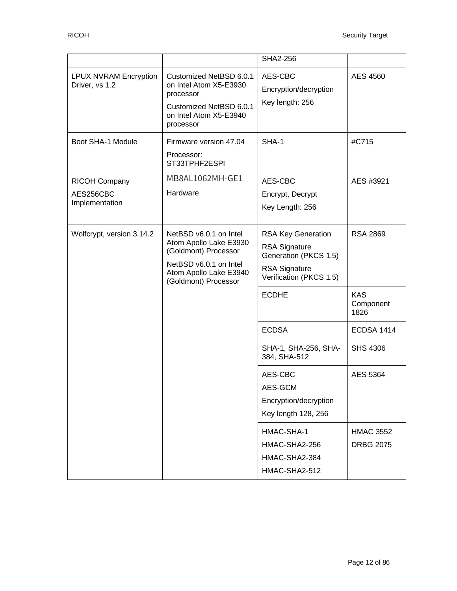|                                                     |                                                                                                                                                      | SHA2-256                                                                                                                      |                                      |
|-----------------------------------------------------|------------------------------------------------------------------------------------------------------------------------------------------------------|-------------------------------------------------------------------------------------------------------------------------------|--------------------------------------|
| <b>LPUX NVRAM Encryption</b><br>Driver, vs 1.2      | Customized NetBSD 6.0.1<br>on Intel Atom X5-E3930<br>processor<br>Customized NetBSD 6.0.1<br>on Intel Atom X5-E3940<br>processor                     | AES-CBC<br>Encryption/decryption<br>Key length: 256                                                                           | <b>AES 4560</b>                      |
| Boot SHA-1 Module                                   | Firmware version 47.04<br>Processor:<br>ST33TPHF2ESPI                                                                                                | SHA-1                                                                                                                         | #C715                                |
| <b>RICOH Company</b><br>AES256CBC<br>Implementation | MB8AL1062MH-GE1<br>Hardware                                                                                                                          | AES-CBC<br>Encrypt, Decrypt<br>Key Length: 256                                                                                | AES #3921                            |
| Wolfcrypt, version 3.14.2                           | NetBSD v6.0.1 on Intel<br>Atom Apollo Lake E3930<br>(Goldmont) Processor<br>NetBSD v6.0.1 on Intel<br>Atom Apollo Lake E3940<br>(Goldmont) Processor | <b>RSA Key Generation</b><br><b>RSA Signature</b><br>Generation (PKCS 1.5)<br><b>RSA Signature</b><br>Verification (PKCS 1.5) | <b>RSA 2869</b>                      |
|                                                     |                                                                                                                                                      | <b>ECDHE</b>                                                                                                                  | <b>KAS</b><br>Component<br>1826      |
|                                                     |                                                                                                                                                      | <b>ECDSA</b>                                                                                                                  | <b>ECDSA 1414</b>                    |
|                                                     |                                                                                                                                                      | SHA-1, SHA-256, SHA-<br>384, SHA-512                                                                                          | <b>SHS 4306</b>                      |
|                                                     |                                                                                                                                                      | AES-CBC<br>AES-GCM<br>Encryption/decryption<br>Key length 128, 256                                                            | AES 5364                             |
|                                                     |                                                                                                                                                      | HMAC-SHA-1<br>HMAC-SHA2-256<br>HMAC-SHA2-384<br>HMAC-SHA2-512                                                                 | <b>HMAC 3552</b><br><b>DRBG 2075</b> |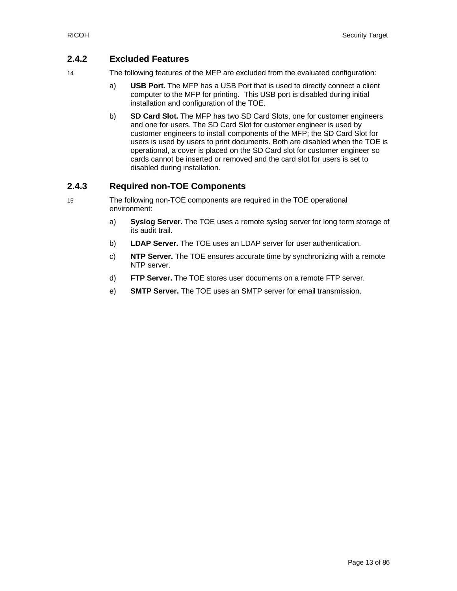#### **2.4.2 Excluded Features**

- 14 The following features of the MFP are excluded from the evaluated configuration:
	- a) **USB Port.** The MFP has a USB Port that is used to directly connect a client computer to the MFP for printing. This USB port is disabled during initial installation and configuration of the TOE.
	- b) **SD Card Slot.** The MFP has two SD Card Slots, one for customer engineers and one for users. The SD Card Slot for customer engineer is used by customer engineers to install components of the MFP; the SD Card Slot for users is used by users to print documents. Both are disabled when the TOE is operational, a cover is placed on the SD Card slot for customer engineer so cards cannot be inserted or removed and the card slot for users is set to disabled during installation.

#### **2.4.3 Required non-TOE Components**

- 15 The following non-TOE components are required in the TOE operational environment:
	- a) **Syslog Server.** The TOE uses a remote syslog server for long term storage of its audit trail.
	- b) **LDAP Server.** The TOE uses an LDAP server for user authentication.
	- c) **NTP Server.** The TOE ensures accurate time by synchronizing with a remote NTP server.
	- d) **FTP Server.** The TOE stores user documents on a remote FTP server.
	- e) **SMTP Server.** The TOE uses an SMTP server for email transmission.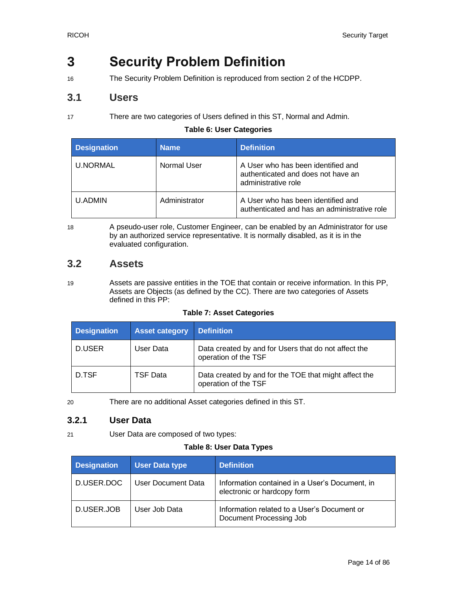## <span id="page-13-0"></span>**3 Security Problem Definition**

16 The Security Problem Definition is reproduced from section 2 of the HCDPP.

### <span id="page-13-1"></span>**3.1 Users**

17 There are two categories of Users defined in this ST, Normal and Admin.

#### **Table 6: User Categories**

<span id="page-13-3"></span>

| <b>Designation</b> | <b>Name</b>   | <b>Definition</b>                                                                               |
|--------------------|---------------|-------------------------------------------------------------------------------------------------|
| <b>U.NORMAL</b>    | Normal User   | A User who has been identified and<br>authenticated and does not have an<br>administrative role |
| U.ADMIN            | Administrator | A User who has been identified and<br>authenticated and has an administrative role              |

18 A pseudo-user role, Customer Engineer, can be enabled by an Administrator for use by an authorized service representative. It is normally disabled, as it is in the evaluated configuration.

## <span id="page-13-2"></span>**3.2 Assets**

19 Assets are passive entities in the TOE that contain or receive information. In this PP, Assets are Objects (as defined by the CC). There are two categories of Assets defined in this PP:

#### **Table 7: Asset Categories**

<span id="page-13-4"></span>

| <b>Designation</b> | <b>Asset category</b> | <b>Definition</b>                                                             |
|--------------------|-----------------------|-------------------------------------------------------------------------------|
| D.USER             | User Data             | Data created by and for Users that do not affect the<br>operation of the TSF  |
| D.TSF              | <b>TSF Data</b>       | Data created by and for the TOE that might affect the<br>operation of the TSF |

20 There are no additional Asset categories defined in this ST.

#### **3.2.1 User Data**

<span id="page-13-5"></span>21 User Data are composed of two types:

#### **Table 8: User Data Types**

| <b>Designation</b> | <b>User Data type</b>     | <b>Definition</b>                                                             |
|--------------------|---------------------------|-------------------------------------------------------------------------------|
| D.USER.DOC         | <b>User Document Data</b> | Information contained in a User's Document, in<br>electronic or hardcopy form |
| D.USER.JOB         | User Job Data             | Information related to a User's Document or<br>Document Processing Job        |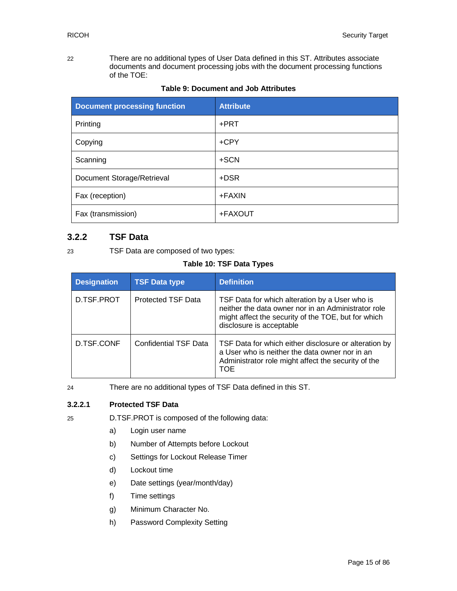22 There are no additional types of User Data defined in this ST. Attributes associate documents and document processing jobs with the document processing functions of the TOE:

<span id="page-14-0"></span>

| <b>Document processing function</b> | <b>Attribute</b> |
|-------------------------------------|------------------|
| Printing                            | +PRT             |
| Copying                             | $+$ CPY          |
| Scanning                            | +SCN             |
| Document Storage/Retrieval          | +DSR             |
| Fax (reception)                     | $+FAXIN$         |
| Fax (transmission)                  | +FAXOUT          |

|  | Table 9: Document and Job Attributes |  |  |
|--|--------------------------------------|--|--|
|--|--------------------------------------|--|--|

#### **3.2.2 TSF Data**

<span id="page-14-1"></span>

23 TSF Data are composed of two types:

#### **Table 10: TSF Data Types**

| <b>Designation</b> | <b>TSF Data type</b>         | <b>Definition</b>                                                                                                                                                                        |
|--------------------|------------------------------|------------------------------------------------------------------------------------------------------------------------------------------------------------------------------------------|
| D.TSF.PROT         | <b>Protected TSF Data</b>    | TSF Data for which alteration by a User who is<br>neither the data owner nor in an Administrator role<br>might affect the security of the TOE, but for which<br>disclosure is acceptable |
| D.TSF.CONF         | <b>Confidential TSF Data</b> | TSF Data for which either disclosure or alteration by<br>a User who is neither the data owner nor in an<br>Administrator role might affect the security of the<br>TOE                    |

24 There are no additional types of TSF Data defined in this ST.

#### **3.2.2.1 Protected TSF Data**

- 25 D.TSF.PROT is composed of the following data:
	- a) Login user name
	- b) Number of Attempts before Lockout
	- c) Settings for Lockout Release Timer
	- d) Lockout time
	- e) Date settings (year/month/day)
	- f) Time settings
	- g) Minimum Character No.
	- h) Password Complexity Setting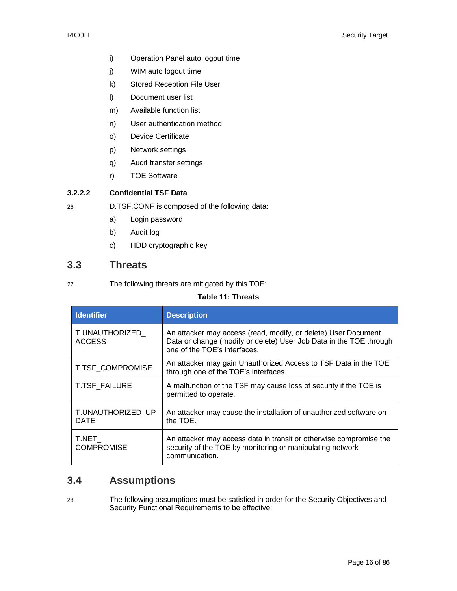- i) Operation Panel auto logout time
- j) WIM auto logout time
- k) Stored Reception File User
- l) Document user list
- m) Available function list
- n) User authentication method
- o) Device Certificate
- p) Network settings
- q) Audit transfer settings
- r) TOE Software

#### **3.2.2.2 Confidential TSF Data**

26 D.TSF.CONF is composed of the following data:

- a) Login password
- b) Audit log
- c) HDD cryptographic key

### <span id="page-15-0"></span>**3.3 Threats**

<span id="page-15-2"></span>27 The following threats are mitigated by this TOE:

#### **Table 11: Threats**

| <b>Identifier</b>                | <b>Description</b>                                                                                                                                                   |
|----------------------------------|----------------------------------------------------------------------------------------------------------------------------------------------------------------------|
| T.UNAUTHORIZED_<br><b>ACCESS</b> | An attacker may access (read, modify, or delete) User Document<br>Data or change (modify or delete) User Job Data in the TOE through<br>one of the TOE's interfaces. |
| T.TSF COMPROMISE                 | An attacker may gain Unauthorized Access to TSF Data in the TOE<br>through one of the TOE's interfaces.                                                              |
| T.TSF_FAILURE                    | A malfunction of the TSF may cause loss of security if the TOE is<br>permitted to operate.                                                                           |
| T.UNAUTHORIZED UP<br><b>DATE</b> | An attacker may cause the installation of unauthorized software on<br>the TOE.                                                                                       |
| T.NET<br><b>COMPROMISE</b>       | An attacker may access data in transit or otherwise compromise the<br>security of the TOE by monitoring or manipulating network<br>communication.                    |

### <span id="page-15-1"></span>**3.4 Assumptions**

28 The following assumptions must be satisfied in order for the Security Objectives and Security Functional Requirements to be effective: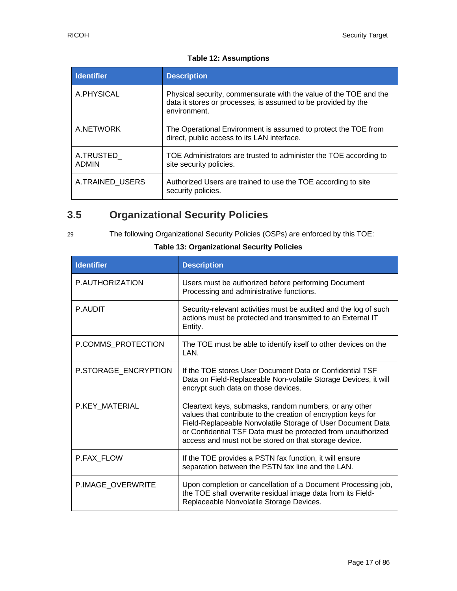#### **Table 12: Assumptions**

<span id="page-16-1"></span>

| <b>Identifier</b>         | <b>Description</b>                                                                                                                                 |
|---------------------------|----------------------------------------------------------------------------------------------------------------------------------------------------|
| A.PHYSICAL                | Physical security, commensurate with the value of the TOE and the<br>data it stores or processes, is assumed to be provided by the<br>environment. |
| A.NETWORK                 | The Operational Environment is assumed to protect the TOE from<br>direct, public access to its LAN interface.                                      |
| A.TRUSTED<br><b>ADMIN</b> | TOE Administrators are trusted to administer the TOE according to<br>site security policies.                                                       |
| A.TRAINED USERS           | Authorized Users are trained to use the TOE according to site<br>security policies.                                                                |

## <span id="page-16-0"></span>**3.5 Organizational Security Policies**

29 The following Organizational Security Policies (OSPs) are enforced by this TOE:

<span id="page-16-2"></span>

| <b>Identifier</b>    | <b>Description</b>                                                                                                                                                                                                                                                                                              |
|----------------------|-----------------------------------------------------------------------------------------------------------------------------------------------------------------------------------------------------------------------------------------------------------------------------------------------------------------|
| P.AUTHORIZATION      | Users must be authorized before performing Document<br>Processing and administrative functions.                                                                                                                                                                                                                 |
| P.AUDIT              | Security-relevant activities must be audited and the log of such<br>actions must be protected and transmitted to an External IT<br>Entity.                                                                                                                                                                      |
| P.COMMS PROTECTION   | The TOE must be able to identify itself to other devices on the<br>I AN                                                                                                                                                                                                                                         |
| P.STORAGE_ENCRYPTION | If the TOE stores User Document Data or Confidential TSF<br>Data on Field-Replaceable Non-volatile Storage Devices, it will<br>encrypt such data on those devices.                                                                                                                                              |
| P.KEY MATERIAL       | Cleartext keys, submasks, random numbers, or any other<br>values that contribute to the creation of encryption keys for<br>Field-Replaceable Nonvolatile Storage of User Document Data<br>or Confidential TSF Data must be protected from unauthorized<br>access and must not be stored on that storage device. |
| P.FAX FLOW           | If the TOE provides a PSTN fax function, it will ensure<br>separation between the PSTN fax line and the LAN.                                                                                                                                                                                                    |
| P.IMAGE_OVERWRITE    | Upon completion or cancellation of a Document Processing job,<br>the TOE shall overwrite residual image data from its Field-<br>Replaceable Nonvolatile Storage Devices.                                                                                                                                        |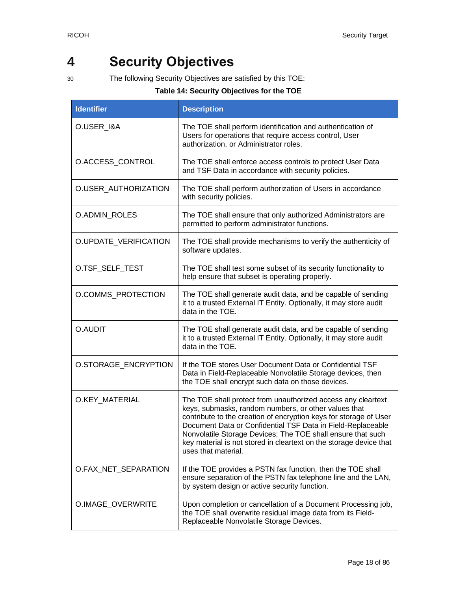## <span id="page-17-0"></span>**4 Security Objectives**

<span id="page-17-1"></span>

30 The following Security Objectives are satisfied by this TOE:

| <b>Identifier</b>     | <b>Description</b>                                                                                                                                                                                                                                                                                                                                                                                                   |
|-----------------------|----------------------------------------------------------------------------------------------------------------------------------------------------------------------------------------------------------------------------------------------------------------------------------------------------------------------------------------------------------------------------------------------------------------------|
| O.USER_I&A            | The TOE shall perform identification and authentication of<br>Users for operations that require access control, User<br>authorization, or Administrator roles.                                                                                                                                                                                                                                                       |
| O.ACCESS_CONTROL      | The TOE shall enforce access controls to protect User Data<br>and TSF Data in accordance with security policies.                                                                                                                                                                                                                                                                                                     |
| O.USER_AUTHORIZATION  | The TOE shall perform authorization of Users in accordance<br>with security policies.                                                                                                                                                                                                                                                                                                                                |
| O.ADMIN_ROLES         | The TOE shall ensure that only authorized Administrators are<br>permitted to perform administrator functions.                                                                                                                                                                                                                                                                                                        |
| O.UPDATE_VERIFICATION | The TOE shall provide mechanisms to verify the authenticity of<br>software updates.                                                                                                                                                                                                                                                                                                                                  |
| O.TSF_SELF_TEST       | The TOE shall test some subset of its security functionality to<br>help ensure that subset is operating properly.                                                                                                                                                                                                                                                                                                    |
| O.COMMS_PROTECTION    | The TOE shall generate audit data, and be capable of sending<br>it to a trusted External IT Entity. Optionally, it may store audit<br>data in the TOE.                                                                                                                                                                                                                                                               |
| O.AUDIT               | The TOE shall generate audit data, and be capable of sending<br>it to a trusted External IT Entity. Optionally, it may store audit<br>data in the TOE.                                                                                                                                                                                                                                                               |
| O.STORAGE_ENCRYPTION  | If the TOE stores User Document Data or Confidential TSF<br>Data in Field-Replaceable Nonvolatile Storage devices, then<br>the TOE shall encrypt such data on those devices.                                                                                                                                                                                                                                         |
| O.KEY_MATERIAL        | The TOE shall protect from unauthorized access any cleartext<br>keys, submasks, random numbers, or other values that<br>contribute to the creation of encryption keys for storage of User<br>Document Data or Confidential TSF Data in Field-Replaceable<br>Nonvolatile Storage Devices; The TOE shall ensure that such<br>key material is not stored in cleartext on the storage device that<br>uses that material. |
| O.FAX NET SEPARATION  | If the TOE provides a PSTN fax function, then the TOE shall<br>ensure separation of the PSTN fax telephone line and the LAN,<br>by system design or active security function.                                                                                                                                                                                                                                        |
| O.IMAGE_OVERWRITE     | Upon completion or cancellation of a Document Processing job,<br>the TOE shall overwrite residual image data from its Field-<br>Replaceable Nonvolatile Storage Devices.                                                                                                                                                                                                                                             |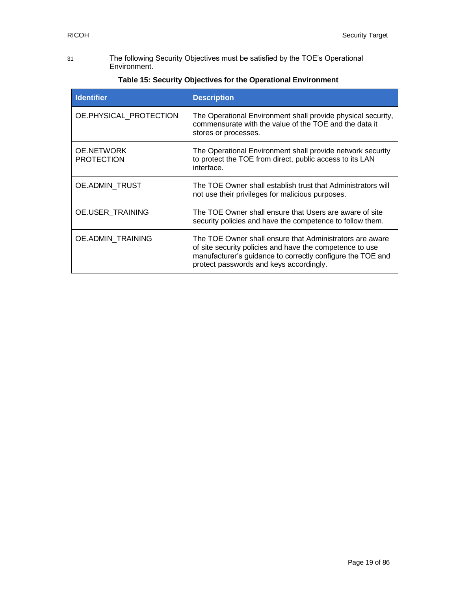31 The following Security Objectives must be satisfied by the TOE's Operational Environment.

<span id="page-18-0"></span>

| <b>Identifier</b>                      | <b>Description</b>                                                                                                                                                                                                            |
|----------------------------------------|-------------------------------------------------------------------------------------------------------------------------------------------------------------------------------------------------------------------------------|
| OE.PHYSICAL PROTECTION                 | The Operational Environment shall provide physical security,<br>commensurate with the value of the TOE and the data it<br>stores or processes.                                                                                |
| <b>OE.NETWORK</b><br><b>PROTECTION</b> | The Operational Environment shall provide network security<br>to protect the TOE from direct, public access to its LAN<br>interface.                                                                                          |
| OE.ADMIN TRUST                         | The TOE Owner shall establish trust that Administrators will<br>not use their privileges for malicious purposes.                                                                                                              |
| <b>OE.USER TRAINING</b>                | The TOE Owner shall ensure that Users are aware of site<br>security policies and have the competence to follow them.                                                                                                          |
| <b>OE.ADMIN TRAINING</b>               | The TOE Owner shall ensure that Administrators are aware<br>of site security policies and have the competence to use<br>manufacturer's guidance to correctly configure the TOE and<br>protect passwords and keys accordingly. |

#### **Table 15: Security Objectives for the Operational Environment**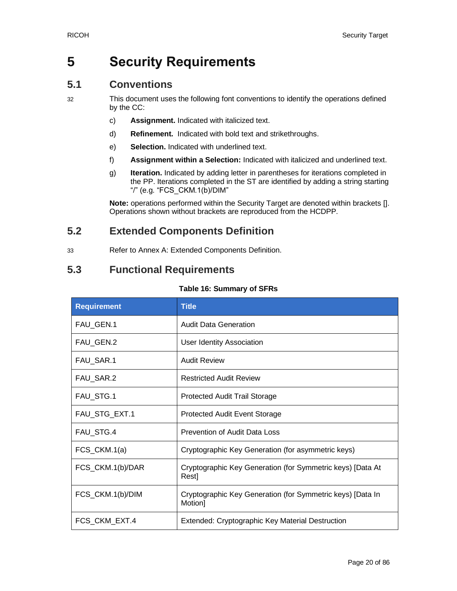## <span id="page-19-0"></span>**5 Security Requirements**

## <span id="page-19-1"></span>**5.1 Conventions**

32 This document uses the following font conventions to identify the operations defined by the CC:

- c) **Assignment.** Indicated with italicized text.
- d) **Refinement.** Indicated with bold text and strikethroughs.
- e) **Selection.** Indicated with underlined text.
- f) **Assignment within a Selection:** Indicated with italicized and underlined text.
- g) **Iteration.** Indicated by adding letter in parentheses for iterations completed in the PP. Iterations completed in the ST are identified by adding a string starting "/" (e.g. "FCS\_CKM.1(b)/DIM"

**Note:** operations performed within the Security Target are denoted within brackets []. Operations shown without brackets are reproduced from the HCDPP.

## <span id="page-19-2"></span>**5.2 Extended Components Definition**

33 Refer to [Annex A: Extended Components Definition.](#page-57-0)

## <span id="page-19-3"></span>**5.3 Functional Requirements**

#### **Table 16: Summary of SFRs**

<span id="page-19-4"></span>

| <b>Requirement</b> | <b>Title</b>                                                          |  |  |  |
|--------------------|-----------------------------------------------------------------------|--|--|--|
| FAU_GEN.1          | <b>Audit Data Generation</b>                                          |  |  |  |
| FAU_GEN.2          | <b>User Identity Association</b>                                      |  |  |  |
| FAU_SAR.1          | <b>Audit Review</b>                                                   |  |  |  |
| FAU_SAR.2          | <b>Restricted Audit Review</b>                                        |  |  |  |
| FAU_STG.1          | Protected Audit Trail Storage                                         |  |  |  |
| FAU_STG_EXT.1      | <b>Protected Audit Event Storage</b>                                  |  |  |  |
| FAU_STG.4          | Prevention of Audit Data Loss                                         |  |  |  |
| FCS_CKM.1(a)       | Cryptographic Key Generation (for asymmetric keys)                    |  |  |  |
| FCS_CKM.1(b)/DAR   | Cryptographic Key Generation (for Symmetric keys) [Data At<br>Rest]   |  |  |  |
| FCS_CKM.1(b)/DIM   | Cryptographic Key Generation (for Symmetric keys) [Data In<br>Motion] |  |  |  |
| FCS_CKM_EXT.4      | Extended: Cryptographic Key Material Destruction                      |  |  |  |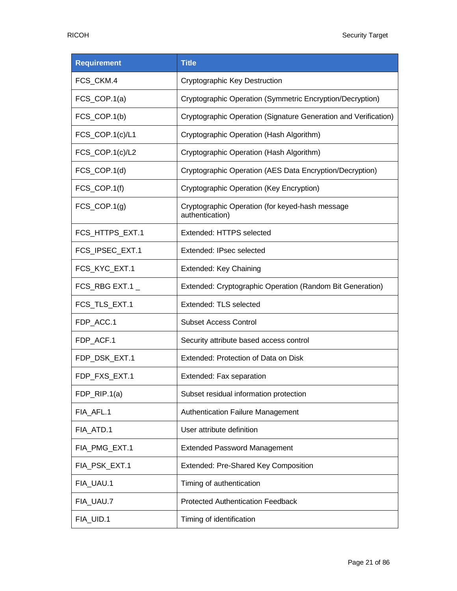| <b>Requirement</b>         | <b>Title</b>                                                       |  |  |  |
|----------------------------|--------------------------------------------------------------------|--|--|--|
| FCS_CKM.4                  | <b>Cryptographic Key Destruction</b>                               |  |  |  |
| $FCS$ <sub>_COP.1(a)</sub> | Cryptographic Operation (Symmetric Encryption/Decryption)          |  |  |  |
| $FCS$ <sub>_COP.1(b)</sub> | Cryptographic Operation (Signature Generation and Verification)    |  |  |  |
| FCS_COP.1(c)/L1            | Cryptographic Operation (Hash Algorithm)                           |  |  |  |
| FCS_COP.1(c)/L2            | Cryptographic Operation (Hash Algorithm)                           |  |  |  |
| $FCS$ <sub>_COP.1(d)</sub> | Cryptographic Operation (AES Data Encryption/Decryption)           |  |  |  |
| FCS_COP.1(f)               | Cryptographic Operation (Key Encryption)                           |  |  |  |
| $FCS$ <sub>_COP.1(g)</sub> | Cryptographic Operation (for keyed-hash message<br>authentication) |  |  |  |
| FCS_HTTPS_EXT.1            | Extended: HTTPS selected                                           |  |  |  |
| FCS_IPSEC_EXT.1            | Extended: IPsec selected                                           |  |  |  |
| FCS_KYC_EXT.1              | Extended: Key Chaining                                             |  |  |  |
| FCS_RBG EXT.1 $\_$         | Extended: Cryptographic Operation (Random Bit Generation)          |  |  |  |
| FCS_TLS_EXT.1              | Extended: TLS selected                                             |  |  |  |
| FDP_ACC.1                  | <b>Subset Access Control</b>                                       |  |  |  |
| FDP_ACF.1                  | Security attribute based access control                            |  |  |  |
| FDP_DSK_EXT.1              | Extended: Protection of Data on Disk                               |  |  |  |
| FDP_FXS_EXT.1              | Extended: Fax separation                                           |  |  |  |
| $FDP_RIP.1(a)$             | Subset residual information protection                             |  |  |  |
| FIA_AFL.1                  | Authentication Failure Management                                  |  |  |  |
| FIA_ATD.1                  | User attribute definition                                          |  |  |  |
| FIA_PMG_EXT.1              | <b>Extended Password Management</b>                                |  |  |  |
| FIA_PSK_EXT.1              | Extended: Pre-Shared Key Composition                               |  |  |  |
| FIA_UAU.1                  | Timing of authentication                                           |  |  |  |
| FIA_UAU.7                  | <b>Protected Authentication Feedback</b>                           |  |  |  |
| FIA_UID.1                  | Timing of identification                                           |  |  |  |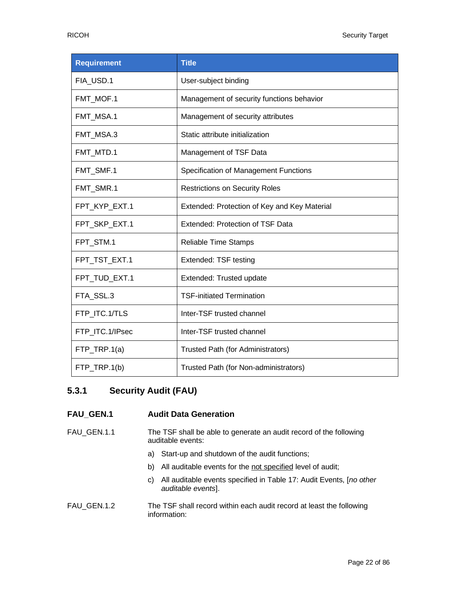| <b>Requirement</b> | <b>Title</b>                                 |  |  |  |
|--------------------|----------------------------------------------|--|--|--|
| FIA_USD.1          | User-subject binding                         |  |  |  |
| FMT MOF.1          | Management of security functions behavior    |  |  |  |
| FMT_MSA.1          | Management of security attributes            |  |  |  |
| FMT_MSA.3          | Static attribute initialization              |  |  |  |
| FMT_MTD.1          | Management of TSF Data                       |  |  |  |
| FMT_SMF.1          | Specification of Management Functions        |  |  |  |
| FMT_SMR.1          | <b>Restrictions on Security Roles</b>        |  |  |  |
| FPT_KYP_EXT.1      | Extended: Protection of Key and Key Material |  |  |  |
| FPT SKP EXT.1      | Extended: Protection of TSF Data             |  |  |  |
| FPT_STM.1          | Reliable Time Stamps                         |  |  |  |
| FPT_TST_EXT.1      | Extended: TSF testing                        |  |  |  |
| FPT_TUD_EXT.1      | Extended: Trusted update                     |  |  |  |
| FTA_SSL.3          | <b>TSF-initiated Termination</b>             |  |  |  |
| FTP_ITC.1/TLS      | Inter-TSF trusted channel                    |  |  |  |
| FTP ITC.1/IPsec    | Inter-TSF trusted channel                    |  |  |  |
| FTP_TRP.1(a)       | Trusted Path (for Administrators)            |  |  |  |
| FTP_TRP.1(b)       | Trusted Path (for Non-administrators)        |  |  |  |

### **5.3.1 Security Audit (FAU)**

#### **FAU\_GEN.1 Audit Data Generation**

- FAU\_GEN.1.1 The TSF shall be able to generate an audit record of the following auditable events:
	- a) Start-up and shutdown of the audit functions;
	- b) All auditable events for the not specified level of audit;
	- c) All auditable events specified in [Table 17: Audit Events,](#page-22-0) [*no other auditable events*].
- FAU\_GEN.1.2 The TSF shall record within each audit record at least the following information: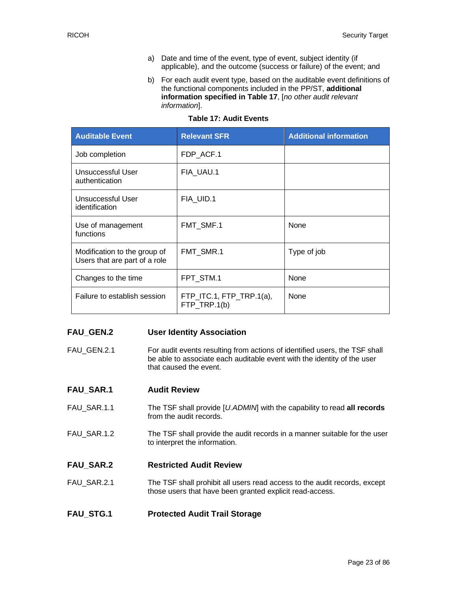- a) Date and time of the event, type of event, subject identity (if applicable), and the outcome (success or failure) of the event; and
- b) For each audit event type, based on the auditable event definitions of the functional components included in the PP/ST, **additional information specified in [Table 17](#page-22-0)**, [*no other audit relevant information*].

<span id="page-22-0"></span>

| <b>Auditable Event</b>                                        | <b>Relevant SFR</b>                          | <b>Additional information</b> |
|---------------------------------------------------------------|----------------------------------------------|-------------------------------|
| Job completion                                                | FDP ACF.1                                    |                               |
| Unsuccessful User<br>authentication                           | FIA_UAU.1                                    |                               |
| Unsuccessful User<br>identification                           | FIA_UID.1                                    |                               |
| Use of management<br>functions                                | FMT_SMF.1                                    | None                          |
| Modification to the group of<br>Users that are part of a role | FMT SMR.1                                    | Type of job                   |
| Changes to the time                                           | FPT STM.1                                    | None                          |
| Failure to establish session                                  | $FTP$ ITC.1, $FTP$ TRP.1(a),<br>FTP TRP.1(b) | None                          |

#### **Table 17: Audit Events**

#### **FAU\_GEN.2 User Identity Association**

FAU GEN.2.1 For audit events resulting from actions of identified users, the TSF shall be able to associate each auditable event with the identity of the user that caused the event.

| <b>FAU SAR.1</b> | <b>Audit Review</b> |
|------------------|---------------------|
|------------------|---------------------|

- FAU\_SAR.1.1 The TSF shall provide [*U.ADMIN*] with the capability to read **all records** from the audit records.
- FAU\_SAR.1.2 The TSF shall provide the audit records in a manner suitable for the user to interpret the information.

#### **FAU\_SAR.2 Restricted Audit Review**

FAU\_SAR.2.1 The TSF shall prohibit all users read access to the audit records, except those users that have been granted explicit read-access.

#### **FAU\_STG.1 Protected Audit Trail Storage**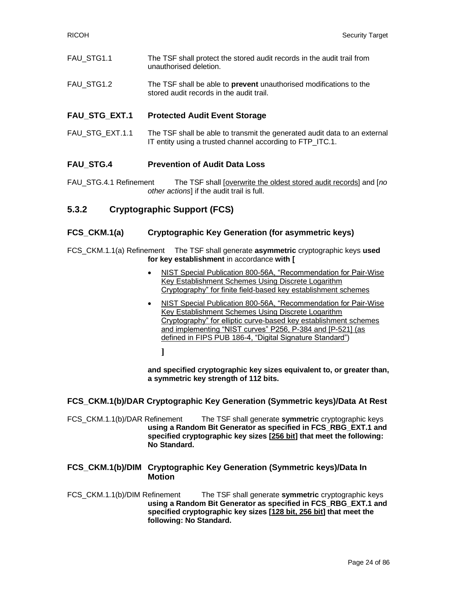- FAU\_STG1.1 The TSF shall protect the stored audit records in the audit trail from unauthorised deletion.
- FAU\_STG1.2 The TSF shall be able to **prevent** unauthorised modifications to the stored audit records in the audit trail.

#### **FAU\_STG\_EXT.1 Protected Audit Event Storage**

FAU\_STG\_EXT.1.1 The TSF shall be able to transmit the generated audit data to an external IT entity using a trusted channel according to FTP ITC.1.

#### **FAU\_STG.4 Prevention of Audit Data Loss**

FAU\_STG.4.1 Refinement The TSF shall [overwrite the oldest stored audit records] and [*no other actions*] if the audit trail is full.

#### **5.3.2 Cryptographic Support (FCS)**

#### **FCS\_CKM.1(a) Cryptographic Key Generation (for asymmetric keys)**

- FCS\_CKM.1.1(a) Refinement The TSF shall generate **asymmetric** cryptographic keys **used for key establishment** in accordance **with [**
	- NIST Special Publication 800-56A, "Recommendation for Pair-Wise Key Establishment Schemes Using Discrete Logarithm Cryptography" for finite field-based key establishment schemes
	- NIST Special Publication 800-56A, "Recommendation for Pair-Wise Key Establishment Schemes Using Discrete Logarithm Cryptography" for elliptic curve-based key establishment schemes and implementing "NIST curves" P256, P-384 and [P-521] (as defined in FIPS PUB 186-4, "Digital Signature Standard")

**]** 

**and specified cryptographic key sizes equivalent to, or greater than, a symmetric key strength of 112 bits.**

#### **FCS\_CKM.1(b)/DAR Cryptographic Key Generation (Symmetric keys)/Data At Rest**

FCS\_CKM.1.1(b)/DAR Refinement The TSF shall generate **symmetric** cryptographic keys **using a Random Bit Generator as specified in FCS\_RBG\_EXT.1 and specified cryptographic key sizes [256 bit] that meet the following: No Standard.**

#### **FCS\_CKM.1(b)/DIM Cryptographic Key Generation (Symmetric keys)/Data In Motion**

FCS\_CKM.1.1(b)/DIM Refinement The TSF shall generate **symmetric** cryptographic keys **using a Random Bit Generator as specified in FCS\_RBG\_EXT.1 and specified cryptographic key sizes [128 bit, 256 bit] that meet the following: No Standard.**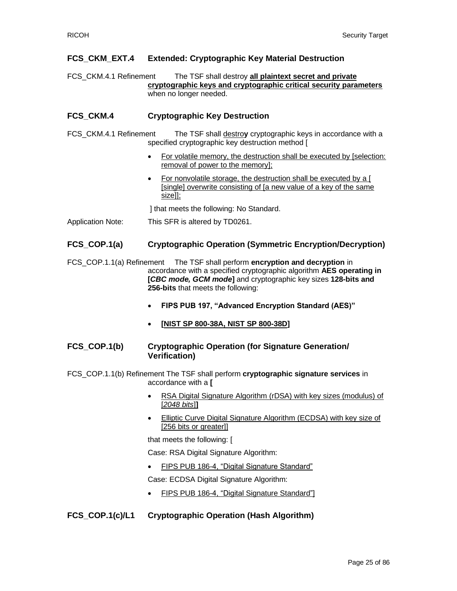#### **FCS\_CKM\_EXT.4 Extended: Cryptographic Key Material Destruction**

FCS\_CKM.4.1 Refinement The TSF shall destroy **all plaintext secret and private cryptographic keys and cryptographic critical security parameters** when no longer needed.

#### **FCS\_CKM.4 Cryptographic Key Destruction**

- FCS\_CKM.4.1 Refinement The TSF shall destro**y** cryptographic keys in accordance with a specified cryptographic key destruction method [
	- For volatile memory, the destruction shall be executed by [selection: removal of power to the memory];
	- For nonvolatile storage, the destruction shall be executed by a [ [single] overwrite consisting of [a new value of a key of the same size]];

] that meets the following: No Standard.

Application Note: This SFR is altered by TD0261.

#### **FCS\_COP.1(a) Cryptographic Operation (Symmetric Encryption/Decryption)**

- FCS\_COP.1.1(a) Refinement The TSF shall perform **encryption and decryption** in accordance with a specified cryptographic algorithm **AES operating in [***CBC mode, GCM mode***]** and cryptographic key sizes **128-bits and 256-bits** that meets the following:
	- **FIPS PUB 197, "Advanced Encryption Standard (AES)"**
	- **[NIST SP 800-38A, NIST SP 800-38D]**

#### **FCS\_COP.1(b) Cryptographic Operation (for Signature Generation/ Verification)**

- FCS\_COP.1.1(b) Refinement The TSF shall perform **cryptographic signature services** in accordance with a **[**
	- RSA Digital Signature Algorithm (rDSA) with key sizes (modulus) of [*2048 bits*]**]**
	- Elliptic Curve Digital Signature Algorithm (ECDSA) with key size of [256 bits or greater]]

that meets the following: [

Case: RSA Digital Signature Algorithm:

• FIPS PUB 186-4, "Digital Signature Standard"

Case: ECDSA Digital Signature Algorithm:

• FIPS PUB 186-4, "Digital Signature Standard"]

#### **FCS\_COP.1(c)/L1 Cryptographic Operation (Hash Algorithm)**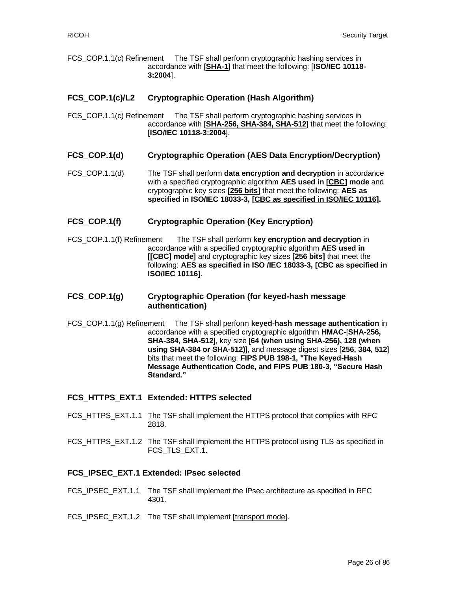FCS\_COP.1.1(c) Refinement The TSF shall perform cryptographic hashing services in accordance with [**SHA-1**] that meet the following: [**ISO/IEC 10118- 3:2004**].

#### **FCS\_COP.1(c)/L2 Cryptographic Operation (Hash Algorithm)**

FCS COP.1.1(c) Refinement The TSF shall perform cryptographic hashing services in accordance with [**SHA-256, SHA-384, SHA-512**] that meet the following: [**ISO/IEC 10118-3:2004**].

#### **FCS\_COP.1(d) Cryptographic Operation (AES Data Encryption/Decryption)**

FCS\_COP.1.1(d) The TSF shall perform **data encryption and decryption** in accordance with a specified cryptographic algorithm **AES used in [CBC] mode** and cryptographic key sizes **[256 bits]** that meet the following: **AES as specified in ISO/IEC 18033-3, [CBC as specified in ISO/IEC 10116].**

#### **FCS\_COP.1(f) Cryptographic Operation (Key Encryption)**

FCS\_COP.1.1(f) Refinement The TSF shall perform **key encryption and decryption** in accordance with a specified cryptographic algorithm **AES used in [[CBC] mode]** and cryptographic key sizes **[256 bits]** that meet the following: **AES as specified in ISO /IEC 18033-3, [CBC as specified in ISO/IEC 10116]**.

#### **FCS\_COP.1(g) Cryptographic Operation (for keyed-hash message authentication)**

FCS\_COP.1.1(g) Refinement The TSF shall perform **keyed-hash message authentication** in accordance with a specified cryptographic algorithm **HMAC-**[**SHA-256, SHA-384, SHA-512**], key size [**64 (when using SHA-256), 128 (when using SHA-384 or SHA-512)**], and message digest sizes [**256, 384, 512**] bits that meet the following: **FIPS PUB 198-1, "The Keyed-Hash Message Authentication Code, and FIPS PUB 180-3, "Secure Hash Standard."**

#### **FCS\_HTTPS\_EXT.1 Extended: HTTPS selected**

- FCS HTTPS EXT.1.1 The TSF shall implement the HTTPS protocol that complies with RFC 2818.
- FCS\_HTTPS\_EXT.1.2 The TSF shall implement the HTTPS protocol using TLS as specified in FCS TLS EXT.1.

#### **FCS\_IPSEC\_EXT.1 Extended: IPsec selected**

- FCS\_IPSEC\_EXT.1.1 The TSF shall implement the IPsec architecture as specified in RFC 4301.
- FCS\_IPSEC\_EXT.1.2 The TSF shall implement [transport mode].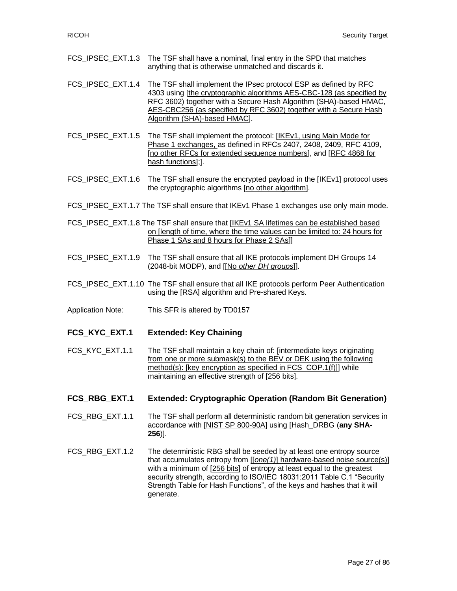- FCS\_IPSEC\_EXT.1.3 The TSF shall have a nominal, final entry in the SPD that matches anything that is otherwise unmatched and discards it.
- FCS IPSEC EXT.1.4 The TSF shall implement the IPsec protocol ESP as defined by RFC 4303 using [the cryptographic algorithms AES-CBC-128 (as specified by RFC 3602) together with a Secure Hash Algorithm (SHA)-based HMAC, AES-CBC256 (as specified by RFC 3602) together with a Secure Hash Algorithm (SHA)-based HMAC].
- FCS\_IPSEC\_EXT.1.5 The TSF shall implement the protocol: [IKEv1, using Main Mode for Phase 1 exchanges, as defined in RFCs 2407, 2408, 2409, RFC 4109, [no other RFCs for extended sequence numbers], and [RFC 4868 for hash functions];].
- FCS\_IPSEC\_EXT.1.6 The TSF shall ensure the encrypted payload in the [IKEv1] protocol uses the cryptographic algorithms [no other algorithm].
- FCS\_IPSEC\_EXT.1.7 The TSF shall ensure that IKEv1 Phase 1 exchanges use only main mode.
- FCS\_IPSEC\_EXT.1.8 The TSF shall ensure that [IKEv1 SA lifetimes can be established based on [length of time, where the time values can be limited to: 24 hours for Phase 1 SAs and 8 hours for Phase 2 SAs]]
- FCS\_IPSEC\_EXT.1.9 The TSF shall ensure that all IKE protocols implement DH Groups 14 (2048-bit MODP), and [[No *other DH groups*]].
- FCS\_IPSEC\_EXT.1.10\_The TSF shall ensure that all IKE protocols perform Peer Authentication using the [RSA] algorithm and Pre-shared Keys.
- Application Note: This SFR is altered by TD0157
- **FCS\_KYC\_EXT.1 Extended: Key Chaining**
- FCS KYC EXT.1.1 The TSF shall maintain a key chain of: [intermediate keys originating from one or more submask(s) to the BEV or DEK using the following method(s): [key encryption as specified in FCS\_COP.1(f)]] while maintaining an effective strength of [256 bits].

#### **FCS\_RBG\_EXT.1 Extended: Cryptographic Operation (Random Bit Generation)**

- FCS RBG EXT.1.1 The TSF shall perform all deterministic random bit generation services in accordance with [NIST SP 800-90A] using [Hash\_DRBG (**any SHA-256**)].
- FCS\_RBG\_EXT.1.2 The deterministic RBG shall be seeded by at least one entropy source that accumulates entropy from [[*one(1)*] hardware-based noise source(s)] with a minimum of [256 bits] of entropy at least equal to the greatest security strength, according to ISO/IEC 18031:2011 Table C.1 "Security Strength Table for Hash Functions", of the keys and hashes that it will generate.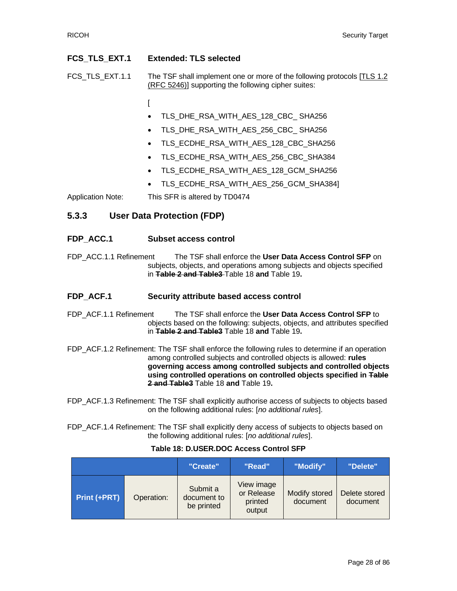#### **FCS\_TLS\_EXT.1 Extended: TLS selected**

FCS TLS EXT.1.1 The TSF shall implement one or more of the following protocols [TLS 1.2] (RFC 5246)] supporting the following cipher suites:

- $\Gamma$
- TLS\_DHE\_RSA\_WITH\_AES\_128\_CBC\_ SHA256
- TLS\_DHE\_RSA\_WITH\_AES\_256\_CBC\_ SHA256
- TLS\_ECDHE\_RSA\_WITH\_AES\_128\_CBC\_SHA256
- TLS\_ECDHE\_RSA\_WITH\_AES\_256\_CBC\_SHA384
- TLS\_ECDHE\_RSA\_WITH\_AES\_128\_GCM\_SHA256
- TLS\_ECDHE\_RSA\_WITH\_AES\_256\_GCM\_SHA384]

Application Note: This SFR is altered by TD0474

#### **5.3.3 User Data Protection (FDP)**

#### **FDP\_ACC.1 Subset access control**

FDP\_ACC.1.1 Refinement The TSF shall enforce the **User Data Access Control SFP** on subjects, objects, and operations among subjects and objects specified in **Table 2 and Table3** [Table 18](#page-27-0) **and** [Table 19](#page-30-0)**.**

#### **FDP\_ACF.1 Security attribute based access control**

- FDP\_ACF.1.1 Refinement The TSF shall enforce the **User Data Access Control SFP** to objects based on the following: subjects, objects, and attributes specified in **Table 2 and Table3** [Table 18](#page-27-0) **and** [Table 19](#page-30-0)**.**
- FDP\_ACF.1.2 Refinement: The TSF shall enforce the following rules to determine if an operation among controlled subjects and controlled objects is allowed: **rules governing access among controlled subjects and controlled objects using controlled operations on controlled objects specified in Table 2 and Table3** [Table 18](#page-27-0) **and** [Table 19](#page-30-0)**.**

FDP\_ACF.1.3 Refinement: The TSF shall explicitly authorise access of subjects to objects based on the following additional rules: [*no additional rules*].

FDP\_ACF.1.4 Refinement: The TSF shall explicitly deny access of subjects to objects based on the following additional rules: [*no additional rules*].

#### **Table 18: D.USER.DOC Access Control SFP**

<span id="page-27-0"></span>

|              |            | "Create"                              | "Read"                                        | "Modify"                  | "Delete"                  |
|--------------|------------|---------------------------------------|-----------------------------------------------|---------------------------|---------------------------|
| Print (+PRT) | Operation: | Submit a<br>document to<br>be printed | View image<br>or Release<br>printed<br>output | Modify stored<br>document | Delete stored<br>document |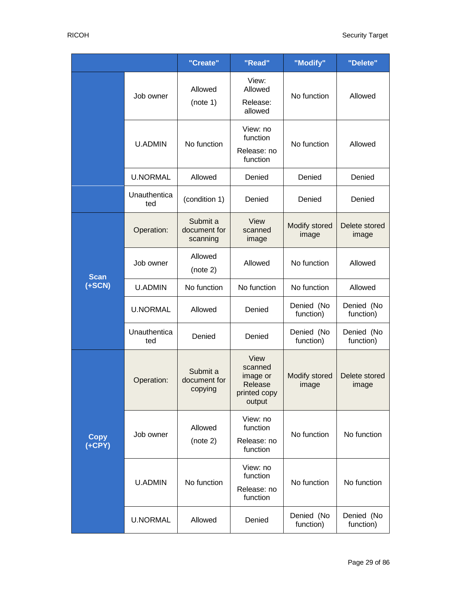|                                    |                     | "Create"                             | "Read"                                                           | "Modify"                      | "Delete"                |
|------------------------------------|---------------------|--------------------------------------|------------------------------------------------------------------|-------------------------------|-------------------------|
|                                    | Job owner           | Allowed<br>(note 1)                  | View:<br>Allowed<br>Release:<br>allowed                          | No function                   | Allowed                 |
|                                    | <b>U.ADMIN</b>      | No function                          | View: no<br>function<br>Release: no<br>function                  | No function                   | Allowed                 |
|                                    | <b>U.NORMAL</b>     | Allowed                              | Denied                                                           | Denied                        | Denied                  |
|                                    | Unauthentica<br>ted | (condition 1)                        | Denied                                                           | Denied                        | Denied                  |
|                                    | Operation:          | Submit a<br>document for<br>scanning | View<br>scanned<br>image                                         | <b>Modify stored</b><br>image | Delete stored<br>image  |
| <b>Scan</b><br>$(+SCN)$            | Job owner           | Allowed<br>(note 2)                  | Allowed                                                          | No function                   | Allowed                 |
|                                    | <b>U.ADMIN</b>      | No function                          | No function                                                      | No function                   | Allowed                 |
|                                    | <b>U.NORMAL</b>     | Allowed                              | Denied                                                           | Denied (No<br>function)       | Denied (No<br>function) |
|                                    | Unauthentica<br>ted | Denied                               | Denied                                                           | Denied (No<br>function)       | Denied (No<br>function) |
|                                    | Operation:          | Submit a<br>document for<br>copying  | View<br>scanned<br>image or<br>Release<br>printed copy<br>output | Modify stored<br>image        | Delete stored<br>image  |
| <b>Copy</b><br>$\overline{(+CPY)}$ | Job owner           | Allowed<br>(note 2)                  | View: no<br>function<br>Release: no<br>function                  | No function                   | No function             |
|                                    | <b>U.ADMIN</b>      | No function                          | View: no<br>function<br>Release: no<br>function                  | No function                   | No function             |
|                                    | <b>U.NORMAL</b>     | Allowed                              | Denied                                                           | Denied (No<br>function)       | Denied (No<br>function) |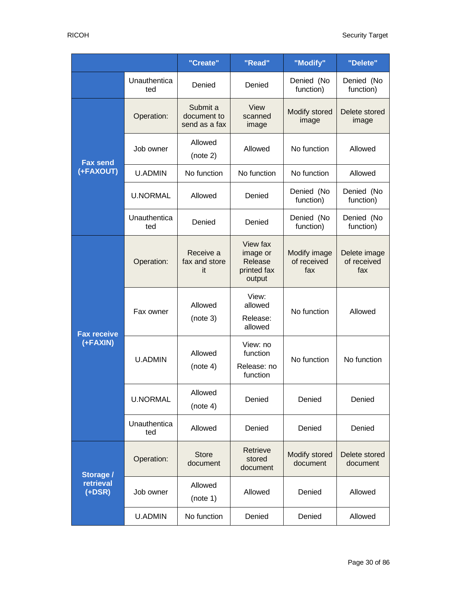|                                    |                     | "Create"                                 | "Read"                                                   | "Modify"                           | "Delete"                           |
|------------------------------------|---------------------|------------------------------------------|----------------------------------------------------------|------------------------------------|------------------------------------|
|                                    | Unauthentica<br>ted | Denied                                   | Denied                                                   | Denied (No<br>function)            | Denied (No<br>function)            |
|                                    | Operation:          | Submit a<br>document to<br>send as a fax | View<br>scanned<br>image                                 | Modify stored<br>image             | Delete stored<br>image             |
| <b>Fax send</b>                    | Job owner           | Allowed<br>(note 2)                      | Allowed                                                  | No function                        | Allowed                            |
| (+FAXOUT)                          | <b>U.ADMIN</b>      | No function                              | No function                                              | No function                        | Allowed                            |
|                                    | <b>U.NORMAL</b>     | Allowed                                  | Denied                                                   | Denied (No<br>function)            | Denied (No<br>function)            |
|                                    | Unauthentica<br>ted | Denied                                   | Denied                                                   | Denied (No<br>function)            | Denied (No<br>function)            |
| <b>Fax receive</b><br>(+FAXIN)     | Operation:          | Receive a<br>fax and store<br>it         | View fax<br>image or<br>Release<br>printed fax<br>output | Modify image<br>of received<br>fax | Delete image<br>of received<br>fax |
|                                    | Fax owner           | Allowed<br>(note 3)                      | View:<br>allowed<br>Release:<br>allowed                  | No function                        | Allowed                            |
|                                    | <b>U.ADMIN</b>      | Allowed<br>(note 4)                      | View: no<br>function<br>Release: no<br>function          | No function                        | No function                        |
|                                    | <b>U.NORMAL</b>     | Allowed<br>(note 4)                      | Denied                                                   | Denied                             | Denied                             |
|                                    | Unauthentica<br>ted | Allowed                                  | Denied                                                   | Denied                             | Denied                             |
|                                    | Operation:          | <b>Store</b><br>document                 | Retrieve<br>stored<br>document                           | <b>Modify stored</b><br>document   | Delete stored<br>document          |
| Storage /<br>retrieval<br>$(+DSR)$ | Job owner           | Allowed<br>(note 1)                      | Allowed                                                  | Denied                             | Allowed                            |
|                                    | <b>U.ADMIN</b>      | No function                              | Denied                                                   | Denied                             | Allowed                            |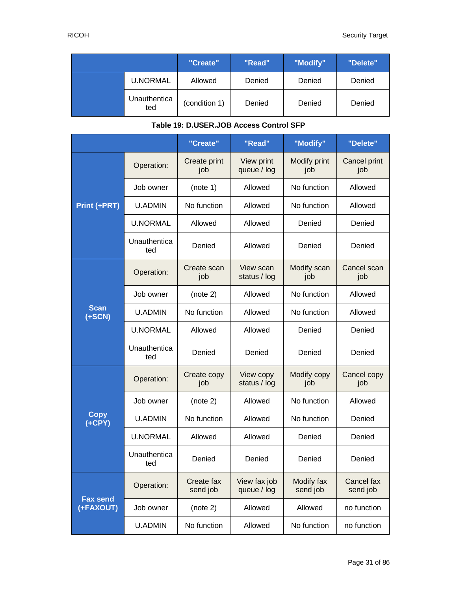|                     | "Create"      | "Read" | "Modify" | "Delete" |
|---------------------|---------------|--------|----------|----------|
| <b>U.NORMAL</b>     | Allowed       | Denied | Denied   | Denied   |
| Unauthentica<br>ted | (condition 1) | Denied | Denied   | Denied   |

#### **Table 19: D.USER.JOB Access Control SFP**

<span id="page-30-0"></span>

|                              |                     | "Create"               | "Read"                      | "Modify"               | "Delete"               |
|------------------------------|---------------------|------------------------|-----------------------------|------------------------|------------------------|
|                              | Operation:          | Create print<br>job    | View print<br>queue / log   | Modify print<br>job    | Cancel print<br>job    |
|                              | Job owner           | (note 1)               | Allowed                     | No function            | Allowed                |
| Print (+PRT)                 | <b>U.ADMIN</b>      | No function            | Allowed                     | No function            | Allowed                |
|                              | <b>U.NORMAL</b>     | Allowed                | Allowed                     | Denied                 | Denied                 |
|                              | Unauthentica<br>ted | Denied                 | Allowed                     | Denied                 | Denied                 |
|                              | Operation:          | Create scan<br>job     | View scan<br>status / log   | Modify scan<br>job     | Cancel scan<br>job     |
|                              | Job owner           | (note 2)               | Allowed                     | No function            | Allowed                |
| <b>Scan</b><br>$(+SCN)$      | <b>U.ADMIN</b>      | No function            | Allowed                     | No function            | Allowed                |
|                              | <b>U.NORMAL</b>     | Allowed                | Allowed                     | Denied                 | Denied                 |
|                              | Unauthentica<br>ted | Denied                 | Denied                      | Denied                 | Denied                 |
|                              | Operation:          | Create copy<br>job     | View copy<br>status / log   | Modify copy<br>job     | Cancel copy<br>job     |
|                              | Job owner           | (note 2)               | Allowed                     | No function            | Allowed                |
| <b>Copy</b><br>$(+CPY)$      | <b>U.ADMIN</b>      | No function            | Allowed                     | No function            | Denied                 |
|                              | <b>U.NORMAL</b>     | Allowed                | Allowed                     | Denied                 | Denied                 |
|                              | Unauthentica<br>ted | Denied                 | Denied                      | Denied                 | Denied                 |
|                              | Operation:          | Create fax<br>send job | View fax job<br>queue / log | Modify fax<br>send job | Cancel fax<br>send job |
| <b>Fax send</b><br>(+FAXOUT) | Job owner           | (note 2)               | Allowed                     | Allowed                | no function            |
|                              | <b>U.ADMIN</b>      | No function            | Allowed                     | No function            | no function            |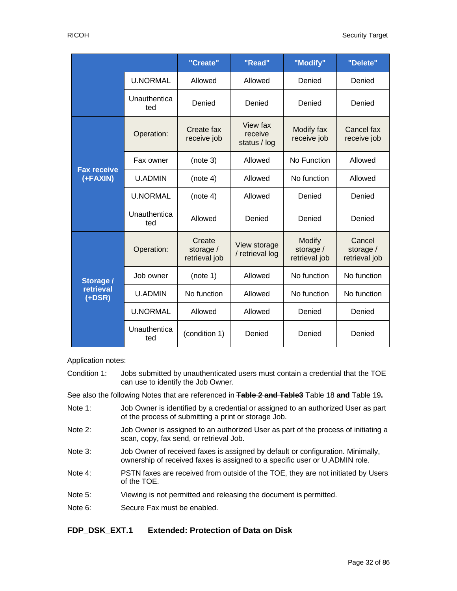|                                    |                     | "Create"                             | "Read"                              | "Modify"                                    | "Delete"                             |
|------------------------------------|---------------------|--------------------------------------|-------------------------------------|---------------------------------------------|--------------------------------------|
|                                    | <b>U.NORMAL</b>     | Allowed                              | Allowed                             | Denied                                      | Denied                               |
|                                    | Unauthentica<br>ted | Denied                               | Denied                              | Denied                                      | Denied                               |
|                                    | Operation:          | Create fax<br>receive job            | View fax<br>receive<br>status / log | Modify fax<br>receive job                   | Cancel fax<br>receive job            |
|                                    | Fax owner           | (note 3)                             | Allowed                             | No Function                                 | Allowed                              |
| <b>Fax receive</b><br>(+FAXIN)     | <b>U.ADMIN</b>      | (note 4)                             | Allowed                             | No function                                 | Allowed                              |
|                                    | <b>U.NORMAL</b>     | (note 4)                             | Allowed                             | Denied                                      | Denied                               |
|                                    | Unauthentica<br>ted | Allowed                              | Denied                              | Denied                                      | Denied                               |
|                                    | Operation:          | Create<br>storage /<br>retrieval job | View storage<br>/ retrieval log     | <b>Modify</b><br>storage /<br>retrieval job | Cancel<br>storage /<br>retrieval job |
| Storage /<br>retrieval<br>$(+DSR)$ | Job owner           | (note 1)                             | Allowed                             | No function                                 | No function                          |
|                                    | <b>U.ADMIN</b>      | No function                          | Allowed                             | No function                                 | No function                          |
|                                    | <b>U.NORMAL</b>     | Allowed                              | Allowed                             | Denied                                      | Denied                               |
|                                    | Unauthentica<br>ted | (condition 1)                        | Denied                              | Denied                                      | Denied                               |

Application notes:

Condition 1: Jobs submitted by unauthenticated users must contain a credential that the TOE can use to identify the Job Owner.

See also the following Notes that are referenced in **Table 2 and Table3** [Table 18](#page-27-0) **and** [Table 19](#page-30-0)**.**

- Note 1: Job Owner is identified by a credential or assigned to an authorized User as part of the process of submitting a print or storage Job.
- Note 2: Job Owner is assigned to an authorized User as part of the process of initiating a scan, copy, fax send, or retrieval Job.
- Note 3: Job Owner of received faxes is assigned by default or configuration. Minimally, ownership of received faxes is assigned to a specific user or U.ADMIN role.
- Note 4: PSTN faxes are received from outside of the TOE, they are not initiated by Users of the TOE.
- Note 5: Viewing is not permitted and releasing the document is permitted.
- Note 6: Secure Fax must be enabled.

#### **FDP\_DSK\_EXT.1 Extended: Protection of Data on Disk**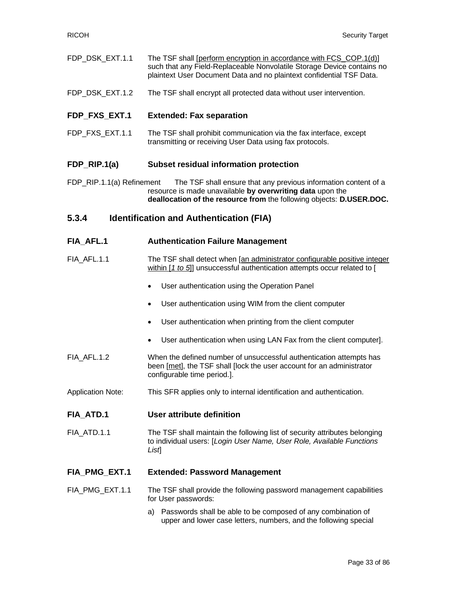| FDP DSK EXT.1.1 | The TSF shall [perform encryption in accordance with FCS_COP.1(d)]     |
|-----------------|------------------------------------------------------------------------|
|                 | such that any Field-Replaceable Nonvolatile Storage Device contains no |
|                 | plaintext User Document Data and no plaintext confidential TSF Data.   |

FDP\_DSK\_EXT.1.2 The TSF shall encrypt all protected data without user intervention.

#### **FDP\_FXS\_EXT.1 Extended: Fax separation**

FDP\_FXS\_EXT.1.1 The TSF shall prohibit communication via the fax interface, except transmitting or receiving User Data using fax protocols.

#### **FDP\_RIP.1(a) Subset residual information protection**

FDP\_RIP.1.1(a) Refinement The TSF shall ensure that any previous information content of a resource is made unavailable **by overwriting data** upon the **deallocation of the resource from** the following objects: **D.USER.DOC.**

#### **5.3.4 Identification and Authentication (FIA)**

- **FIA\_AFL.1 Authentication Failure Management**
- FIA\_AFL.1.1 The TSF shall detect when [an administrator configurable positive integer within [*1 to 5*]] unsuccessful authentication attempts occur related to [
	- User authentication using the Operation Panel
	- User authentication using WIM from the client computer
	- User authentication when printing from the client computer
	- User authentication when using LAN Fax from the client computer].
- FIA\_AFL.1.2 When the defined number of unsuccessful authentication attempts has been [met], the TSF shall [lock the user account for an administrator configurable time period.].
- Application Note: This SFR applies only to internal identification and authentication.

#### **FIA\_ATD.1 User attribute definition**

FIA\_ATD.1.1 The TSF shall maintain the following list of security attributes belonging to individual users: [*Login User Name, User Role, Available Functions List*]

#### **FIA\_PMG\_EXT.1 Extended: Password Management**

- FIA PMG EXT.1.1 The TSF shall provide the following password management capabilities for User passwords:
	- a) Passwords shall be able to be composed of any combination of upper and lower case letters, numbers, and the following special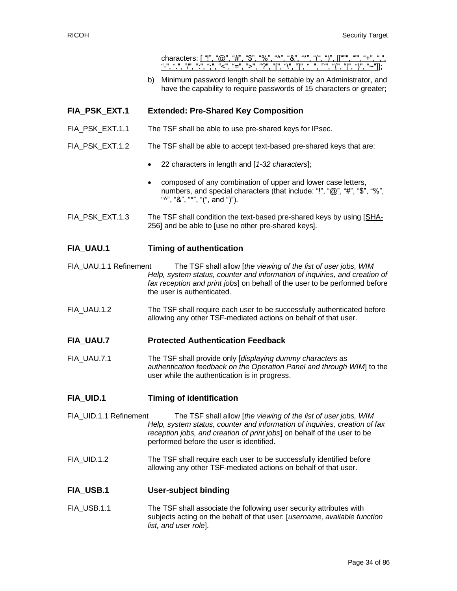characters: ["!", " $@$ ", "#", "\$", "%", "^", "&", "-", ".", "/", ":", ";", "<", "=", ">", "?", "[", "\", "]", "\_", "`", "{", "|", "}", "~"]];

b) Minimum password length shall be settable by an Administrator, and have the capability to require passwords of 15 characters or greater;

#### **FIA\_PSK\_EXT.1 Extended: Pre-Shared Key Composition**

- FIA\_PSK\_EXT.1.1 The TSF shall be able to use pre-shared keys for IPsec.
- FIA\_PSK\_EXT.1.2 The TSF shall be able to accept text-based pre-shared keys that are:
	- 22 characters in length and [*1-32 characters*];
	- composed of any combination of upper and lower case letters, numbers, and special characters (that include: "!", "@", "#", "\$", "%", "", " $\&$ ", " $\frac{1}{2}$ ", " $\left(\frac{1}{2}$ ", and " $\right)$ ").
- FIA\_PSK\_EXT.1.3 The TSF shall condition the text-based pre-shared keys by using [SHA-256] and be able to [use no other pre-shared keys].

#### **FIA\_UAU.1 Timing of authentication**

- FIA\_UAU.1.1 Refinement The TSF shall allow [*the viewing of the list of user jobs, WIM Help, system status, counter and information of inquiries, and creation of fax reception and print jobs*] on behalf of the user to be performed before the user is authenticated.
- FIA\_UAU.1.2 The TSF shall require each user to be successfully authenticated before allowing any other TSF-mediated actions on behalf of that user.

#### **FIA\_UAU.7 Protected Authentication Feedback**

FIA\_UAU.7.1 The TSF shall provide only [*displaying dummy characters as authentication feedback on the Operation Panel and through WIM*] to the user while the authentication is in progress.

#### **FIA\_UID.1 Timing of identification**

- FIA\_UID.1.1 Refinement The TSF shall allow [*the viewing of the list of user jobs, WIM Help, system status, counter and information of inquiries, creation of fax reception jobs, and creation of print jobs*] on behalf of the user to be performed before the user is identified.
- FIA\_UID.1.2 The TSF shall require each user to be successfully identified before allowing any other TSF-mediated actions on behalf of that user.

#### **FIA\_USB.1 User-subject binding**

FIA\_USB.1.1 The TSF shall associate the following user security attributes with subjects acting on the behalf of that user: [*username, available function list, and user role*].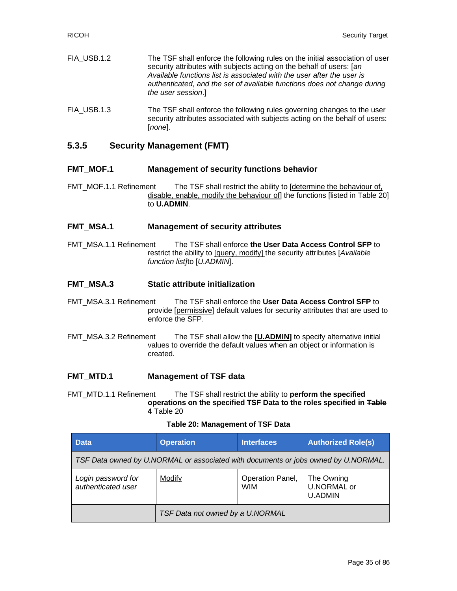FIA\_USB.1.2 The TSF shall enforce the following rules on the initial association of user security attributes with subjects acting on the behalf of users: [*an Available functions list is associated with the user after the user is authenticated*, *and the set of available functions does not change during the user session*.] FIA USB.1.3 The TSF shall enforce the following rules governing changes to the user security attributes associated with subjects acting on the behalf of users:

### **5.3.5 Security Management (FMT)**

[*none*].

#### **FMT\_MOF.1 Management of security functions behavior**

FMT MOF.1.1 Refinement The TSF shall restrict the ability to [determine the behaviour of, disable, enable, modify the behaviour of] the functions [listed in [Table 20\]](#page-34-0) to **U.ADMIN**.

#### **FMT\_MSA.1 Management of security attributes**

FMT\_MSA.1.1 Refinement The TSF shall enforce **the User Data Access Control SFP** to restrict the ability to [query, modify] the security attributes [*Available function list]*to [*U.ADMIN*].

#### **FMT\_MSA.3 Static attribute initialization**

- FMT\_MSA.3.1 Refinement The TSF shall enforce the **User Data Access Control SFP** to provide [permissive] default values for security attributes that are used to enforce the SFP.
- FMT\_MSA.3.2 Refinement The TSF shall allow the **[U.ADMIN]** to specify alternative initial values to override the default values when an object or information is created.

#### **FMT\_MTD.1 Management of TSF data**

FMT\_MTD.1.1 Refinement The TSF shall restrict the ability to **perform the specified operations on the specified TSF Data to the roles specified in Table 4** [Table 20](#page-34-0)

#### **Table 20: Management of TSF Data**

<span id="page-34-0"></span>

| <b>Data</b>                                                                        | <b>Operation</b>                 | <b>Interfaces</b>              | <b>Authorized Role(s)</b>                   |  |  |
|------------------------------------------------------------------------------------|----------------------------------|--------------------------------|---------------------------------------------|--|--|
| TSF Data owned by U.NORMAL or associated with documents or jobs owned by U.NORMAL. |                                  |                                |                                             |  |  |
| Login password for<br>authenticated user                                           | Modify                           | Operation Panel,<br><b>WIM</b> | The Owning<br>U.NORMAL or<br><b>U.ADMIN</b> |  |  |
|                                                                                    | TSF Data not owned by a U.NORMAL |                                |                                             |  |  |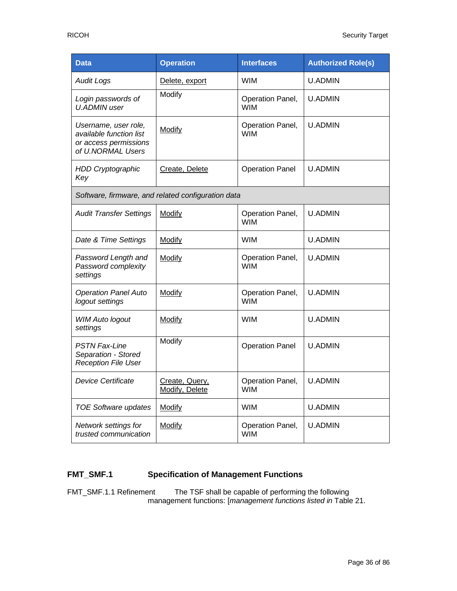| <b>Data</b>                                                                                   | <b>Operation</b>                 | <b>Interfaces</b>              | <b>Authorized Role(s)</b> |  |
|-----------------------------------------------------------------------------------------------|----------------------------------|--------------------------------|---------------------------|--|
| <b>Audit Logs</b>                                                                             | Delete, export                   | <b>WIM</b>                     | <b>U.ADMIN</b>            |  |
| Login passwords of<br><b>U.ADMIN user</b>                                                     | Modify                           | Operation Panel,<br><b>WIM</b> | <b>U.ADMIN</b>            |  |
| Username, user role,<br>available function list<br>or access permissions<br>of U.NORMAL Users | <b>Modify</b>                    | Operation Panel,<br><b>WIM</b> | <b>U.ADMIN</b>            |  |
| <b>HDD Cryptographic</b><br>Key                                                               | Create, Delete                   | <b>Operation Panel</b>         | <b>U.ADMIN</b>            |  |
| Software, firmware, and related configuration data                                            |                                  |                                |                           |  |
| <b>Audit Transfer Settings</b>                                                                | <b>Modify</b>                    | Operation Panel,<br><b>WIM</b> | <b>U.ADMIN</b>            |  |
| Date & Time Settings                                                                          | Modify                           | <b>WIM</b>                     | <b>U.ADMIN</b>            |  |
| Password Length and<br>Password complexity<br>settings                                        | Modify                           | Operation Panel,<br><b>WIM</b> | <b>U.ADMIN</b>            |  |
| <b>Operation Panel Auto</b><br>logout settings                                                | Modify                           | Operation Panel,<br><b>WIM</b> | <b>U.ADMIN</b>            |  |
| <b>WIM Auto logout</b><br>settings                                                            | <b>Modify</b>                    | <b>WIM</b>                     | <b>U.ADMIN</b>            |  |
| <b>PSTN Fax-Line</b><br>Separation - Stored<br><b>Reception File User</b>                     | Modify                           | <b>Operation Panel</b>         | <b>U.ADMIN</b>            |  |
| <b>Device Certificate</b>                                                                     | Create, Query,<br>Modify, Delete | Operation Panel,<br><b>WIM</b> | <b>U.ADMIN</b>            |  |
| <b>TOE Software updates</b>                                                                   | <b>Modify</b>                    | <b>WIM</b>                     | <b>U.ADMIN</b>            |  |
| Network settings for<br>trusted communication                                                 | Modify                           | Operation Panel,<br><b>WIM</b> | <b>U.ADMIN</b>            |  |

### **FMT\_SMF.1 Specification of Management Functions**

FMT\_SMF.1.1 Refinement The TSF shall be capable of performing the following management functions: [*management functions listed in* [Table 21.](#page-36-0)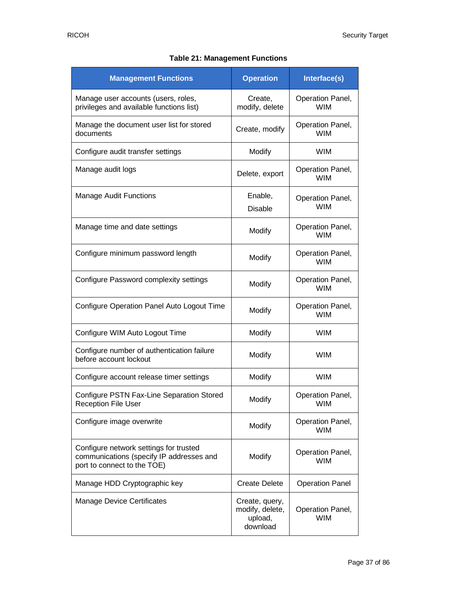|  | <b>Table 21: Management Functions</b> |  |
|--|---------------------------------------|--|
|--|---------------------------------------|--|

| <b>Management Functions</b>                                                                                       | <b>Operation</b>                                         | Interface(s)                   |
|-------------------------------------------------------------------------------------------------------------------|----------------------------------------------------------|--------------------------------|
| Manage user accounts (users, roles,<br>privileges and available functions list)                                   | Create,<br>modify, delete                                | Operation Panel,<br><b>WIM</b> |
| Manage the document user list for stored<br>documents                                                             | Create, modify                                           | Operation Panel,<br><b>WIM</b> |
| Configure audit transfer settings                                                                                 | Modify                                                   | <b>WIM</b>                     |
| Manage audit logs                                                                                                 | Delete, export                                           | Operation Panel,<br><b>WIM</b> |
| <b>Manage Audit Functions</b>                                                                                     | Enable,<br><b>Disable</b>                                | Operation Panel,<br><b>WIM</b> |
| Manage time and date settings                                                                                     | Modify                                                   | Operation Panel,<br><b>WIM</b> |
| Configure minimum password length                                                                                 | Modify                                                   | Operation Panel,<br><b>WIM</b> |
| Configure Password complexity settings                                                                            | Modify                                                   | Operation Panel,<br><b>WIM</b> |
| Configure Operation Panel Auto Logout Time                                                                        | Modify                                                   | Operation Panel,<br><b>WIM</b> |
| Configure WIM Auto Logout Time                                                                                    | Modify                                                   | <b>WIM</b>                     |
| Configure number of authentication failure<br>before account lockout                                              | Modify                                                   | <b>WIM</b>                     |
| Configure account release timer settings                                                                          | Modify                                                   | <b>WIM</b>                     |
| Configure PSTN Fax-Line Separation Stored<br><b>Reception File User</b>                                           | Modify                                                   | Operation Panel,<br>WIM        |
| Configure image overwrite                                                                                         | Modify                                                   | Operation Panel,<br><b>WIM</b> |
| Configure network settings for trusted<br>communications (specify IP addresses and<br>port to connect to the TOE) | Modify                                                   | Operation Panel,<br><b>WIM</b> |
| Manage HDD Cryptographic key                                                                                      | <b>Create Delete</b>                                     | <b>Operation Panel</b>         |
| <b>Manage Device Certificates</b>                                                                                 | Create, query,<br>modify, delete,<br>upload,<br>download | Operation Panel,<br><b>WIM</b> |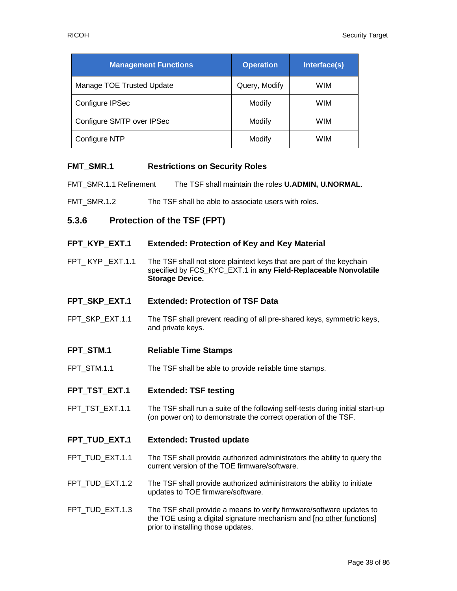| <b>Management Functions</b> | <b>Operation</b> | Interface(s) |
|-----------------------------|------------------|--------------|
| Manage TOE Trusted Update   | Query, Modify    | <b>WIM</b>   |
| Configure IPSec             | Modify           | WIM          |
| Configure SMTP over IPSec   | Modify           | <b>WIM</b>   |
| Configure NTP               | Modify           | <b>WIM</b>   |

#### **FMT\_SMR.1 Restrictions on Security Roles**

FMT\_SMR.1.1 Refinement The TSF shall maintain the roles **U.ADMIN, U.NORMAL**.

FMT SMR.1.2 The TSF shall be able to associate users with roles.

#### **5.3.6 Protection of the TSF (FPT)**

#### **FPT\_KYP\_EXT.1 Extended: Protection of Key and Key Material**

- FPT KYP EXT.1.1 The TSF shall not store plaintext keys that are part of the keychain specified by FCS\_KYC\_EXT.1 in **any Field-Replaceable Nonvolatile Storage Device.**
- **FPT\_SKP\_EXT.1 Extended: Protection of TSF Data**
- FPT\_SKP\_EXT.1.1 The TSF shall prevent reading of all pre-shared keys, symmetric keys, and private keys.
- **FPT\_STM.1 Reliable Time Stamps**
- FPT\_STM.1.1 The TSF shall be able to provide reliable time stamps.
- **FPT\_TST\_EXT.1 Extended: TSF testing**
- FPT\_TST\_EXT.1.1 The TSF shall run a suite of the following self-tests during initial start-up (on power on) to demonstrate the correct operation of the TSF.

#### **FPT\_TUD\_EXT.1 Extended: Trusted update**

- FPT\_TUD\_EXT.1.1 The TSF shall provide authorized administrators the ability to query the current version of the TOE firmware/software.
- FPT\_TUD\_EXT.1.2 The TSF shall provide authorized administrators the ability to initiate updates to TOE firmware/software.
- FPT TUD EXT.1.3 The TSF shall provide a means to verify firmware/software updates to the TOE using a digital signature mechanism and [no other functions] prior to installing those updates.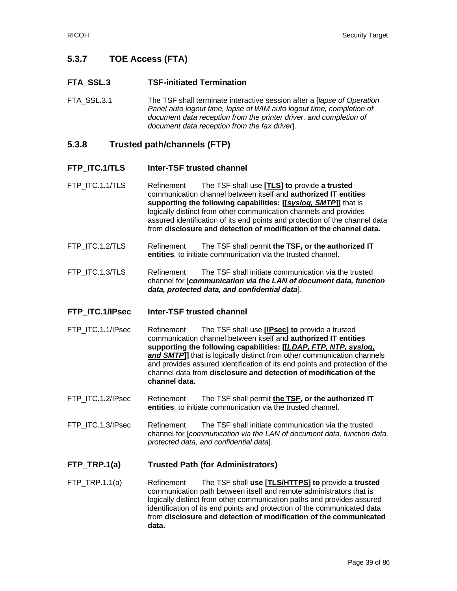# **5.3.7 TOE Access (FTA)**

### **FTA\_SSL.3 TSF-initiated Termination**

FTA\_SSL.3.1 The TSF shall terminate interactive session after a [*lapse of Operation Panel auto logout time, lapse of WIM auto logout time, completion of document data reception from the printer driver, and completion of document data reception from the fax driver*].

### **5.3.8 Trusted path/channels (FTP)**

#### **FTP\_ITC.1/TLS Inter-TSF trusted channel**

FTP\_ITC.1.1/TLS Refinement The TSF shall use **[TLS] to** provide **a trusted** communication channel between itself and **authorized IT entities supporting the following capabilities: [[***syslog, SMTP***]]** that is logically distinct from other communication channels and provides assured identification of its end points and protection of the channel data from **disclosure and detection of modification of the channel data.**

- FTP ITC.1.2/TLS Refinement The TSF shall permit **the TSF, or the authorized IT entities**, to initiate communication via the trusted channel.
- FTP\_ITC.1.3/TLS Refinement The TSF shall initiate communication via the trusted channel for [*communication via the LAN of document data, function data, protected data, and confidential data*].

#### **FTP\_ITC.1/IPsec Inter-TSF trusted channel**

- FTP\_ITC.1.1/IPsec Refinement The TSF shall use **[IPsec] to** provide a trusted communication channel between itself and **authorized IT entities supporting the following capabilities: [[***LDAP, FTP, NTP, syslog, and SMTP***]]** that is logically distinct from other communication channels and provides assured identification of its end points and protection of the channel data from **disclosure and detection of modification of the channel data.**
- FTP ITC.1.2/IPsec Refinement The TSF shall permit the TSF, or the authorized IT **entities**, to initiate communication via the trusted channel.
- FTP\_ITC.1.3/IPsec Refinement The TSF shall initiate communication via the trusted channel for [*communication via the LAN of document data, function data, protected data, and confidential data*].

#### **FTP\_TRP.1(a) Trusted Path (for Administrators)**

FTP\_TRP.1.1(a) Refinement The TSF shall **use [TLS/HTTPS] to** provide **a trusted** communication path between itself and remote administrators that is logically distinct from other communication paths and provides assured identification of its end points and protection of the communicated data from **disclosure and detection of modification of the communicated data.**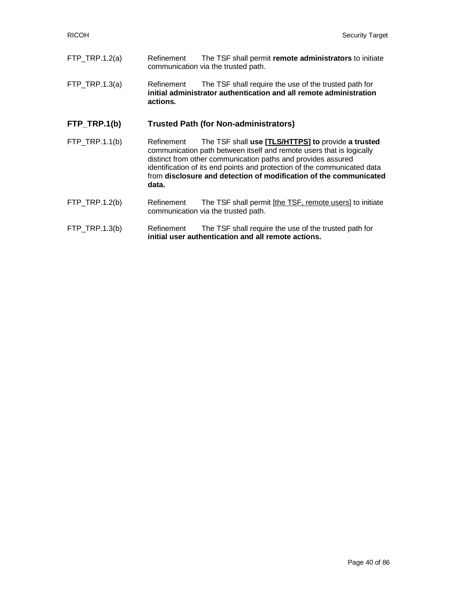- FTP\_TRP.1.2(a) Refinement The TSF shall permit **remote administrators** to initiate communication via the trusted path.
- FTP\_TRP.1.3(a) Refinement The TSF shall require the use of the trusted path for **initial administrator authentication and all remote administration actions.**

#### **FTP\_TRP.1(b) Trusted Path (for Non-administrators)**

FTP\_TRP.1.1(b) Refinement The TSF shall **use [TLS/HTTPS] to** provide **a trusted** communication path between itself and remote users that is logically distinct from other communication paths and provides assured identification of its end points and protection of the communicated data from **disclosure and detection of modification of the communicated data.**

#### FTP\_TRP.1.2(b) Refinement The TSF shall permit [the TSF, remote users] to initiate communication via the trusted path.

#### FTP\_TRP.1.3(b) Refinement The TSF shall require the use of the trusted path for **initial user authentication and all remote actions.**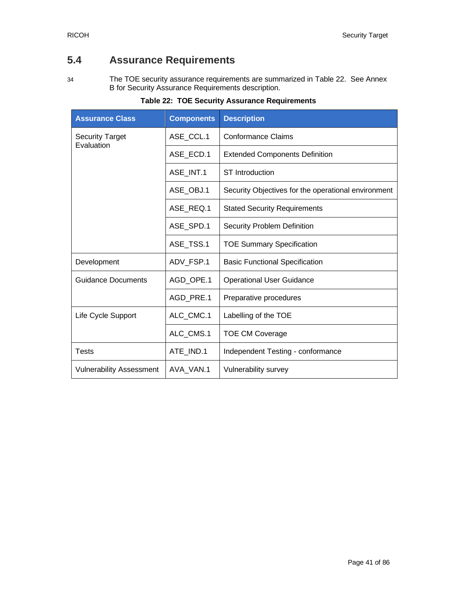# **5.4 Assurance Requirements**

34 The TOE security assurance requirements are summarized in [Table 22.](#page-40-0) See Annex B for Security Assurance Requirements description.

<span id="page-40-0"></span>

| <b>Assurance Class</b>               | <b>Components</b> | <b>Description</b>                                  |
|--------------------------------------|-------------------|-----------------------------------------------------|
| <b>Security Target</b><br>Evaluation | ASE_CCL.1         | <b>Conformance Claims</b>                           |
|                                      | ASE_ECD.1         | <b>Extended Components Definition</b>               |
|                                      | ASE INT.1         | <b>ST</b> Introduction                              |
|                                      | ASE_OBJ.1         | Security Objectives for the operational environment |
|                                      | ASE REQ.1         | <b>Stated Security Requirements</b>                 |
|                                      | ASE_SPD.1         | <b>Security Problem Definition</b>                  |
|                                      | ASE TSS.1         | <b>TOE Summary Specification</b>                    |
| Development                          | ADV_FSP.1         | <b>Basic Functional Specification</b>               |
| <b>Guidance Documents</b>            | AGD OPE.1         | <b>Operational User Guidance</b>                    |
|                                      | AGD_PRE.1         | Preparative procedures                              |
| Life Cycle Support                   | ALC_CMC.1         | Labelling of the TOE                                |
|                                      | ALC_CMS.1         | <b>TOE CM Coverage</b>                              |
| <b>Tests</b>                         | ATE IND.1         | Independent Testing - conformance                   |
| <b>Vulnerability Assessment</b>      | AVA_VAN.1         | Vulnerability survey                                |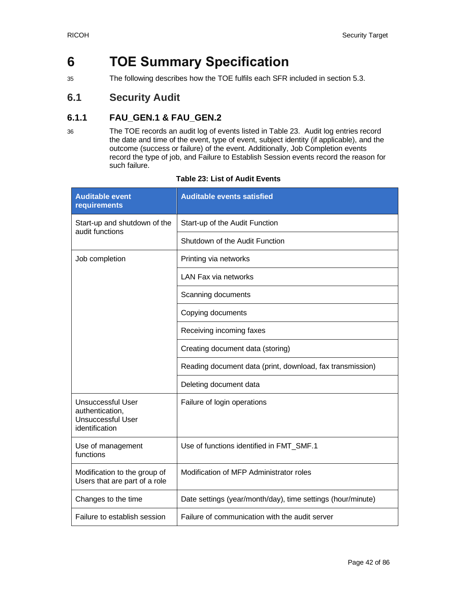# **6 TOE Summary Specification**

35 The following describes how the TOE fulfils each SFR included in section [5.3.](#page-19-0)

# **6.1 Security Audit**

# **6.1.1 FAU\_GEN.1 & FAU\_GEN.2**

36 The TOE records an audit log of events listed in [Table 23.](#page-41-0) Audit log entries record the date and time of the event, type of event, subject identity (if applicable), and the outcome (success or failure) of the event. Additionally, Job Completion events record the type of job, and Failure to Establish Session events record the reason for such failure.

<span id="page-41-0"></span>

| <b>Auditable event</b><br>requirements                                             | <b>Auditable events satisfied</b>                           |  |
|------------------------------------------------------------------------------------|-------------------------------------------------------------|--|
| Start-up and shutdown of the<br>audit functions                                    | Start-up of the Audit Function                              |  |
|                                                                                    | Shutdown of the Audit Function                              |  |
| Job completion                                                                     | Printing via networks                                       |  |
|                                                                                    | <b>LAN Fax via networks</b>                                 |  |
|                                                                                    | Scanning documents                                          |  |
|                                                                                    | Copying documents                                           |  |
|                                                                                    | Receiving incoming faxes                                    |  |
|                                                                                    | Creating document data (storing)                            |  |
|                                                                                    | Reading document data (print, download, fax transmission)   |  |
|                                                                                    | Deleting document data                                      |  |
| Unsuccessful User<br>authentication,<br><b>Unsuccessful User</b><br>identification | Failure of login operations                                 |  |
| Use of management<br>functions                                                     | Use of functions identified in FMT_SMF.1                    |  |
| Modification to the group of<br>Users that are part of a role                      | Modification of MFP Administrator roles                     |  |
| Changes to the time                                                                | Date settings (year/month/day), time settings (hour/minute) |  |
| Failure to establish session                                                       | Failure of communication with the audit server              |  |

#### **Table 23: List of Audit Events**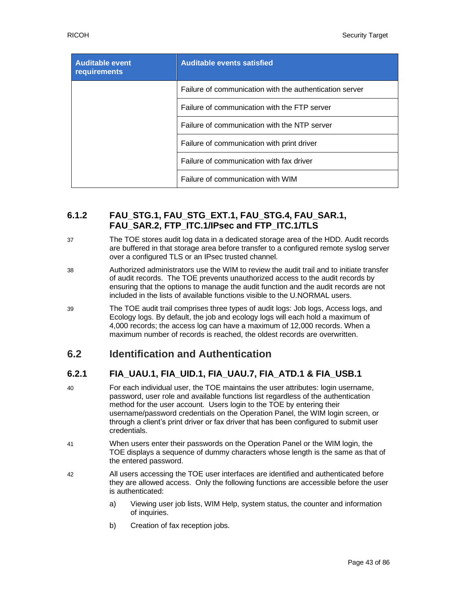| <b>Auditable event</b><br>requirements | <b>Auditable events satisfied</b>                       |  |
|----------------------------------------|---------------------------------------------------------|--|
|                                        | Failure of communication with the authentication server |  |
|                                        | Failure of communication with the FTP server            |  |
|                                        | Failure of communication with the NTP server            |  |
|                                        | Failure of communication with print driver              |  |
|                                        | Failure of communication with fax driver                |  |
|                                        | Failure of communication with WIM                       |  |

# **6.1.2 FAU\_STG.1, FAU\_STG\_EXT.1, FAU\_STG.4, FAU\_SAR.1, FAU\_SAR.2, FTP\_ITC.1/IPsec and FTP\_ITC.1/TLS**

- 37 The TOE stores audit log data in a dedicated storage area of the HDD. Audit records are buffered in that storage area before transfer to a configured remote syslog server over a configured TLS or an IPsec trusted channel.
- 38 Authorized administrators use the WIM to review the audit trail and to initiate transfer of audit records. The TOE prevents unauthorized access to the audit records by ensuring that the options to manage the audit function and the audit records are not included in the lists of available functions visible to the U.NORMAL users.
- 39 The TOE audit trail comprises three types of audit logs: Job logs, Access logs, and Ecology logs. By default, the job and ecology logs will each hold a maximum of 4,000 records; the access log can have a maximum of 12,000 records. When a maximum number of records is reached, the oldest records are overwritten.

# **6.2 Identification and Authentication**

# **6.2.1 FIA\_UAU.1, FIA\_UID.1, FIA\_UAU.7, FIA\_ATD.1 & FIA\_USB.1**

- 40 For each individual user, the TOE maintains the user attributes: login username, password, user role and available functions list regardless of the authentication method for the user account. Users login to the TOE by entering their username/password credentials on the Operation Panel, the WIM login screen, or through a client's print driver or fax driver that has been configured to submit user credentials.
- 41 When users enter their passwords on the Operation Panel or the WIM login, the TOE displays a sequence of dummy characters whose length is the same as that of the entered password.
- 42 All users accessing the TOE user interfaces are identified and authenticated before they are allowed access. Only the following functions are accessible before the user is authenticated:
	- a) Viewing user job lists, WIM Help, system status, the counter and information of inquiries.
	- b) Creation of fax reception jobs.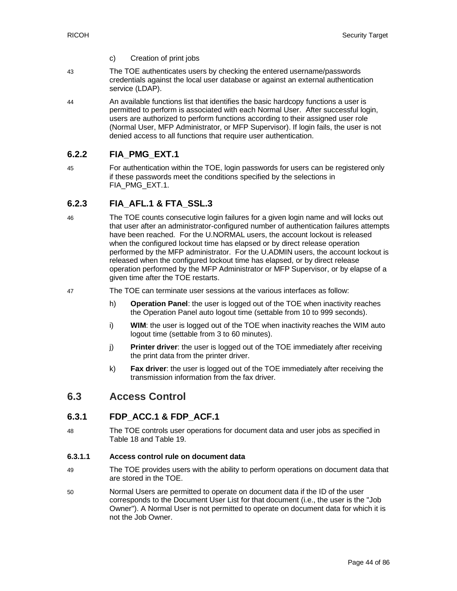- c) Creation of print jobs
- 43 The TOE authenticates users by checking the entered username/passwords credentials against the local user database or against an external authentication service (LDAP).
- 44 An available functions list that identifies the basic hardcopy functions a user is permitted to perform is associated with each Normal User. After successful login, users are authorized to perform functions according to their assigned user role (Normal User, MFP Administrator, or MFP Supervisor). If login fails, the user is not denied access to all functions that require user authentication.

# **6.2.2 FIA\_PMG\_EXT.1**

45 For authentication within the TOE, login passwords for users can be registered only if these passwords meet the conditions specified by the selections in FIA\_PMG\_EXT.1.

# **6.2.3 FIA\_AFL.1 & FTA\_SSL.3**

- 46 The TOE counts consecutive login failures for a given login name and will locks out that user after an administrator-configured number of authentication failures attempts have been reached. For the U.NORMAL users, the account lockout is released when the configured lockout time has elapsed or by direct release operation performed by the MFP administrator. For the U.ADMIN users, the account lockout is released when the configured lockout time has elapsed, or by direct release operation performed by the MFP Administrator or MFP Supervisor, or by elapse of a given time after the TOE restarts.
- 47 The TOE can terminate user sessions at the various interfaces as follow:
	- h) **Operation Panel**: the user is logged out of the TOE when inactivity reaches the Operation Panel auto logout time (settable from 10 to 999 seconds).
	- i) **WIM**: the user is logged out of the TOE when inactivity reaches the WIM auto logout time (settable from 3 to 60 minutes).
	- j) **Printer driver**: the user is logged out of the TOE immediately after receiving the print data from the printer driver.
	- k) **Fax driver**: the user is logged out of the TOE immediately after receiving the transmission information from the fax driver.

# **6.3 Access Control**

#### **6.3.1 FDP\_ACC.1 & FDP\_ACF.1**

48 The TOE controls user operations for document data and user jobs as specified in [Table 18](#page-27-0) and [Table 19.](#page-30-0)

#### **6.3.1.1 Access control rule on document data**

- 49 The TOE provides users with the ability to perform operations on document data that are stored in the TOE.
- 50 Normal Users are permitted to operate on document data if the ID of the user corresponds to the Document User List for that document (i.e., the user is the "Job Owner"). A Normal User is not permitted to operate on document data for which it is not the Job Owner.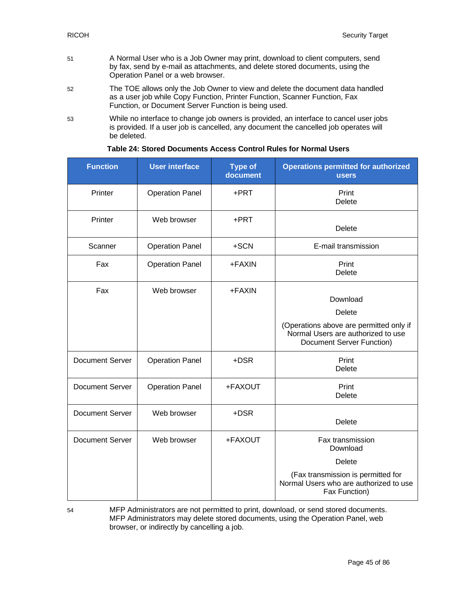- 51 A Normal User who is a Job Owner may print, download to client computers, send by fax, send by e-mail as attachments, and delete stored documents, using the Operation Panel or a web browser.
- 52 The TOE allows only the Job Owner to view and delete the document data handled as a user job while Copy Function, Printer Function, Scanner Function, Fax Function, or Document Server Function is being used.
- 53 While no interface to change job owners is provided, an interface to cancel user jobs is provided. If a user job is cancelled, any document the cancelled job operates will be deleted.

| <b>Function</b>        | <b>User interface</b>  | <b>Type of</b><br>document | <b>Operations permitted for authorized</b><br><b>users</b>                                                                              |
|------------------------|------------------------|----------------------------|-----------------------------------------------------------------------------------------------------------------------------------------|
| Printer                | <b>Operation Panel</b> | +PRT                       | Print<br><b>Delete</b>                                                                                                                  |
| Printer                | Web browser            | +PRT                       | Delete                                                                                                                                  |
| Scanner                | <b>Operation Panel</b> | +SCN                       | E-mail transmission                                                                                                                     |
| Fax                    | <b>Operation Panel</b> | +FAXIN                     | Print<br><b>Delete</b>                                                                                                                  |
| Fax                    | Web browser            | +FAXIN                     | Download<br><b>Delete</b><br>(Operations above are permitted only if<br>Normal Users are authorized to use<br>Document Server Function) |
| <b>Document Server</b> | <b>Operation Panel</b> | +DSR                       | Print<br><b>Delete</b>                                                                                                                  |
| <b>Document Server</b> | <b>Operation Panel</b> | +FAXOUT                    | Print<br>Delete                                                                                                                         |
| <b>Document Server</b> | Web browser            | +DSR                       | <b>Delete</b>                                                                                                                           |
| <b>Document Server</b> | Web browser            | +FAXOUT                    | Fax transmission<br>Download                                                                                                            |
|                        |                        |                            | Delete                                                                                                                                  |
|                        |                        |                            | (Fax transmission is permitted for<br>Normal Users who are authorized to use<br>Fax Function)                                           |

#### **Table 24: Stored Documents Access Control Rules for Normal Users**

54 MFP Administrators are not permitted to print, download, or send stored documents. MFP Administrators may delete stored documents, using the Operation Panel, web browser, or indirectly by cancelling a job.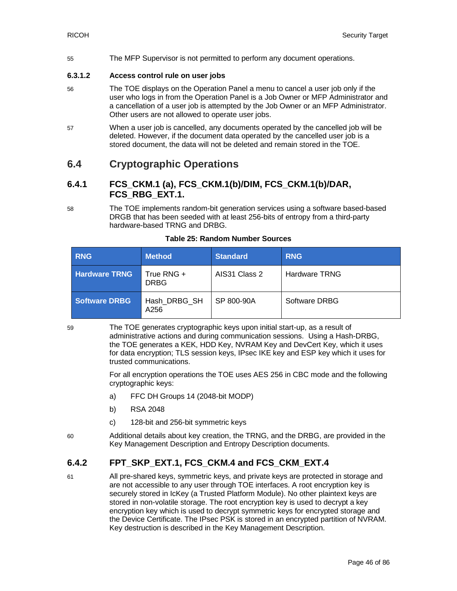55 The MFP Supervisor is not permitted to perform any document operations.

#### **6.3.1.2 Access control rule on user jobs**

- 56 The TOE displays on the Operation Panel a menu to cancel a user job only if the user who logs in from the Operation Panel is a Job Owner or MFP Administrator and a cancellation of a user job is attempted by the Job Owner or an MFP Administrator. Other users are not allowed to operate user jobs.
- 57 When a user job is cancelled, any documents operated by the cancelled job will be deleted. However, if the document data operated by the cancelled user job is a stored document, the data will not be deleted and remain stored in the TOE.

# **6.4 Cryptographic Operations**

### **6.4.1 FCS\_CKM.1 (a), FCS\_CKM.1(b)/DIM, FCS\_CKM.1(b)/DAR, FCS\_RBG\_EXT.1.**

58 The TOE implements random-bit generation services using a software based-based DRGB that has been seeded with at least 256-bits of entropy from a third-party hardware-based TRNG and DRBG.

| <b>RNG</b>           | Method.                   | <b>Standard</b> | <b>RNG</b>           |
|----------------------|---------------------------|-----------------|----------------------|
| <b>Hardware TRNG</b> | True RNG +<br><b>DRBG</b> | AIS31 Class 2   | <b>Hardware TRNG</b> |
| <b>Software DRBG</b> | Hash DRBG SH<br>A256      | SP 800-90A      | Software DRBG        |

#### **Table 25: Random Number Sources**

59 The TOE generates cryptographic keys upon initial start-up, as a result of administrative actions and during communication sessions. Using a Hash-DRBG, the TOE generates a KEK, HDD Key, NVRAM Key and DevCert Key, which it uses for data encryption; TLS session keys, IPsec IKE key and ESP key which it uses for trusted communications.

> For all encryption operations the TOE uses AES 256 in CBC mode and the following cryptographic keys:

- a) FFC DH Groups 14 (2048-bit MODP)
- b) RSA 2048
- c) 128-bit and 256-bit symmetric keys
- 60 Additional details about key creation, the TRNG, and the DRBG, are provided in the Key Management Description and Entropy Description documents.

# **6.4.2 FPT\_SKP\_EXT.1, FCS\_CKM.4 and FCS\_CKM\_EXT.4**

61 All pre-shared keys, symmetric keys, and private keys are protected in storage and are not accessible to any user through TOE interfaces. A root encryption key is securely stored in IcKey (a Trusted Platform Module). No other plaintext keys are stored in non-volatile storage. The root encryption key is used to decrypt a key encryption key which is used to decrypt symmetric keys for encrypted storage and the Device Certificate. The IPsec PSK is stored in an encrypted partition of NVRAM. Key destruction is described in the Key Management Description.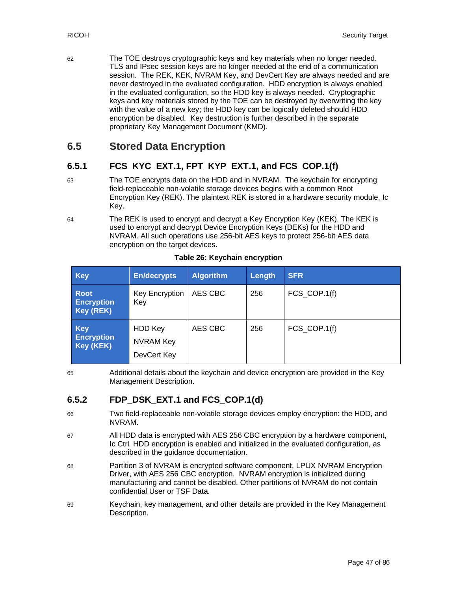62 The TOE destroys cryptographic keys and key materials when no longer needed. TLS and IPsec session keys are no longer needed at the end of a communication session. The REK, KEK, NVRAM Key, and DevCert Key are always needed and are never destroyed in the evaluated configuration. HDD encryption is always enabled in the evaluated configuration, so the HDD key is always needed. Cryptographic keys and key materials stored by the TOE can be destroyed by overwriting the key with the value of a new key; the HDD key can be logically deleted should HDD encryption be disabled. Key destruction is further described in the separate proprietary Key Management Document (KMD).

# **6.5 Stored Data Encryption**

# **6.5.1 FCS\_KYC\_EXT.1, FPT\_KYP\_EXT.1, and FCS\_COP.1(f)**

- 63 The TOE encrypts data on the HDD and in NVRAM. The keychain for encrypting field-replaceable non-volatile storage devices begins with a common Root Encryption Key (REK). The plaintext REK is stored in a hardware security module, Ic Key.
- 64 The REK is used to encrypt and decrypt a Key Encryption Key (KEK). The KEK is used to encrypt and decrypt Device Encryption Keys (DEKs) for the HDD and NVRAM. All such operations use 256-bit AES keys to protect 256-bit AES data encryption on the target devices.

| <b>Key</b>                                    | <b>En/decrypts</b>                         | <b>Algorithm</b> | Length | <b>SFR</b>   |
|-----------------------------------------------|--------------------------------------------|------------------|--------|--------------|
| <b>Root</b><br><b>Encryption</b><br>Key (REK) | Key Encryption<br>Key                      | AES CBC          | 256    | FCS_COP.1(f) |
| <b>Key</b><br><b>Encryption</b><br>Key (KEK)  | HDD Key<br><b>NVRAM Key</b><br>DevCert Key | AES CBC          | 256    | FCS COP.1(f) |

#### **Table 26: Keychain encryption**

65 Additional details about the keychain and device encryption are provided in the Key Management Description.

# **6.5.2 FDP\_DSK\_EXT.1 and FCS\_COP.1(d)**

- 66 Two field-replaceable non-volatile storage devices employ encryption: the HDD, and NVRAM.
- 67 All HDD data is encrypted with AES 256 CBC encryption by a hardware component, Ic Ctrl. HDD encryption is enabled and initialized in the evaluated configuration, as described in the guidance documentation.
- 68 Partition 3 of NVRAM is encrypted software component, LPUX NVRAM Encryption Driver, with AES 256 CBC encryption. NVRAM encryption is initialized during manufacturing and cannot be disabled. Other partitions of NVRAM do not contain confidential User or TSF Data.
- 69 Keychain, key management, and other details are provided in the Key Management Description.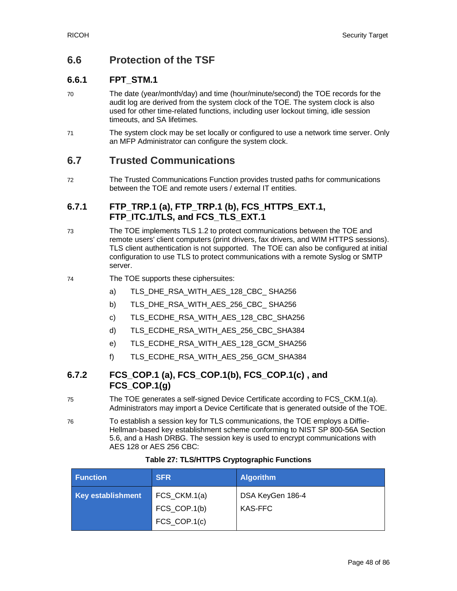# **6.6 Protection of the TSF**

# **6.6.1 FPT\_STM.1**

- 70 The date (year/month/day) and time (hour/minute/second) the TOE records for the audit log are derived from the system clock of the TOE. The system clock is also used for other time-related functions, including user lockout timing, idle session timeouts, and SA lifetimes.
- 71 The system clock may be set locally or configured to use a network time server. Only an MFP Administrator can configure the system clock.

# **6.7 Trusted Communications**

72 The Trusted Communications Function provides trusted paths for communications between the TOE and remote users / external IT entities.

### **6.7.1 FTP\_TRP.1 (a), FTP\_TRP.1 (b), FCS\_HTTPS\_EXT.1,**  FTP ITC.1/TLS, and FCS TLS EXT.1

- 73 The TOE implements TLS 1.2 to protect communications between the TOE and remote users' client computers (print drivers, fax drivers, and WIM HTTPS sessions). TLS client authentication is not supported. The TOE can also be configured at initial configuration to use TLS to protect communications with a remote Syslog or SMTP server.
- 74 The TOE supports these ciphersuites:
	- a) TLS\_DHE\_RSA\_WITH\_AES\_128\_CBC\_ SHA256
	- b) TLS\_DHE\_RSA\_WITH\_AES\_256\_CBC\_ SHA256
	- c) TLS ECDHE\_RSA\_WITH\_AES\_128\_CBC\_SHA256
	- d) TLS\_ECDHE\_RSA\_WITH\_AES\_256\_CBC\_SHA384
	- e) TLS\_ECDHE\_RSA\_WITH\_AES\_128\_GCM\_SHA256
	- f) TLS\_ECDHE\_RSA\_WITH\_AES\_256\_GCM\_SHA384

### **6.7.2 FCS\_COP.1 (a), FCS\_COP.1(b), FCS\_COP.1(c) , and FCS\_COP.1(g)**

- 75 The TOE generates a self-signed Device Certificate according to FCS\_CKM.1(a). Administrators may import a Device Certificate that is generated outside of the TOE.
- 76 To establish a session key for TLS communications, the TOE employs a Diffie-Hellman-based key establishment scheme conforming to NIST SP 800-56A Section 5.6, and a Hash DRBG. The session key is used to encrypt communications with AES 128 or AES 256 CBC:

| <b>Function</b>          | <b>SFR</b>                 | <b>Algorithm</b> |
|--------------------------|----------------------------|------------------|
| <b>Key establishment</b> | FCS_CKM.1(a)               | DSA KeyGen 186-4 |
|                          | FCS_COP.1(b)               | KAS-FFC          |
|                          | $FCS$ <sub>_COP.1(c)</sub> |                  |

#### **Table 27: TLS/HTTPS Cryptographic Functions**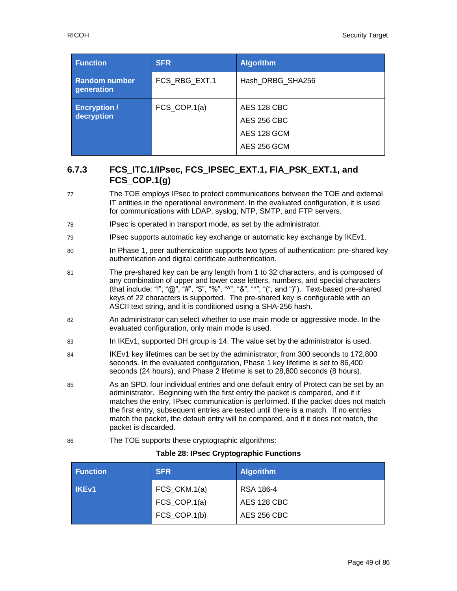| <b>Function</b>                    | <b>SFR</b>                 | <b>Algorithm</b>                                         |
|------------------------------------|----------------------------|----------------------------------------------------------|
| <b>Random number</b><br>generation | FCS_RBG_EXT.1              | Hash DRBG SHA256                                         |
| <b>Encryption /</b><br>decryption  | $FCS$ <sub>_COP.1(a)</sub> | AES 128 CBC<br>AES 256 CBC<br>AES 128 GCM<br>AES 256 GCM |

# **6.7.3 FCS\_ITC.1/IPsec, FCS\_IPSEC\_EXT.1, FIA\_PSK\_EXT.1, and FCS\_COP.1(g)**

- 77 The TOE employs IPsec to protect communications between the TOE and external IT entities in the operational environment. In the evaluated configuration, it is used for communications with LDAP, syslog, NTP, SMTP, and FTP servers.
- 78 IPsec is operated in transport mode, as set by the administrator.
- 79 IPsec supports automatic key exchange or automatic key exchange by IKEv1.
- 80 In Phase 1, peer authentication supports two types of authentication: pre-shared key authentication and digital certificate authentication.
- 81 The pre-shared key can be any length from 1 to 32 characters, and is composed of any combination of upper and lower case letters, numbers, and special characters (that include: "!", " $@$ ", " $#$ ", " $$$ ", "%", "^", "&", "\*", "(", and ")"). Text-based pre-shared keys of 22 characters is supported. The pre-shared key is configurable with an ASCII text string, and it is conditioned using a SHA-256 hash.
- 82 An administrator can select whether to use main mode or aggressive mode. In the evaluated configuration, only main mode is used.
- 83 In IKEv1, supported DH group is 14. The value set by the administrator is used.
- 84 IKEv1 key lifetimes can be set by the administrator, from 300 seconds to 172,800 seconds. In the evaluated configuration, Phase 1 key lifetime is set to 86,400 seconds (24 hours), and Phase 2 lifetime is set to 28,800 seconds (8 hours).
- 85 As an SPD, four individual entries and one default entry of Protect can be set by an administrator. Beginning with the first entry the packet is compared, and if it matches the entry, IPsec communication is performed. If the packet does not match the first entry, subsequent entries are tested until there is a match. If no entries match the packet, the default entry will be compared, and if it does not match, the packet is discarded.
- 86 The TOE supports these cryptographic algorithms:

#### **Table 28: IPsec Cryptographic Functions**

| <b>Function</b> | <b>SFR</b>                                   | <b>Algorithm</b>                               |
|-----------------|----------------------------------------------|------------------------------------------------|
| <b>IKEv1</b>    | FCS_CKM.1(a)<br>FCS_COP.1(a)<br>FCS_COP.1(b) | RSA 186-4<br>AES 128 CBC<br><b>AES 256 CBC</b> |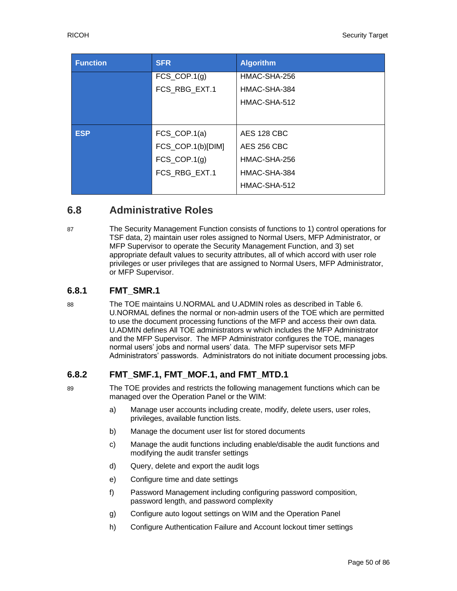| <b>Function</b> | <b>SFR</b>                 | <b>Algorithm</b>   |
|-----------------|----------------------------|--------------------|
|                 | $FCS$ <sub>_COP.1(g)</sub> | HMAC-SHA-256       |
|                 | FCS RBG EXT.1              | HMAC-SHA-384       |
|                 |                            | HMAC-SHA-512       |
|                 |                            |                    |
| <b>ESP</b>      | $FCS$ <sub>_COP.1(a)</sub> | <b>AES 128 CBC</b> |
|                 | FCS_COP.1(b)[DIM]          | <b>AES 256 CBC</b> |
|                 | $FCS$ <sub>_COP.1(g)</sub> | HMAC-SHA-256       |
|                 | FCS RBG EXT.1              | HMAC-SHA-384       |
|                 |                            | HMAC-SHA-512       |

# **6.8 Administrative Roles**

87 The Security Management Function consists of functions to 1) control operations for TSF data, 2) maintain user roles assigned to Normal Users, MFP Administrator, or MFP Supervisor to operate the Security Management Function, and 3) set appropriate default values to security attributes, all of which accord with user role privileges or user privileges that are assigned to Normal Users, MFP Administrator, or MFP Supervisor.

### **6.8.1 FMT\_SMR.1**

88 The TOE maintains U.NORMAL and U.ADMIN roles as described in [Table 6.](#page-13-0) U.NORMAL defines the normal or non-admin users of the TOE which are permitted to use the document processing functions of the MFP and access their own data. U.ADMIN defines All TOE administrators w which includes the MFP Administrator and the MFP Supervisor. The MFP Administrator configures the TOE, manages normal users' jobs and normal users' data. The MFP supervisor sets MFP Administrators' passwords. Administrators do not initiate document processing jobs.

#### **6.8.2 FMT\_SMF.1, FMT\_MOF.1, and FMT\_MTD.1**

89 The TOE provides and restricts the following management functions which can be managed over the Operation Panel or the WIM:

- a) Manage user accounts including create, modify, delete users, user roles, privileges, available function lists.
- b) Manage the document user list for stored documents
- c) Manage the audit functions including enable/disable the audit functions and modifying the audit transfer settings
- d) Query, delete and export the audit logs
- e) Configure time and date settings
- f) Password Management including configuring password composition, password length, and password complexity
- g) Configure auto logout settings on WIM and the Operation Panel
- h) Configure Authentication Failure and Account lockout timer settings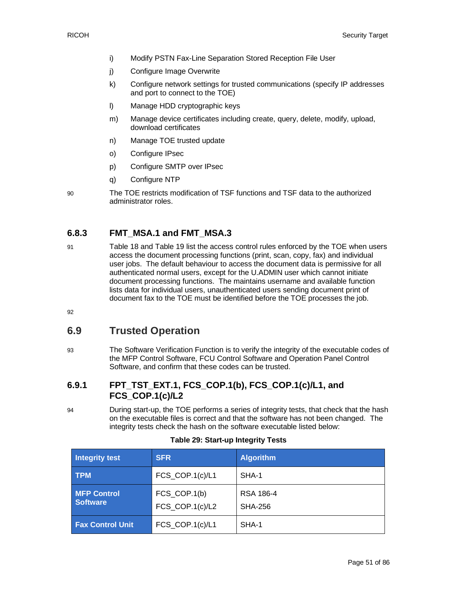- i) Modify PSTN Fax-Line Separation Stored Reception File User
- j) Configure Image Overwrite
- k) Configure network settings for trusted communications (specify IP addresses and port to connect to the TOE)
- l) Manage HDD cryptographic keys
- m) Manage device certificates including create, query, delete, modify, upload, download certificates
- n) Manage TOE trusted update
- o) Configure IPsec
- p) Configure SMTP over IPsec
- q) Configure NTP
- 90 The TOE restricts modification of TSF functions and TSF data to the authorized administrator roles.

# **6.8.3 FMT\_MSA.1 and FMT\_MSA.3**

91 Table 18 and Table 19 list the access control rules enforced by the TOE when users access the document processing functions (print, scan, copy, fax) and individual user jobs. The default behaviour to access the document data is permissive for all authenticated normal users, except for the U.ADMIN user which cannot initiate document processing functions. The maintains username and available function lists data for individual users, unauthenticated users sending document print of document fax to the TOE must be identified before the TOE processes the job.

92

# **6.9 Trusted Operation**

93 The Software Verification Function is to verify the integrity of the executable codes of the MFP Control Software, FCU Control Software and Operation Panel Control Software, and confirm that these codes can be trusted.

# **6.9.1 FPT\_TST\_EXT.1, FCS\_COP.1(b), FCS\_COP.1(c)/L1, and FCS\_COP.1(c)/L2**

94 During start-up, the TOE performs a series of integrity tests, that check that the hash on the executable files is correct and that the software has not been changed. The integrity tests check the hash on the software executable listed below:

| Integrity test                        | <b>SFR</b>                      | <b>Algorithm</b>                   |
|---------------------------------------|---------------------------------|------------------------------------|
| <b>TPM</b>                            | FCS_COP.1(c)/L1                 | SHA-1                              |
| <b>MFP Control</b><br><b>Software</b> | FCS COP.1(b)<br>FCS_COP.1(c)/L2 | <b>RSA 186-4</b><br><b>SHA-256</b> |
| <b>Fax Control Unit</b>               | FCS_COP.1(c)/L1                 | SHA-1                              |

#### **Table 29: Start-up Integrity Tests**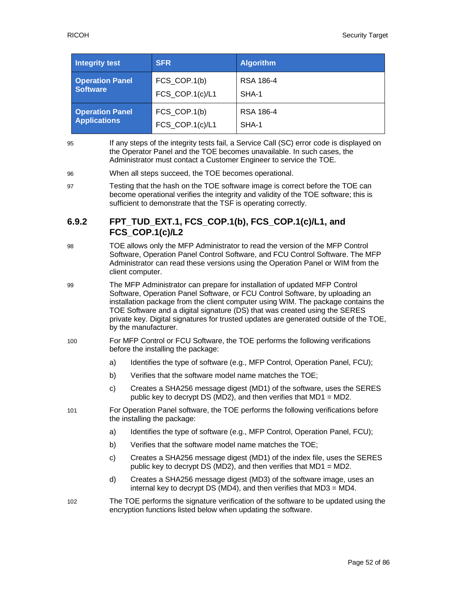| <b>Integrity test</b>  | <b>SFR</b>      | <b>Algorithm</b> |
|------------------------|-----------------|------------------|
| <b>Operation Panel</b> | FCS_COP.1(b)    | RSA 186-4        |
| <b>Software</b>        | FCS_COP.1(c)/L1 | SHA-1            |
| <b>Operation Panel</b> | FCS_COP.1(b)    | RSA 186-4        |
| <b>Applications</b>    | FCS_COP.1(c)/L1 | SHA-1            |

- 95 If any steps of the integrity tests fail, a Service Call (SC) error code is displayed on the Operator Panel and the TOE becomes unavailable. In such cases, the Administrator must contact a Customer Engineer to service the TOE.
- 96 When all steps succeed, the TOE becomes operational.
- 97 Testing that the hash on the TOE software image is correct before the TOE can become operational verifies the integrity and validity of the TOE software; this is sufficient to demonstrate that the TSF is operating correctly.

### **6.9.2 FPT\_TUD\_EXT.1, FCS\_COP.1(b), FCS\_COP.1(c)/L1, and FCS\_COP.1(c)/L2**

- 98 TOE allows only the MFP Administrator to read the version of the MFP Control Software, Operation Panel Control Software, and FCU Control Software. The MFP Administrator can read these versions using the Operation Panel or WIM from the client computer.
- 99 The MFP Administrator can prepare for installation of updated MFP Control Software, Operation Panel Software, or FCU Control Software, by uploading an installation package from the client computer using WIM. The package contains the TOE Software and a digital signature (DS) that was created using the SERES private key. Digital signatures for trusted updates are generated outside of the TOE, by the manufacturer.
- 100 For MFP Control or FCU Software, the TOE performs the following verifications before the installing the package:
	- a) Identifies the type of software (e.g., MFP Control, Operation Panel, FCU);
	- b) Verifies that the software model name matches the TOE;
	- c) Creates a SHA256 message digest (MD1) of the software, uses the SERES public key to decrypt DS (MD2), and then verifies that MD1 = MD2.
- 101 For Operation Panel software, the TOE performs the following verifications before the installing the package:
	- a) Identifies the type of software (e.g., MFP Control, Operation Panel, FCU);
	- b) Verifies that the software model name matches the TOE;
	- c) Creates a SHA256 message digest (MD1) of the index file, uses the SERES public key to decrypt DS (MD2), and then verifies that MD1 = MD2.
	- d) Creates a SHA256 message digest (MD3) of the software image, uses an internal key to decrypt DS (MD4), and then verifies that MD3 = MD4.
- 102 The TOE performs the signature verification of the software to be updated using the encryption functions listed below when updating the software.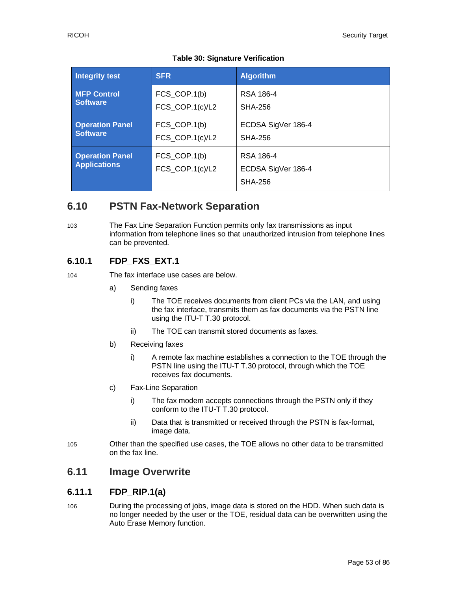|  | <b>Table 30: Signature Verification</b> |  |  |
|--|-----------------------------------------|--|--|
|--|-----------------------------------------|--|--|

| <b>Integrity test</b>                         | <b>SFR</b>                      | <b>Algorithm</b>                                  |
|-----------------------------------------------|---------------------------------|---------------------------------------------------|
| <b>MFP Control</b>                            | FCS_COP.1(b)                    | RSA 186-4                                         |
| <b>Software</b>                               | FCS_COP.1(c)/L2                 | <b>SHA-256</b>                                    |
| <b>Operation Panel</b>                        | FCS_COP.1(b)                    | ECDSA SigVer 186-4                                |
| <b>Software</b>                               | FCS_COP.1(c)/L2                 | SHA-256                                           |
| <b>Operation Panel</b><br><b>Applications</b> | FCS_COP.1(b)<br>FCS_COP.1(c)/L2 | RSA 186-4<br>ECDSA SigVer 186-4<br><b>SHA-256</b> |

# **6.10 PSTN Fax-Network Separation**

103 The Fax Line Separation Function permits only fax transmissions as input information from telephone lines so that unauthorized intrusion from telephone lines can be prevented.

# **6.10.1 FDP\_FXS\_EXT.1**

104 The fax interface use cases are below.

- a) Sending faxes
	- i) The TOE receives documents from client PCs via the LAN, and using the fax interface, transmits them as fax documents via the PSTN line using the ITU-T T.30 protocol.
	- ii) The TOE can transmit stored documents as faxes.
- b) Receiving faxes
	- i) A remote fax machine establishes a connection to the TOE through the PSTN line using the ITU-T T.30 protocol, through which the TOE receives fax documents.
- c) Fax-Line Separation
	- i) The fax modem accepts connections through the PSTN only if they conform to the ITU-T T.30 protocol.
	- ii) Data that is transmitted or received through the PSTN is fax-format, image data.
- 105 Other than the specified use cases, the TOE allows no other data to be transmitted on the fax line.

# **6.11 Image Overwrite**

# **6.11.1 FDP\_RIP.1(a)**

106 During the processing of jobs, image data is stored on the HDD. When such data is no longer needed by the user or the TOE, residual data can be overwritten using the Auto Erase Memory function.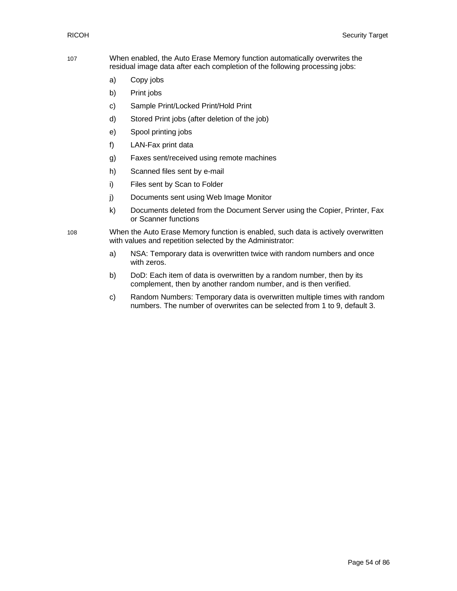- 107 When enabled, the Auto Erase Memory function automatically overwrites the residual image data after each completion of the following processing jobs:
	- a) Copy jobs
	- b) Print jobs
	- c) Sample Print/Locked Print/Hold Print
	- d) Stored Print jobs (after deletion of the job)
	- e) Spool printing jobs
	- f) LAN-Fax print data
	- g) Faxes sent/received using remote machines
	- h) Scanned files sent by e-mail
	- i) Files sent by Scan to Folder
	- j) Documents sent using Web Image Monitor
	- k) Documents deleted from the Document Server using the Copier, Printer, Fax or Scanner functions
- 108 When the Auto Erase Memory function is enabled, such data is actively overwritten with values and repetition selected by the Administrator:
	- a) NSA: Temporary data is overwritten twice with random numbers and once with zeros.
	- b) DoD: Each item of data is overwritten by a random number, then by its complement, then by another random number, and is then verified.
	- c) Random Numbers: Temporary data is overwritten multiple times with random numbers. The number of overwrites can be selected from 1 to 9, default 3.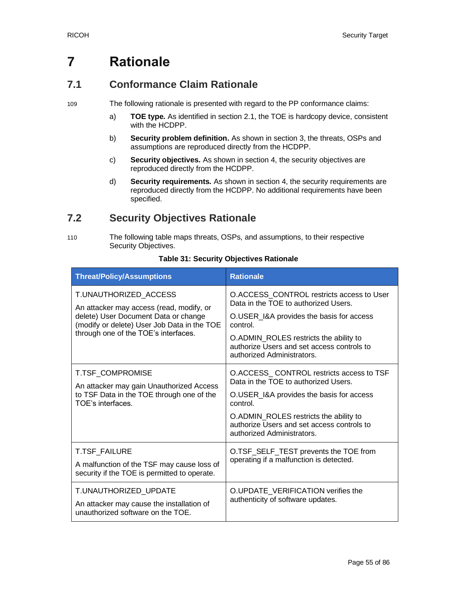# **7 Rationale**

# **7.1 Conformance Claim Rationale**

109 The following rationale is presented with regard to the PP conformance claims:

- a) **TOE type.** As identified in section [2.1,](#page-6-0) the TOE is hardcopy device, consistent with the HCDPP.
- b) **Security problem definition.** As shown in section [3,](#page-13-1) the threats, OSPs and assumptions are reproduced directly from the HCDPP.
- c) **Security objectives.** As shown in section [4,](#page-17-0) the security objectives are reproduced directly from the HCDPP.
- d) **Security requirements.** As shown in section [4,](#page-17-0) the security requirements are reproduced directly from the HCDPP. No additional requirements have been specified.

# **7.2 Security Objectives Rationale**

110 The following table maps threats, OSPs, and assumptions, to their respective Security Objectives.

| <b>Threat/Policy/Assumptions</b>                                                                                                                                                                 | <b>Rationale</b>                                                                                                                                                                                                                                               |
|--------------------------------------------------------------------------------------------------------------------------------------------------------------------------------------------------|----------------------------------------------------------------------------------------------------------------------------------------------------------------------------------------------------------------------------------------------------------------|
| T.UNAUTHORIZED ACCESS<br>An attacker may access (read, modify, or<br>delete) User Document Data or change<br>(modify or delete) User Job Data in the TOE<br>through one of the TOE's interfaces. | O.ACCESS_CONTROL restricts access to User<br>Data in the TOE to authorized Users.<br>O.USER_I&A provides the basis for access<br>control<br>O.ADMIN_ROLES restricts the ability to<br>authorize Users and set access controls to<br>authorized Administrators. |
| <b>T.TSF COMPROMISE</b><br>An attacker may gain Unauthorized Access<br>to TSF Data in the TOE through one of the<br>TOF's interfaces                                                             | O.ACCESS CONTROL restricts access to TSF<br>Data in the TOE to authorized Users.<br>O.USER_I&A provides the basis for access<br>control.<br>O.ADMIN_ROLES restricts the ability to<br>authorize Users and set access controls to<br>authorized Administrators. |
| T.TSF_FAILURE<br>A malfunction of the TSF may cause loss of<br>security if the TOE is permitted to operate.                                                                                      | O.TSF_SELF_TEST prevents the TOE from<br>operating if a malfunction is detected.                                                                                                                                                                               |
| T.UNAUTHORIZED_UPDATE<br>An attacker may cause the installation of<br>unauthorized software on the TOE.                                                                                          | O.UPDATE_VERIFICATION verifies the<br>authenticity of software updates.                                                                                                                                                                                        |

#### **Table 31: Security Objectives Rationale**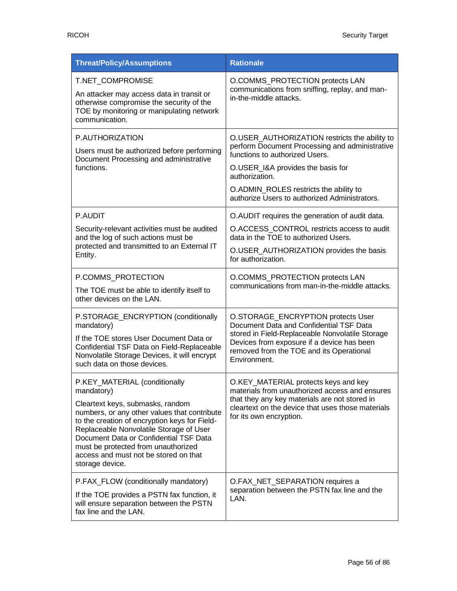| <b>Threat/Policy/Assumptions</b>                                                                                                                                                                                                                                                                                                                                         | <b>Rationale</b>                                                                                                                                                                                                                                                                    |
|--------------------------------------------------------------------------------------------------------------------------------------------------------------------------------------------------------------------------------------------------------------------------------------------------------------------------------------------------------------------------|-------------------------------------------------------------------------------------------------------------------------------------------------------------------------------------------------------------------------------------------------------------------------------------|
| T.NET COMPROMISE<br>An attacker may access data in transit or<br>otherwise compromise the security of the<br>TOE by monitoring or manipulating network<br>communication.                                                                                                                                                                                                 | O.COMMS_PROTECTION protects LAN<br>communications from sniffing, replay, and man-<br>in-the-middle attacks.                                                                                                                                                                         |
| P.AUTHORIZATION<br>Users must be authorized before performing<br>Document Processing and administrative<br>functions.                                                                                                                                                                                                                                                    | O.USER_AUTHORIZATION restricts the ability to<br>perform Document Processing and administrative<br>functions to authorized Users.<br>O.USER_I&A provides the basis for<br>authorization.<br>O.ADMIN_ROLES restricts the ability to<br>authorize Users to authorized Administrators. |
| P.AUDIT<br>Security-relevant activities must be audited<br>and the log of such actions must be<br>protected and transmitted to an External IT<br>Entity.                                                                                                                                                                                                                 | O.AUDIT requires the generation of audit data.<br>O.ACCESS_CONTROL restricts access to audit<br>data in the TOE to authorized Users.<br>O.USER AUTHORIZATION provides the basis<br>for authorization.                                                                               |
| P.COMMS_PROTECTION<br>The TOE must be able to identify itself to<br>other devices on the LAN.                                                                                                                                                                                                                                                                            | O.COMMS_PROTECTION protects LAN<br>communications from man-in-the-middle attacks.                                                                                                                                                                                                   |
| P.STORAGE_ENCRYPTION (conditionally<br>mandatory)<br>If the TOE stores User Document Data or<br>Confidential TSF Data on Field-Replaceable<br>Nonvolatile Storage Devices, it will encrypt<br>such data on those devices.                                                                                                                                                | O.STORAGE_ENCRYPTION protects User<br>Document Data and Confidential TSF Data<br>stored in Field-Replaceable Nonvolatile Storage<br>Devices from exposure if a device has been<br>removed from the TOE and its Operational<br>Environment.                                          |
| P.KEY MATERIAL (conditionally<br>mandatory)<br>Cleartext keys, submasks, random<br>numbers, or any other values that contribute<br>to the creation of encryption keys for Field-<br>Replaceable Nonvolatile Storage of User<br>Document Data or Confidential TSF Data<br>must be protected from unauthorized<br>access and must not be stored on that<br>storage device. | O.KEY_MATERIAL protects keys and key<br>materials from unauthorized access and ensures<br>that they any key materials are not stored in<br>cleartext on the device that uses those materials<br>for its own encryption.                                                             |
| P.FAX_FLOW (conditionally mandatory)<br>If the TOE provides a PSTN fax function, it<br>will ensure separation between the PSTN<br>fax line and the LAN.                                                                                                                                                                                                                  | O.FAX_NET_SEPARATION requires a<br>separation between the PSTN fax line and the<br>LAN.                                                                                                                                                                                             |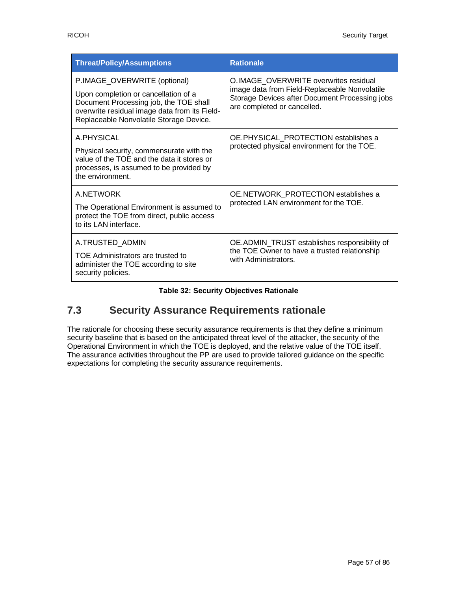| <b>Threat/Policy/Assumptions</b>                                                                                                                                                                           | <b>Rationale</b>                                                                                                                                                        |
|------------------------------------------------------------------------------------------------------------------------------------------------------------------------------------------------------------|-------------------------------------------------------------------------------------------------------------------------------------------------------------------------|
| P.IMAGE_OVERWRITE (optional)<br>Upon completion or cancellation of a<br>Document Processing job, the TOE shall<br>overwrite residual image data from its Field-<br>Replaceable Nonvolatile Storage Device. | O.IMAGE OVERWRITE overwrites residual<br>image data from Field-Replaceable Nonvolatile<br>Storage Devices after Document Processing jobs<br>are completed or cancelled. |
| A PHYSICAL<br>Physical security, commensurate with the<br>value of the TOE and the data it stores or<br>processes, is assumed to be provided by<br>the environment.                                        | OE.PHYSICAL_PROTECTION establishes a<br>protected physical environment for the TOE.                                                                                     |
| A.NETWORK<br>The Operational Environment is assumed to<br>protect the TOE from direct, public access<br>to its LAN interface.                                                                              | OE.NETWORK PROTECTION establishes a<br>protected LAN environment for the TOE.                                                                                           |
| A.TRUSTED_ADMIN<br>TOE Administrators are trusted to<br>administer the TOE according to site<br>security policies.                                                                                         | OE.ADMIN_TRUST establishes responsibility of<br>the TOE Owner to have a trusted relationship<br>with Administrators.                                                    |

**Table 32: Security Objectives Rationale**

# **7.3 Security Assurance Requirements rationale**

The rationale for choosing these security assurance requirements is that they define a minimum security baseline that is based on the anticipated threat level of the attacker, the security of the Operational Environment in which the TOE is deployed, and the relative value of the TOE itself. The assurance activities throughout the PP are used to provide tailored guidance on the specific expectations for completing the security assurance requirements.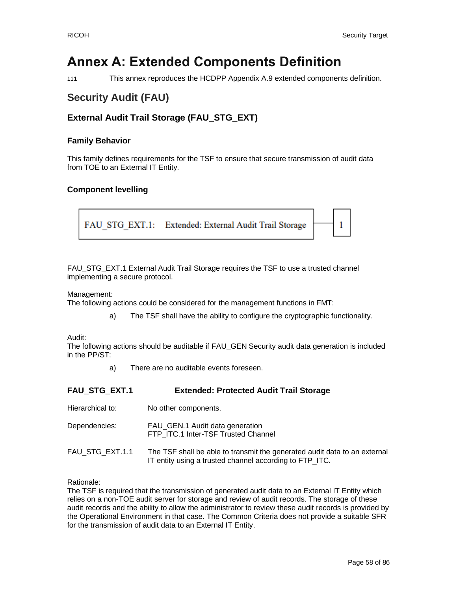# **Annex A: Extended Components Definition**

111 This annex reproduces the HCDPP Appendix A.9 extended components definition.

# **Security Audit (FAU)**

# **External Audit Trail Storage (FAU\_STG\_EXT)**

#### **Family Behavior**

This family defines requirements for the TSF to ensure that secure transmission of audit data from TOE to an External IT Entity.

#### **Component levelling**

FAU STG EXT.1: Extended: External Audit Trail Storage 1

FAU STG EXT.1 External Audit Trail Storage requires the TSF to use a trusted channel implementing a secure protocol.

Management:

The following actions could be considered for the management functions in FMT:

a) The TSF shall have the ability to configure the cryptographic functionality.

Audit:

The following actions should be auditable if FAU\_GEN Security audit data generation is included in the PP/ST:

a) There are no auditable events foreseen.

| <b>FAU STG EXT.1</b> | <b>Extended: Protected Audit Trail Storage</b>                                                                                       |
|----------------------|--------------------------------------------------------------------------------------------------------------------------------------|
| Hierarchical to:     | No other components.                                                                                                                 |
| Dependencies:        | FAU_GEN.1 Audit data generation<br>FTP ITC.1 Inter-TSF Trusted Channel                                                               |
| FAU STG EXT.1.1      | The TSF shall be able to transmit the generated audit data to an external<br>IT entity using a trusted channel according to FTP_ITC. |

Rationale:

The TSF is required that the transmission of generated audit data to an External IT Entity which relies on a non-TOE audit server for storage and review of audit records. The storage of these audit records and the ability to allow the administrator to review these audit records is provided by the Operational Environment in that case. The Common Criteria does not provide a suitable SFR for the transmission of audit data to an External IT Entity.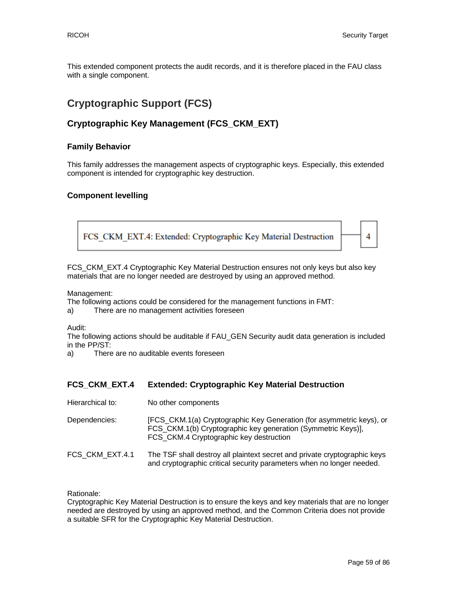This extended component protects the audit records, and it is therefore placed in the FAU class with a single component.

# **Cryptographic Support (FCS)**

# **Cryptographic Key Management (FCS\_CKM\_EXT)**

#### **Family Behavior**

This family addresses the management aspects of cryptographic keys. Especially, this extended component is intended for cryptographic key destruction.

#### **Component levelling**



FCS\_CKM\_EXT.4 Cryptographic Key Material Destruction ensures not only keys but also key materials that are no longer needed are destroyed by using an approved method.

Management:

The following actions could be considered for the management functions in FMT:

a) There are no management activities foreseen

Audit:

The following actions should be auditable if FAU\_GEN Security audit data generation is included in the PP/ST:

a) There are no auditable events foreseen

#### **FCS\_CKM\_EXT.4 Extended: Cryptographic Key Material Destruction**

Hierarchical to: No other components

| Dependencies: | [FCS_CKM.1(a) Cryptographic Key Generation (for asymmetric keys), or |
|---------------|----------------------------------------------------------------------|
|               | FCS_CKM.1(b) Cryptographic key generation (Symmetric Keys)],         |
|               | FCS_CKM.4 Cryptographic key destruction                              |

FCS\_CKM\_EXT.4.1 The TSF shall destroy all plaintext secret and private cryptographic keys and cryptographic critical security parameters when no longer needed.

Rationale:

Cryptographic Key Material Destruction is to ensure the keys and key materials that are no longer needed are destroyed by using an approved method, and the Common Criteria does not provide a suitable SFR for the Cryptographic Key Material Destruction.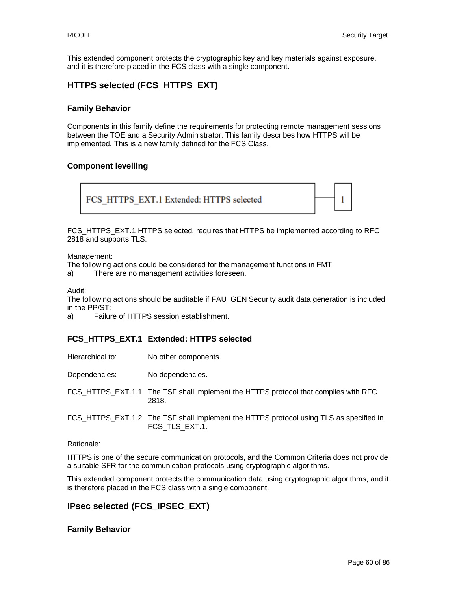This extended component protects the cryptographic key and key materials against exposure, and it is therefore placed in the FCS class with a single component.

### **HTTPS selected (FCS\_HTTPS\_EXT)**

#### **Family Behavior**

Components in this family define the requirements for protecting remote management sessions between the TOE and a Security Administrator. This family describes how HTTPS will be implemented. This is a new family defined for the FCS Class.

#### **Component levelling**

FCS HTTPS EXT.1 Extended: HTTPS selected 1

FCS\_HTTPS\_EXT.1 HTTPS selected, requires that HTTPS be implemented according to RFC 2818 and supports TLS.

Management:

The following actions could be considered for the management functions in FMT:

a) There are no management activities foreseen.

Audit:

The following actions should be auditable if FAU\_GEN Security audit data generation is included in the PP/ST:

a) Failure of HTTPS session establishment.

#### **FCS\_HTTPS\_EXT.1 Extended: HTTPS selected**

| Hierarchical to: | No other components.                                                                                     |
|------------------|----------------------------------------------------------------------------------------------------------|
| Dependencies:    | No dependencies.                                                                                         |
|                  | FCS HTTPS EXT.1.1 The TSF shall implement the HTTPS protocol that complies with RFC<br>2818.             |
|                  | FCS_HTTPS_EXT.1.2 The TSF shall implement the HTTPS protocol using TLS as specified in<br>FCS TLS EXT.1. |
| D = C = = = L =  |                                                                                                          |

Rationale:

HTTPS is one of the secure communication protocols, and the Common Criteria does not provide a suitable SFR for the communication protocols using cryptographic algorithms.

This extended component protects the communication data using cryptographic algorithms, and it is therefore placed in the FCS class with a single component.

#### **IPsec selected (FCS\_IPSEC\_EXT)**

#### **Family Behavior**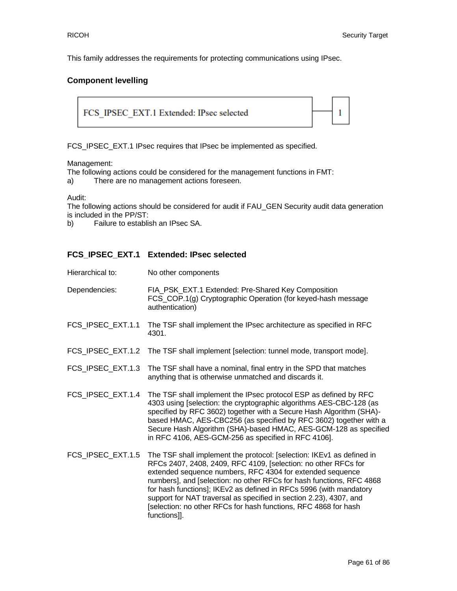This family addresses the requirements for protecting communications using IPsec.

#### **Component levelling**



FCS\_IPSEC\_EXT.1 IPsec requires that IPsec be implemented as specified.

#### Management:

The following actions could be considered for the management functions in FMT:

a) There are no management actions foreseen.

Audit:

The following actions should be considered for audit if FAU\_GEN Security audit data generation is included in the PP/ST:

b) Failure to establish an IPsec SA.

#### **FCS\_IPSEC\_EXT.1 Extended: IPsec selected**

Hierarchical to: No other components

| Dependencies:     | FIA_PSK_EXT.1 Extended: Pre-Shared Key Composition<br>FCS_COP.1(g) Cryptographic Operation (for keyed-hash message<br>authentication)        |
|-------------------|----------------------------------------------------------------------------------------------------------------------------------------------|
| FCS IPSEC EXT.1.1 | The TSF shall implement the IPsec architecture as specified in RFC<br>4301.                                                                  |
|                   | FCS_IPSEC_EXT.1.2 The TSF shall implement [selection: tunnel mode, transport mode].                                                          |
|                   | FCS_IPSEC_EXT.1.3 The TSF shall have a nominal, final entry in the SPD that matches<br>anything that is otherwise unmatched and discards it. |

- FCS\_IPSEC\_EXT.1.4 The TSF shall implement the IPsec protocol ESP as defined by RFC 4303 using [selection: the cryptographic algorithms AES-CBC-128 (as specified by RFC 3602) together with a Secure Hash Algorithm (SHA) based HMAC, AES-CBC256 (as specified by RFC 3602) together with a Secure Hash Algorithm (SHA)-based HMAC, AES-GCM-128 as specified in RFC 4106, AES-GCM-256 as specified in RFC 4106].
- FCS\_IPSEC\_EXT.1.5 The TSF shall implement the protocol: [selection: IKEv1 as defined in RFCs 2407, 2408, 2409, RFC 4109, [selection: no other RFCs for extended sequence numbers, RFC 4304 for extended sequence numbers], and [selection: no other RFCs for hash functions, RFC 4868 for hash functions]; IKEv2 as defined in RFCs 5996 (with mandatory support for NAT traversal as specified in section 2.23), 4307, and [selection: no other RFCs for hash functions, RFC 4868 for hash functions]].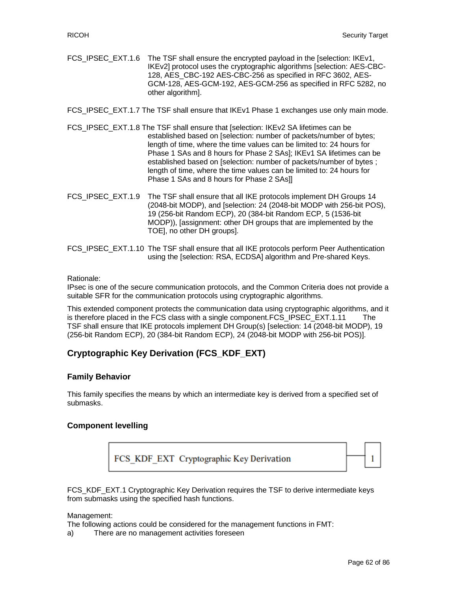FCS\_IPSEC\_EXT.1.6 The TSF shall ensure the encrypted payload in the [selection: IKEv1, IKEv2] protocol uses the cryptographic algorithms [selection: AES-CBC-128, AES CBC-192 AES-CBC-256 as specified in RFC 3602, AES-GCM-128, AES-GCM-192, AES-GCM-256 as specified in RFC 5282, no other algorithm].

FCS\_IPSEC\_EXT.1.7 The TSF shall ensure that IKEv1 Phase 1 exchanges use only main mode.

- FCS\_IPSEC\_EXT.1.8 The TSF shall ensure that [selection: IKEv2 SA lifetimes can be established based on [selection: number of packets/number of bytes; length of time, where the time values can be limited to: 24 hours for Phase 1 SAs and 8 hours for Phase 2 SAs]; IKEv1 SA lifetimes can be established based on [selection: number of packets/number of bytes ; length of time, where the time values can be limited to: 24 hours for Phase 1 SAs and 8 hours for Phase 2 SAs]]
- FCS\_IPSEC\_EXT.1.9 The TSF shall ensure that all IKE protocols implement DH Groups 14 (2048-bit MODP), and [selection: 24 (2048-bit MODP with 256-bit POS), 19 (256-bit Random ECP), 20 (384-bit Random ECP, 5 (1536-bit MODP)), [assignment: other DH groups that are implemented by the TOE], no other DH groups].
- FCS IPSEC EXT.1.10 The TSF shall ensure that all IKE protocols perform Peer Authentication using the [selection: RSA, ECDSA] algorithm and Pre-shared Keys.

#### Rationale:

IPsec is one of the secure communication protocols, and the Common Criteria does not provide a suitable SFR for the communication protocols using cryptographic algorithms.

This extended component protects the communication data using cryptographic algorithms, and it is therefore placed in the FCS class with a single component.FCS\_IPSEC\_EXT.1.11 The TSF shall ensure that IKE protocols implement DH Group(s) [selection: 14 (2048-bit MODP), 19 (256-bit Random ECP), 20 (384-bit Random ECP), 24 (2048-bit MODP with 256-bit POS)].

# **Cryptographic Key Derivation (FCS\_KDF\_EXT)**

#### **Family Behavior**

This family specifies the means by which an intermediate key is derived from a specified set of submasks.

#### **Component levelling**



FCS\_KDF\_EXT.1 Cryptographic Key Derivation requires the TSF to derive intermediate keys from submasks using the specified hash functions.

Management:

The following actions could be considered for the management functions in FMT:

a) There are no management activities foreseen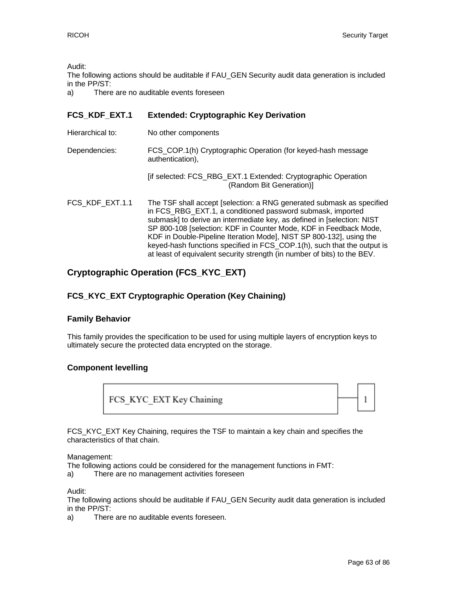Audit:

The following actions should be auditable if FAU\_GEN Security audit data generation is included in the PP/ST:

a) There are no auditable events foreseen

### **FCS\_KDF\_EXT.1 Extended: Cryptographic Key Derivation**

Hierarchical to: No other components Dependencies: FCS\_COP.1(h) Cryptographic Operation (for keyed-hash message authentication), [if selected: FCS\_RBG\_EXT.1 Extended: Cryptographic Operation (Random Bit Generation)] FCS KDF EXT.1.1 The TSF shall accept [selection: a RNG generated submask as specified in FCS\_RBG\_EXT.1, a conditioned password submask, imported submask] to derive an intermediate key, as defined in [selection: NIST SP 800-108 [selection: KDF in Counter Mode, KDF in Feedback Mode, KDF in Double-Pipeline Iteration Mode], NIST SP 800-132], using the keyed-hash functions specified in FCS\_COP.1(h), such that the output is

at least of equivalent security strength (in number of bits) to the BEV.

# **Cryptographic Operation (FCS\_KYC\_EXT)**

# **FCS\_KYC\_EXT Cryptographic Operation (Key Chaining)**

#### **Family Behavior**

This family provides the specification to be used for using multiple layers of encryption keys to ultimately secure the protected data encrypted on the storage.

#### **Component levelling**

FCS KYC EXT Key Chaining



FCS\_KYC\_EXT Key Chaining, requires the TSF to maintain a key chain and specifies the characteristics of that chain.

#### Management:

The following actions could be considered for the management functions in FMT:

a) There are no management activities foreseen

Audit:

The following actions should be auditable if FAU\_GEN Security audit data generation is included in the PP/ST:

a) There are no auditable events foreseen.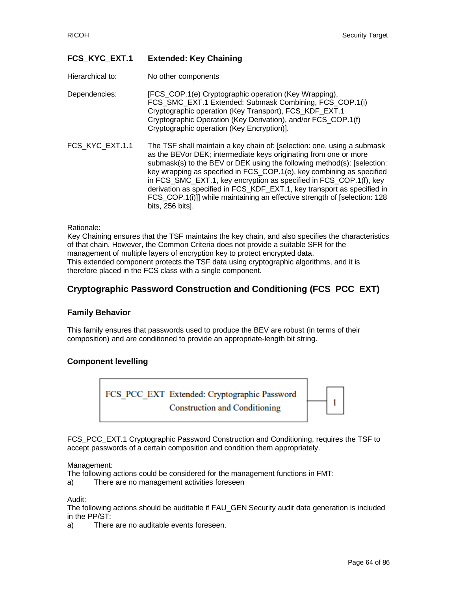### **FCS\_KYC\_EXT.1 Extended: Key Chaining**

Hierarchical to: No other components

Dependencies: [FCS COP.1(e) Cryptographic operation (Key Wrapping), FCS\_SMC\_EXT.1 Extended: Submask Combining, FCS\_COP.1(i) Cryptographic operation (Key Transport), FCS\_KDF\_EXT.1 Cryptographic Operation (Key Derivation), and/or FCS\_COP.1(f) Cryptographic operation (Key Encryption)].

FCS KYC EXT.1.1 The TSF shall maintain a key chain of: [selection: one, using a submask as the BEVor DEK; intermediate keys originating from one or more submask(s) to the BEV or DEK using the following method(s): [selection: key wrapping as specified in FCS\_COP.1(e), key combining as specified in FCS\_SMC\_EXT.1, key encryption as specified in FCS\_COP.1(f), key derivation as specified in FCS\_KDF\_EXT.1, key transport as specified in FCS\_COP.1(i)]] while maintaining an effective strength of [selection: 128 bits, 256 bits].

#### Rationale:

Key Chaining ensures that the TSF maintains the key chain, and also specifies the characteristics of that chain. However, the Common Criteria does not provide a suitable SFR for the management of multiple layers of encryption key to protect encrypted data. This extended component protects the TSF data using cryptographic algorithms, and it is therefore placed in the FCS class with a single component.

# **Cryptographic Password Construction and Conditioning (FCS\_PCC\_EXT)**

#### **Family Behavior**

This family ensures that passwords used to produce the BEV are robust (in terms of their composition) and are conditioned to provide an appropriate-length bit string.

#### **Component levelling**



FCS\_PCC\_EXT.1 Cryptographic Password Construction and Conditioning, requires the TSF to accept passwords of a certain composition and condition them appropriately.

Management:

The following actions could be considered for the management functions in FMT:

a) There are no management activities foreseen

Audit:

The following actions should be auditable if FAU\_GEN Security audit data generation is included in the PP/ST:

a) There are no auditable events foreseen.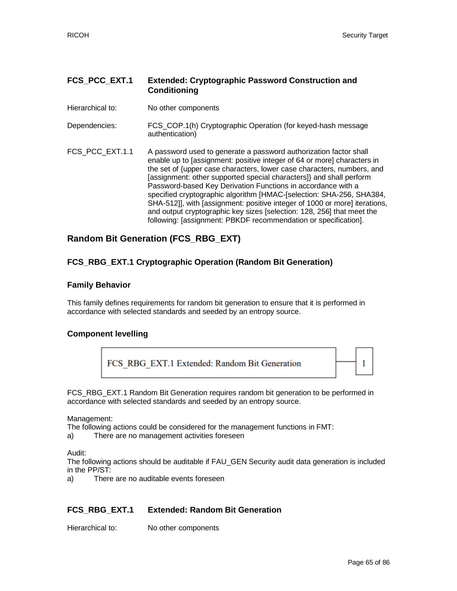#### **FCS\_PCC\_EXT.1 Extended: Cryptographic Password Construction and Conditioning**

Hierarchical to: No other components

Dependencies: FCS\_COP.1(h) Cryptographic Operation (for keyed-hash message authentication)

FCS\_PCC\_EXT.1.1 A password used to generate a password authorization factor shall enable up to [assignment: positive integer of 64 or more] characters in the set of {upper case characters, lower case characters, numbers, and [assignment: other supported special characters]} and shall perform Password-based Key Derivation Functions in accordance with a specified cryptographic algorithm [HMAC-[selection: SHA-256, SHA384, SHA-512]], with [assignment: positive integer of 1000 or more] iterations, and output cryptographic key sizes [selection: 128, 256] that meet the following: [assignment: PBKDF recommendation or specification].

# **Random Bit Generation (FCS\_RBG\_EXT)**

#### **FCS\_RBG\_EXT.1 Cryptographic Operation (Random Bit Generation)**

#### **Family Behavior**

This family defines requirements for random bit generation to ensure that it is performed in accordance with selected standards and seeded by an entropy source.

#### **Component levelling**



FCS\_RBG\_EXT.1 Random Bit Generation requires random bit generation to be performed in accordance with selected standards and seeded by an entropy source.

Management:

The following actions could be considered for the management functions in FMT:

a) There are no management activities foreseen

Audit:

The following actions should be auditable if FAU\_GEN Security audit data generation is included in the PP/ST:

a) There are no auditable events foreseen

#### **FCS\_RBG\_EXT.1 Extended: Random Bit Generation**

Hierarchical to: No other components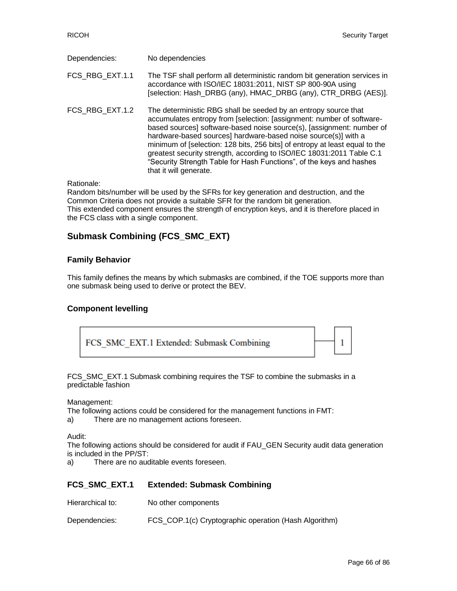| Dependencies:   | No dependencies                                                                                                                                                                                                                                                                                                                                                                                                                                                                                                     |
|-----------------|---------------------------------------------------------------------------------------------------------------------------------------------------------------------------------------------------------------------------------------------------------------------------------------------------------------------------------------------------------------------------------------------------------------------------------------------------------------------------------------------------------------------|
| FCS RBG EXT.1.1 | The TSF shall perform all deterministic random bit generation services in<br>accordance with ISO/IEC 18031:2011, NIST SP 800-90A using<br>[selection: Hash_DRBG (any), HMAC_DRBG (any), CTR_DRBG (AES)].                                                                                                                                                                                                                                                                                                            |
| FCS_RBG_EXT.1.2 | The deterministic RBG shall be seeded by an entropy source that<br>accumulates entropy from [selection: [assignment: number of software-<br>based sources] software-based noise source(s), [assignment: number of<br>hardware-based sources] hardware-based noise source(s)] with a<br>minimum of [selection: 128 bits, 256 bits] of entropy at least equal to the<br>greatest security strength, according to ISO/IEC 18031:2011 Table C.1<br>"Security Strength Table for Hash Functions", of the keys and hashes |

Rationale:

Random bits/number will be used by the SFRs for key generation and destruction, and the Common Criteria does not provide a suitable SFR for the random bit generation. This extended component ensures the strength of encryption keys, and it is therefore placed in the FCS class with a single component.

# **Submask Combining (FCS\_SMC\_EXT)**

that it will generate.

#### **Family Behavior**

This family defines the means by which submasks are combined, if the TOE supports more than one submask being used to derive or protect the BEV.

#### **Component levelling**



FCS\_SMC\_EXT.1 Submask combining requires the TSF to combine the submasks in a predictable fashion

Management:

The following actions could be considered for the management functions in FMT:

a) There are no management actions foreseen.

Audit:

The following actions should be considered for audit if FAU\_GEN Security audit data generation is included in the PP/ST:

a) There are no auditable events foreseen.

#### **FCS\_SMC\_EXT.1 Extended: Submask Combining**

Hierarchical to: No other components

Dependencies: FCS\_COP.1(c) Cryptographic operation (Hash Algorithm)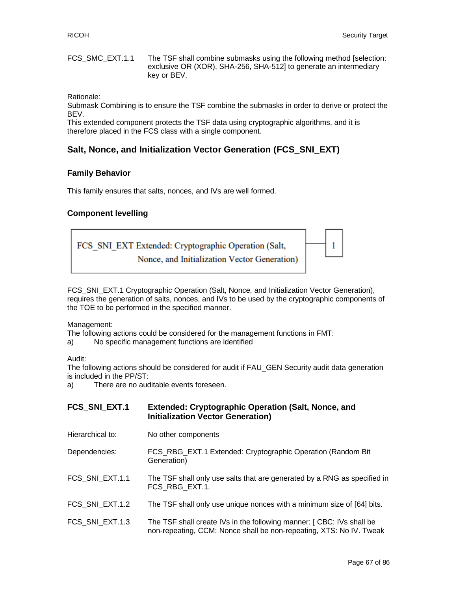FCS\_SMC\_EXT.1.1 The TSF shall combine submasks using the following method [selection: exclusive OR (XOR), SHA-256, SHA-512] to generate an intermediary key or BEV.

Rationale:

Submask Combining is to ensure the TSF combine the submasks in order to derive or protect the BEV.

This extended component protects the TSF data using cryptographic algorithms, and it is therefore placed in the FCS class with a single component.

# **Salt, Nonce, and Initialization Vector Generation (FCS\_SNI\_EXT)**

#### **Family Behavior**

This family ensures that salts, nonces, and IVs are well formed.

#### **Component levelling**



FCS\_SNI\_EXT.1 Cryptographic Operation (Salt, Nonce, and Initialization Vector Generation), requires the generation of salts, nonces, and IVs to be used by the cryptographic components of the TOE to be performed in the specified manner.

Management:

The following actions could be considered for the management functions in FMT:

a) No specific management functions are identified

Audit:

The following actions should be considered for audit if FAU\_GEN Security audit data generation is included in the PP/ST:

a) There are no auditable events foreseen.

| FCS_SNI_EXT.1    | <b>Extended: Cryptographic Operation (Salt, Nonce, and</b><br><b>Initialization Vector Generation)</b>                                      |
|------------------|---------------------------------------------------------------------------------------------------------------------------------------------|
| Hierarchical to: | No other components                                                                                                                         |
| Dependencies:    | FCS_RBG_EXT.1 Extended: Cryptographic Operation (Random Bit)<br>Generation)                                                                 |
| FCS SNI EXT.1.1  | The TSF shall only use salts that are generated by a RNG as specified in<br>FCS RBG EXT.1.                                                  |
| FCS SNI EXT.1.2  | The TSF shall only use unique nonces with a minimum size of [64] bits.                                                                      |
| FCS SNI EXT.1.3  | The TSF shall create IVs in the following manner: [CBC: IVs shall be<br>non-repeating, CCM: Nonce shall be non-repeating, XTS: No IV. Tweak |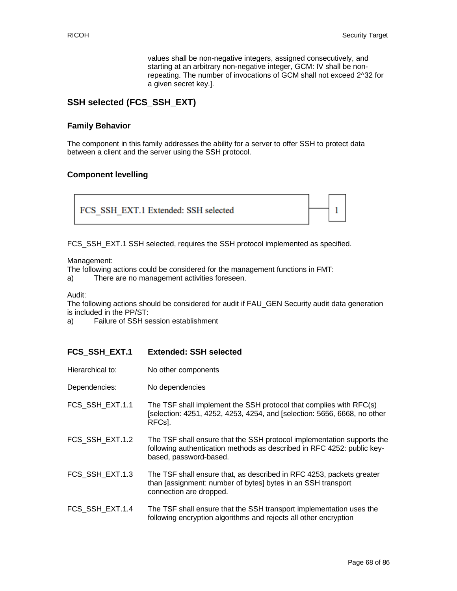1

values shall be non-negative integers, assigned consecutively, and starting at an arbitrary non-negative integer, GCM: IV shall be nonrepeating. The number of invocations of GCM shall not exceed 2^32 for a given secret key.].

### **SSH selected (FCS\_SSH\_EXT)**

#### **Family Behavior**

The component in this family addresses the ability for a server to offer SSH to protect data between a client and the server using the SSH protocol.

#### **Component levelling**



FCS\_SSH\_EXT.1 SSH selected, requires the SSH protocol implemented as specified.

Management:

The following actions could be considered for the management functions in FMT:

a) There are no management activities foreseen.

Audit:

The following actions should be considered for audit if FAU\_GEN Security audit data generation is included in the PP/ST:

a) Failure of SSH session establishment

#### **FCS\_SSH\_EXT.1 Extended: SSH selected**

- Hierarchical to: No other components
- Dependencies: No dependencies
- FCS\_SSH\_EXT.1.1 The TSF shall implement the SSH protocol that complies with RFC(s) [selection: 4251, 4252, 4253, 4254, and [selection: 5656, 6668, no other RFCs].
- FCS\_SSH\_EXT.1.2 The TSF shall ensure that the SSH protocol implementation supports the following authentication methods as described in RFC 4252: public keybased, password-based.
- FCS SSH EXT.1.3 The TSF shall ensure that, as described in RFC 4253, packets greater than [assignment: number of bytes] bytes in an SSH transport connection are dropped.
- FCS\_SSH\_EXT.1.4 The TSF shall ensure that the SSH transport implementation uses the following encryption algorithms and rejects all other encryption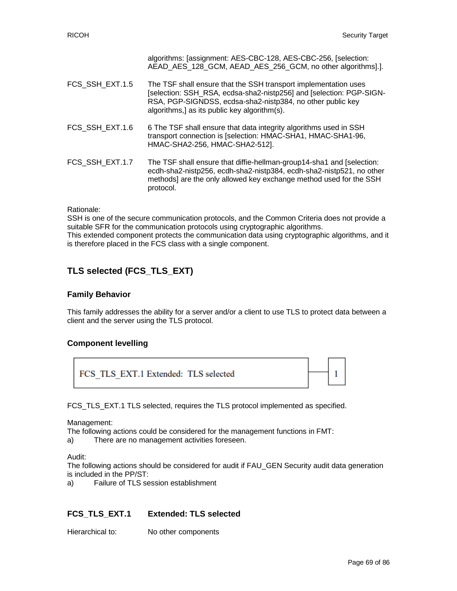|                 | algorithms: [assignment: AES-CBC-128, AES-CBC-256, [selection:<br>AEAD AES_128_GCM, AEAD_AES_256_GCM, no other algorithms].].                                                                                                                        |
|-----------------|------------------------------------------------------------------------------------------------------------------------------------------------------------------------------------------------------------------------------------------------------|
| FCS SSH EXT.1.5 | The TSF shall ensure that the SSH transport implementation uses<br>[selection: SSH RSA, ecdsa-sha2-nistp256] and [selection: PGP-SIGN-<br>RSA, PGP-SIGNDSS, ecdsa-sha2-nistp384, no other public key<br>algorithms,] as its public key algorithm(s). |
| FCS SSH EXT.1.6 | 6 The TSF shall ensure that data integrity algorithms used in SSH<br>transport connection is [selection: HMAC-SHA1, HMAC-SHA1-96,<br>HMAC-SHA2-256, HMAC-SHA2-512].                                                                                  |
| FCS SSH EXT.1.7 | The TSF shall ensure that diffie-hellman-group14-sha1 and [selection:<br>ecdh-sha2-nistp256, ecdh-sha2-nistp384, ecdh-sha2-nistp521, no other<br>methods] are the only allowed key exchange method used for the SSH<br>protocol.                     |

Rationale:

SSH is one of the secure communication protocols, and the Common Criteria does not provide a suitable SFR for the communication protocols using cryptographic algorithms. This extended component protects the communication data using cryptographic algorithms, and it is therefore placed in the FCS class with a single component.

# **TLS selected (FCS\_TLS\_EXT)**

#### **Family Behavior**

This family addresses the ability for a server and/or a client to use TLS to protect data between a client and the server using the TLS protocol.

#### **Component levelling**



FCS\_TLS\_EXT.1 TLS selected, requires the TLS protocol implemented as specified.

Management:

The following actions could be considered for the management functions in FMT:

a) There are no management activities foreseen.

Audit:

The following actions should be considered for audit if FAU\_GEN Security audit data generation is included in the PP/ST:

a) Failure of TLS session establishment

#### **FCS\_TLS\_EXT.1 Extended: TLS selected**

Hierarchical to: No other components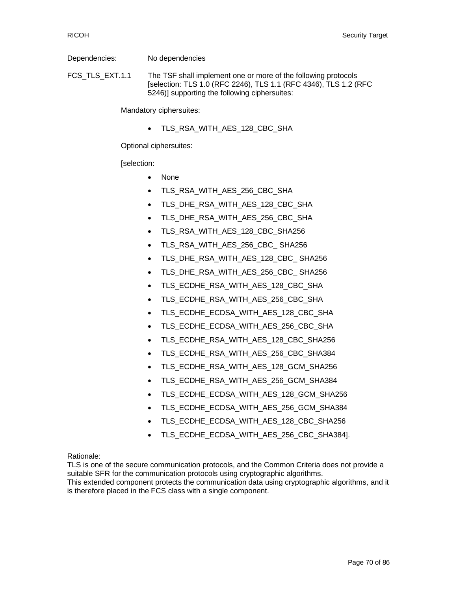Dependencies: No dependencies

FCS\_TLS\_EXT.1.1 The TSF shall implement one or more of the following protocols [selection: TLS 1.0 (RFC 2246), TLS 1.1 (RFC 4346), TLS 1.2 (RFC 5246)] supporting the following ciphersuites:

Mandatory ciphersuites:

• TLS\_RSA\_WITH\_AES\_128\_CBC\_SHA

Optional ciphersuites:

[selection:

- None
- TLS\_RSA\_WITH\_AES\_256\_CBC\_SHA
- TLS\_DHE\_RSA\_WITH\_AES\_128\_CBC\_SHA
- TLS\_DHE\_RSA\_WITH\_AES\_256\_CBC\_SHA
- TLS\_RSA\_WITH\_AES\_128\_CBC\_SHA256
- TLS\_RSA\_WITH\_AES\_256\_CBC\_ SHA256
- TLS\_DHE\_RSA\_WITH\_AES\_128\_CBC\_ SHA256
- TLS\_DHE\_RSA\_WITH\_AES\_256\_CBC\_ SHA256
- TLS\_ECDHE\_RSA\_WITH\_AES\_128\_CBC\_SHA
- TLS\_ECDHE\_RSA\_WITH\_AES\_256\_CBC\_SHA
- TLS ECDHE\_ECDSA\_WITH\_AES\_128\_CBC\_SHA
- TLS\_ECDHE\_ECDSA\_WITH\_AES\_256\_CBC\_SHA
- TLS\_ECDHE\_RSA\_WITH\_AES\_128\_CBC\_SHA256
- TLS\_ECDHE\_RSA\_WITH\_AES\_256\_CBC\_SHA384
- TLS\_ECDHE\_RSA\_WITH\_AES\_128\_GCM\_SHA256
- TLS\_ECDHE\_RSA\_WITH\_AES\_256\_GCM\_SHA384
- TLS\_ECDHE\_ECDSA\_WITH\_AES\_128\_GCM\_SHA256
- TLS\_ECDHE\_ECDSA\_WITH\_AES\_256\_GCM\_SHA384
- TLS\_ECDHE\_ECDSA\_WITH\_AES\_128\_CBC\_SHA256
- TLS\_ECDHE\_ECDSA\_WITH\_AES\_256\_CBC\_SHA384].

Rationale:

TLS is one of the secure communication protocols, and the Common Criteria does not provide a suitable SFR for the communication protocols using cryptographic algorithms. This extended component protects the communication data using cryptographic algorithms, and it is therefore placed in the FCS class with a single component.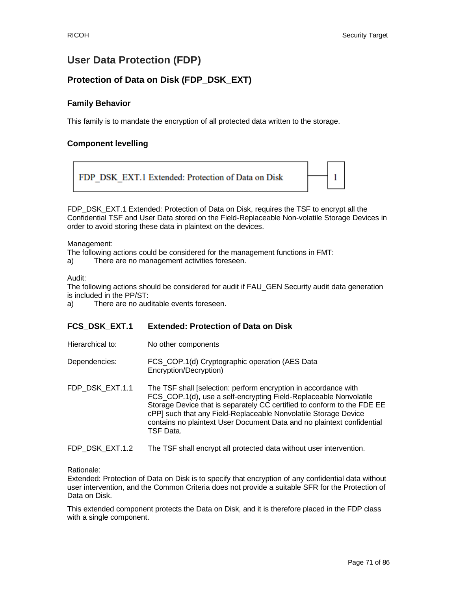1

# **User Data Protection (FDP)**

# **Protection of Data on Disk (FDP\_DSK\_EXT)**

### **Family Behavior**

This family is to mandate the encryption of all protected data written to the storage.

### **Component levelling**

FDP DSK EXT.1 Extended: Protection of Data on Disk

FDP\_DSK\_EXT.1 Extended: Protection of Data on Disk, requires the TSF to encrypt all the Confidential TSF and User Data stored on the Field-Replaceable Non-volatile Storage Devices in order to avoid storing these data in plaintext on the devices.

#### Management:

The following actions could be considered for the management functions in FMT:

a) There are no management activities foreseen.

#### Audit:

The following actions should be considered for audit if FAU\_GEN Security audit data generation is included in the PP/ST:

a) There are no auditable events foreseen.

#### **FCS\_DSK\_EXT.1 Extended: Protection of Data on Disk**

- Hierarchical to: No other components
- Dependencies: FCS\_COP.1(d) Cryptographic operation (AES Data Encryption/Decryption)
- FDP\_DSK\_EXT.1.1 The TSF shall [selection: perform encryption in accordance with FCS\_COP.1(d), use a self-encrypting Field-Replaceable Nonvolatile Storage Device that is separately CC certified to conform to the FDE EE cPP] such that any Field-Replaceable Nonvolatile Storage Device contains no plaintext User Document Data and no plaintext confidential TSF Data.

#### FDP\_DSK\_EXT.1.2 The TSF shall encrypt all protected data without user intervention.

#### Rationale:

Extended: Protection of Data on Disk is to specify that encryption of any confidential data without user intervention, and the Common Criteria does not provide a suitable SFR for the Protection of Data on Disk.

This extended component protects the Data on Disk, and it is therefore placed in the FDP class with a single component.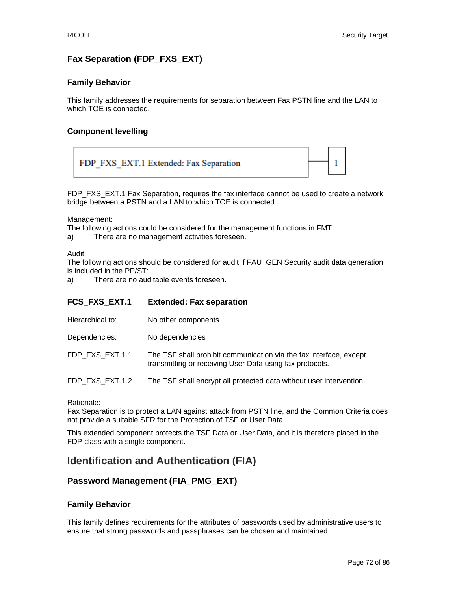# **Fax Separation (FDP\_FXS\_EXT)**

#### **Family Behavior**

This family addresses the requirements for separation between Fax PSTN line and the LAN to which TOE is connected.

#### **Component levelling**



FDP\_FXS\_EXT.1 Fax Separation, requires the fax interface cannot be used to create a network bridge between a PSTN and a LAN to which TOE is connected.

Management:

The following actions could be considered for the management functions in FMT:

a) There are no management activities foreseen.

Audit:

The following actions should be considered for audit if FAU\_GEN Security audit data generation is included in the PP/ST:

a) There are no auditable events foreseen.

#### **FCS\_FXS\_EXT.1 Extended: Fax separation**

- Hierarchical to: No other components
- Dependencies: No dependencies

FDP\_FXS\_EXT.1.1 The TSF shall prohibit communication via the fax interface, except transmitting or receiving User Data using fax protocols.

FDP\_FXS\_EXT.1.2 The TSF shall encrypt all protected data without user intervention.

Rationale:

Fax Separation is to protect a LAN against attack from PSTN line, and the Common Criteria does not provide a suitable SFR for the Protection of TSF or User Data.

This extended component protects the TSF Data or User Data, and it is therefore placed in the FDP class with a single component.

# **Identification and Authentication (FIA)**

#### **Password Management (FIA\_PMG\_EXT)**

#### **Family Behavior**

This family defines requirements for the attributes of passwords used by administrative users to ensure that strong passwords and passphrases can be chosen and maintained.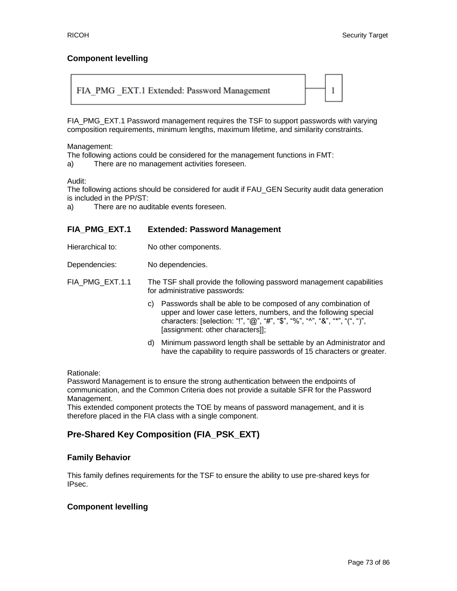## **Component levelling**



FIA\_PMG\_EXT.1 Password management requires the TSF to support passwords with varying composition requirements, minimum lengths, maximum lifetime, and similarity constraints.

Management:

The following actions could be considered for the management functions in FMT:

a) There are no management activities foreseen.

## Audit:

The following actions should be considered for audit if FAU\_GEN Security audit data generation is included in the PP/ST:

a) There are no auditable events foreseen.

## **FIA\_PMG\_EXT.1 Extended: Password Management**

Hierarchical to: No other components.

Dependencies: No dependencies.

FIA\_PMG\_EXT.1.1 The TSF shall provide the following password management capabilities for administrative passwords:

- c) Passwords shall be able to be composed of any combination of upper and lower case letters, numbers, and the following special characters: [selection: "!", "@", "#", "\$", "%", "^", "&", "\*", "(", ")", [assignment: other characters]];
- d) Minimum password length shall be settable by an Administrator and have the capability to require passwords of 15 characters or greater.

Rationale:

Password Management is to ensure the strong authentication between the endpoints of communication, and the Common Criteria does not provide a suitable SFR for the Password Management.

This extended component protects the TOE by means of password management, and it is therefore placed in the FIA class with a single component.

# **Pre-Shared Key Composition (FIA\_PSK\_EXT)**

## **Family Behavior**

This family defines requirements for the TSF to ensure the ability to use pre-shared keys for IPsec.

## **Component levelling**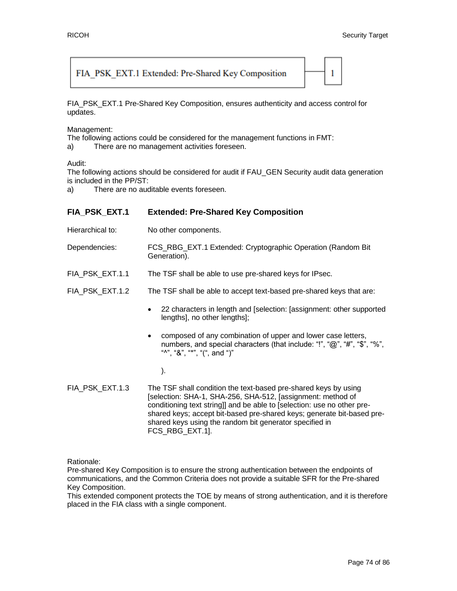## FIA PSK EXT.1 Extended: Pre-Shared Key Composition



FIA\_PSK\_EXT.1 Pre-Shared Key Composition, ensures authenticity and access control for updates.

Management:

The following actions could be considered for the management functions in FMT:

a) There are no management activities foreseen.

## Audit:

The following actions should be considered for audit if FAU\_GEN Security audit data generation is included in the PP/ST:

a) There are no auditable events foreseen.

| FIA_PSK_EXT.1    | <b>Extended: Pre-Shared Key Composition</b>                                                                                                                                 |
|------------------|-----------------------------------------------------------------------------------------------------------------------------------------------------------------------------|
| Hierarchical to: | No other components.                                                                                                                                                        |
| Dependencies:    | FCS_RBG_EXT.1 Extended: Cryptographic Operation (Random Bit)<br>Generation).                                                                                                |
| FIA_PSK_EXT.1.1  | The TSF shall be able to use pre-shared keys for IPsec.                                                                                                                     |
| FIA_PSK_EXT.1.2  | The TSF shall be able to accept text-based pre-shared keys that are:                                                                                                        |
|                  | 22 characters in length and [selection: [assignment: other supported<br>lengths], no other lengths];                                                                        |
|                  | composed of any combination of upper and lower case letters,<br>٠<br>numbers, and special characters (that include: "!", "@", "#", "\$", "%",<br>"", "&", "*", "(", and ")" |
|                  |                                                                                                                                                                             |

FIA PSK EXT.1.3 The TSF shall condition the text-based pre-shared keys by using [selection: SHA-1, SHA-256, SHA-512, [assignment: method of conditioning text string]] and be able to [selection: use no other preshared keys; accept bit-based pre-shared keys; generate bit-based preshared keys using the random bit generator specified in FCS\_RBG\_EXT.1].

Rationale:

Pre-shared Key Composition is to ensure the strong authentication between the endpoints of communications, and the Common Criteria does not provide a suitable SFR for the Pre-shared Key Composition.

This extended component protects the TOE by means of strong authentication, and it is therefore placed in the FIA class with a single component.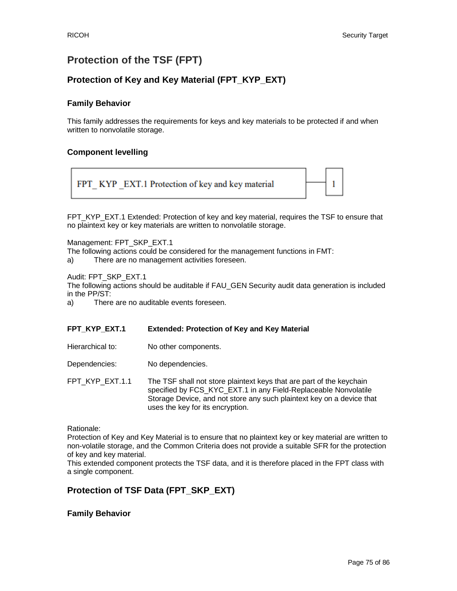# **Protection of the TSF (FPT)**

# **Protection of Key and Key Material (FPT\_KYP\_EXT)**

## **Family Behavior**

This family addresses the requirements for keys and key materials to be protected if and when written to nonvolatile storage.

## **Component levelling**



FPT\_KYP\_EXT.1 Extended: Protection of key and key material, requires the TSF to ensure that no plaintext key or key materials are written to nonvolatile storage.

Management: FPT\_SKP\_EXT.1

The following actions could be considered for the management functions in FMT:

a) There are no management activities foreseen.

Audit: FPT\_SKP\_EXT.1

The following actions should be auditable if FAU\_GEN Security audit data generation is included in the PP/ST:

a) There are no auditable events foreseen.

## **FPT\_KYP\_EXT.1 Extended: Protection of Key and Key Material**

Hierarchical to: No other components.

Dependencies: No dependencies.

FPT\_KYP\_EXT.1.1 The TSF shall not store plaintext keys that are part of the keychain specified by FCS\_KYC\_EXT.1 in any Field-Replaceable Nonvolatile Storage Device, and not store any such plaintext key on a device that uses the key for its encryption.

Rationale:

Protection of Key and Key Material is to ensure that no plaintext key or key material are written to non-volatile storage, and the Common Criteria does not provide a suitable SFR for the protection of key and key material.

This extended component protects the TSF data, and it is therefore placed in the FPT class with a single component.

## **Protection of TSF Data (FPT\_SKP\_EXT)**

## **Family Behavior**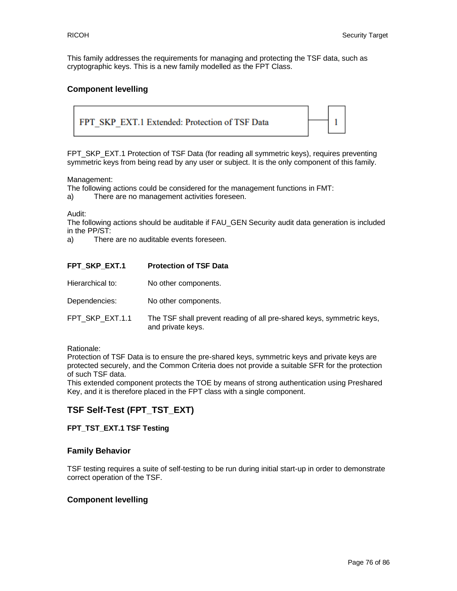This family addresses the requirements for managing and protecting the TSF data, such as cryptographic keys. This is a new family modelled as the FPT Class.

## **Component levelling**



FPT\_SKP\_EXT.1 Protection of TSF Data (for reading all symmetric keys), requires preventing symmetric keys from being read by any user or subject. It is the only component of this family.

Management:

The following actions could be considered for the management functions in FMT:

a) There are no management activities foreseen.

Audit:

The following actions should be auditable if FAU\_GEN Security audit data generation is included in the PP/ST:

a) There are no auditable events foreseen.

| FPT SKP EXT.1    | <b>Protection of TSF Data</b>                                                              |
|------------------|--------------------------------------------------------------------------------------------|
| Hierarchical to: | No other components.                                                                       |
| Dependencies:    | No other components.                                                                       |
| FPT SKP EXT.1.1  | The TSF shall prevent reading of all pre-shared keys, symmetric keys,<br>and private keys. |

Rationale:

Protection of TSF Data is to ensure the pre-shared keys, symmetric keys and private keys are protected securely, and the Common Criteria does not provide a suitable SFR for the protection of such TSF data.

This extended component protects the TOE by means of strong authentication using Preshared Key, and it is therefore placed in the FPT class with a single component.

## **TSF Self-Test (FPT\_TST\_EXT)**

## **FPT\_TST\_EXT.1 TSF Testing**

## **Family Behavior**

TSF testing requires a suite of self-testing to be run during initial start-up in order to demonstrate correct operation of the TSF.

## **Component levelling**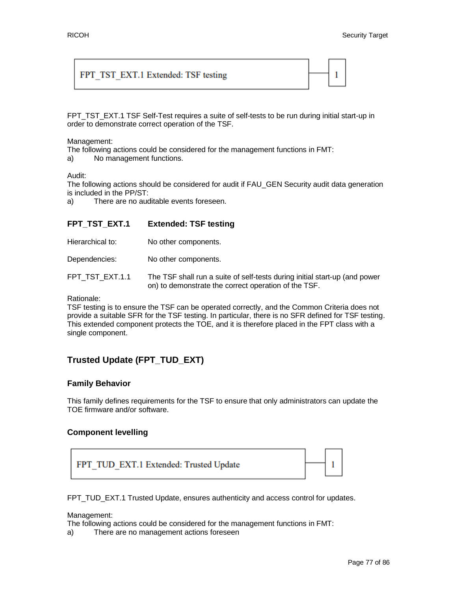## FPT TST EXT.1 Extended: TSF testing



FPT\_TST\_EXT.1 TSF Self-Test requires a suite of self-tests to be run during initial start-up in order to demonstrate correct operation of the TSF.

#### Management:

The following actions could be considered for the management functions in FMT:

a) No management functions.

#### Audit:

The following actions should be considered for audit if FAU\_GEN Security audit data generation is included in the PP/ST:

a) There are no auditable events foreseen.

## **FPT\_TST\_EXT.1 Extended: TSF testing**

| Hierarchical to: | No other components. |
|------------------|----------------------|
|------------------|----------------------|

Dependencies: No other components.

FPT\_TST\_EXT.1.1 The TSF shall run a suite of self-tests during initial start-up (and power on) to demonstrate the correct operation of the TSF.

Rationale:

TSF testing is to ensure the TSF can be operated correctly, and the Common Criteria does not provide a suitable SFR for the TSF testing. In particular, there is no SFR defined for TSF testing. This extended component protects the TOE, and it is therefore placed in the FPT class with a single component.

# **Trusted Update (FPT\_TUD\_EXT)**

## **Family Behavior**

This family defines requirements for the TSF to ensure that only administrators can update the TOE firmware and/or software.

## **Component levelling**



FPT\_TUD\_EXT.1 Trusted Update, ensures authenticity and access control for updates.

Management:

The following actions could be considered for the management functions in FMT:

a) There are no management actions foreseen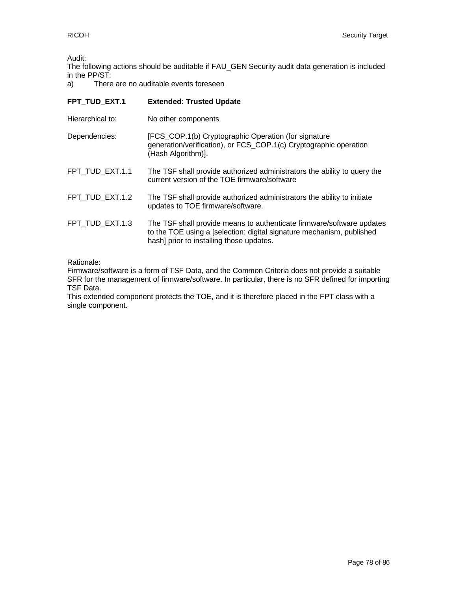Audit:

The following actions should be auditable if FAU\_GEN Security audit data generation is included in the PP/ST:

a) There are no auditable events foreseen

| FPT TUD EXT.1    | <b>Extended: Trusted Update</b>                                                                                                                                                            |
|------------------|--------------------------------------------------------------------------------------------------------------------------------------------------------------------------------------------|
| Hierarchical to: | No other components                                                                                                                                                                        |
| Dependencies:    | [FCS_COP.1(b) Cryptographic Operation (for signature<br>generation/verification), or FCS_COP.1(c) Cryptographic operation<br>(Hash Algorithm)].                                            |
| FPT TUD EXT.1.1  | The TSF shall provide authorized administrators the ability to query the<br>current version of the TOE firmware/software                                                                   |
| FPT TUD EXT.1.2  | The TSF shall provide authorized administrators the ability to initiate<br>updates to TOE firmware/software.                                                                               |
| FPT_TUD_EXT.1.3  | The TSF shall provide means to authenticate firmware/software updates<br>to the TOE using a [selection: digital signature mechanism, published<br>hash] prior to installing those updates. |

Rationale:

Firmware/software is a form of TSF Data, and the Common Criteria does not provide a suitable SFR for the management of firmware/software. In particular, there is no SFR defined for importing TSF Data.

This extended component protects the TOE, and it is therefore placed in the FPT class with a single component.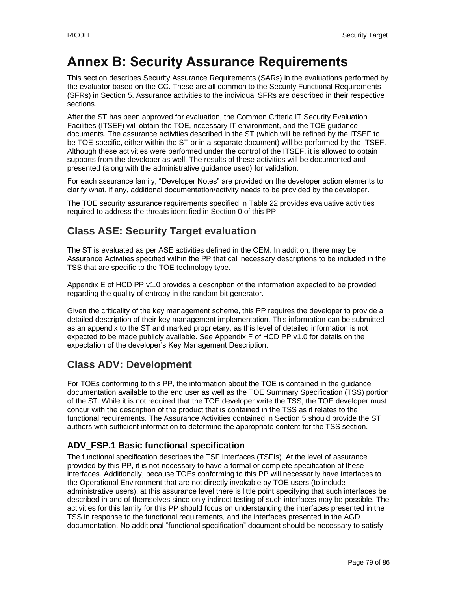# **Annex B: Security Assurance Requirements**

This section describes Security Assurance Requirements (SARs) in the evaluations performed by the evaluator based on the CC. These are all common to the Security Functional Requirements (SFRs) in Section 5. Assurance activities to the individual SFRs are described in their respective sections.

After the ST has been approved for evaluation, the Common Criteria IT Security Evaluation Facilities (ITSEF) will obtain the TOE, necessary IT environment, and the TOE guidance documents. The assurance activities described in the ST (which will be refined by the ITSEF to be TOE-specific, either within the ST or in a separate document) will be performed by the ITSEF. Although these activities were performed under the control of the ITSEF, it is allowed to obtain supports from the developer as well. The results of these activities will be documented and presented (along with the administrative guidance used) for validation.

For each assurance family, "Developer Notes" are provided on the developer action elements to clarify what, if any, additional documentation/activity needs to be provided by the developer.

The TOE security assurance requirements specified in [Table 22](#page-40-0) provides evaluative activities required to address the threats identified in Section 0 of this PP.

# **Class ASE: Security Target evaluation**

The ST is evaluated as per ASE activities defined in the CEM. In addition, there may be Assurance Activities specified within the PP that call necessary descriptions to be included in the TSS that are specific to the TOE technology type.

Appendix E of HCD PP v1.0 provides a description of the information expected to be provided regarding the quality of entropy in the random bit generator.

Given the criticality of the key management scheme, this PP requires the developer to provide a detailed description of their key management implementation. This information can be submitted as an appendix to the ST and marked proprietary, as this level of detailed information is not expected to be made publicly available. See Appendix F of HCD PP v1.0 for details on the expectation of the developer's Key Management Description.

# **Class ADV: Development**

For TOEs conforming to this PP, the information about the TOE is contained in the guidance documentation available to the end user as well as the TOE Summary Specification (TSS) portion of the ST. While it is not required that the TOE developer write the TSS, the TOE developer must concur with the description of the product that is contained in the TSS as it relates to the functional requirements. The Assurance Activities contained in Section 5 should provide the ST authors with sufficient information to determine the appropriate content for the TSS section.

# **ADV\_FSP.1 Basic functional specification**

The functional specification describes the TSF Interfaces (TSFIs). At the level of assurance provided by this PP, it is not necessary to have a formal or complete specification of these interfaces. Additionally, because TOEs conforming to this PP will necessarily have interfaces to the Operational Environment that are not directly invokable by TOE users (to include administrative users), at this assurance level there is little point specifying that such interfaces be described in and of themselves since only indirect testing of such interfaces may be possible. The activities for this family for this PP should focus on understanding the interfaces presented in the TSS in response to the functional requirements, and the interfaces presented in the AGD documentation. No additional "functional specification" document should be necessary to satisfy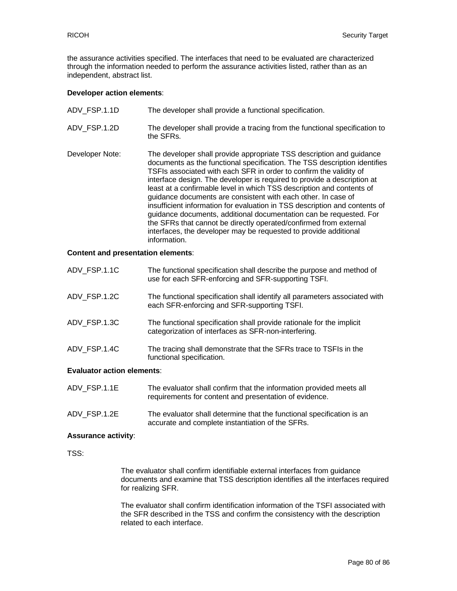the assurance activities specified. The interfaces that need to be evaluated are characterized through the information needed to perform the assurance activities listed, rather than as an independent, abstract list.

#### **Developer action elements**:

| ADV FSP.1.1D    | The developer shall provide a functional specification.                                                                                                                                                                                                                                                                                                                                                                                                                                                                                                                                                                                                                                                                                                   |
|-----------------|-----------------------------------------------------------------------------------------------------------------------------------------------------------------------------------------------------------------------------------------------------------------------------------------------------------------------------------------------------------------------------------------------------------------------------------------------------------------------------------------------------------------------------------------------------------------------------------------------------------------------------------------------------------------------------------------------------------------------------------------------------------|
| ADV FSP.1.2D    | The developer shall provide a tracing from the functional specification to<br>the SFRs.                                                                                                                                                                                                                                                                                                                                                                                                                                                                                                                                                                                                                                                                   |
| Developer Note: | The developer shall provide appropriate TSS description and guidance<br>documents as the functional specification. The TSS description identifies<br>TSFIs associated with each SFR in order to confirm the validity of<br>interface design. The developer is required to provide a description at<br>least at a confirmable level in which TSS description and contents of<br>guidance documents are consistent with each other. In case of<br>insufficient information for evaluation in TSS description and contents of<br>guidance documents, additional documentation can be requested. For<br>the SFRs that cannot be directly operated/confirmed from external<br>interfaces, the developer may be requested to provide additional<br>information. |

#### **Content and presentation elements**:

| <b>Evaluator action elements:</b> |                                                                                                                               |
|-----------------------------------|-------------------------------------------------------------------------------------------------------------------------------|
| ADV FSP.1.4C                      | The tracing shall demonstrate that the SFRs trace to TSFIs in the<br>functional specification.                                |
| ADV FSP.1.3C                      | The functional specification shall provide rationale for the implicit<br>categorization of interfaces as SFR-non-interfering. |
| ADV FSP.1.2C                      | The functional specification shall identify all parameters associated with<br>each SFR-enforcing and SFR-supporting TSFI.     |
| ADV FSP.1.1C                      | The functional specification shall describe the purpose and method of<br>use for each SFR-enforcing and SFR-supporting TSFI.  |

# ADV\_FSP.1.1E The evaluator shall confirm that the information provided meets all requirements for content and presentation of evidence.

ADV\_FSP.1.2E The evaluator shall determine that the functional specification is an accurate and complete instantiation of the SFRs.

#### **Assurance activity**:

TSS:

The evaluator shall confirm identifiable external interfaces from guidance documents and examine that TSS description identifies all the interfaces required for realizing SFR.

The evaluator shall confirm identification information of the TSFI associated with the SFR described in the TSS and confirm the consistency with the description related to each interface.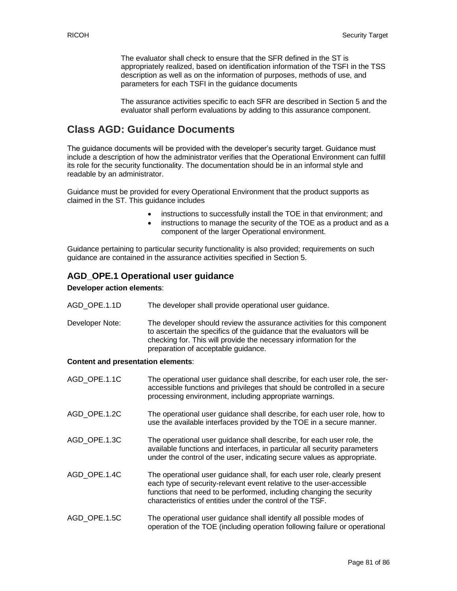The evaluator shall check to ensure that the SFR defined in the ST is appropriately realized, based on identification information of the TSFI in the TSS description as well as on the information of purposes, methods of use, and parameters for each TSFI in the guidance documents

The assurance activities specific to each SFR are described in Section 5 and the evaluator shall perform evaluations by adding to this assurance component.

# **Class AGD: Guidance Documents**

The guidance documents will be provided with the developer's security target. Guidance must include a description of how the administrator verifies that the Operational Environment can fulfill its role for the security functionality. The documentation should be in an informal style and readable by an administrator.

Guidance must be provided for every Operational Environment that the product supports as claimed in the ST. This guidance includes

- instructions to successfully install the TOE in that environment; and
- instructions to manage the security of the TOE as a product and as a component of the larger Operational environment.

Guidance pertaining to particular security functionality is also provided; requirements on such guidance are contained in the assurance activities specified in Section 5.

## **AGD\_OPE.1 Operational user guidance**

#### **Developer action elements**:

- AGD OPE.1.1D The developer shall provide operational user guidance.
- Developer Note: The developer should review the assurance activities for this component to ascertain the specifics of the guidance that the evaluators will be checking for. This will provide the necessary information for the preparation of acceptable guidance.

#### **Content and presentation elements**:

| AGD OPE.1.1C | The operational user guidance shall describe, for each user role, the ser-<br>accessible functions and privileges that should be controlled in a secure<br>processing environment, including appropriate warnings.                                                                    |
|--------------|---------------------------------------------------------------------------------------------------------------------------------------------------------------------------------------------------------------------------------------------------------------------------------------|
| AGD OPE.1.2C | The operational user guidance shall describe, for each user role, how to<br>use the available interfaces provided by the TOE in a secure manner.                                                                                                                                      |
| AGD OPE.1.3C | The operational user guidance shall describe, for each user role, the<br>available functions and interfaces, in particular all security parameters<br>under the control of the user, indicating secure values as appropriate.                                                         |
| AGD OPE.1.4C | The operational user guidance shall, for each user role, clearly present<br>each type of security-relevant event relative to the user-accessible<br>functions that need to be performed, including changing the security<br>characteristics of entities under the control of the TSF. |
| AGD OPE.1.5C | The operational user guidance shall identify all possible modes of<br>operation of the TOE (including operation following failure or operational                                                                                                                                      |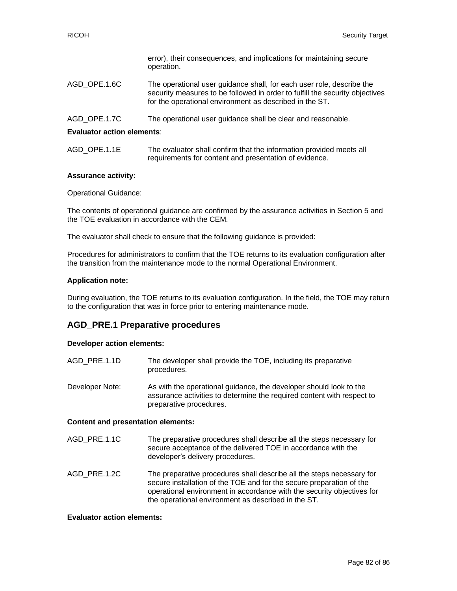|              | error), their consequences, and implications for maintaining secure<br>operation.                                                                                                                                |
|--------------|------------------------------------------------------------------------------------------------------------------------------------------------------------------------------------------------------------------|
| AGD OPE.1.6C | The operational user guidance shall, for each user role, describe the<br>security measures to be followed in order to fulfill the security objectives<br>for the operational environment as described in the ST. |
| AGD OPE.1.7C | The operational user guidance shall be clear and reasonable.                                                                                                                                                     |

#### **Evaluator action elements**:

| AGD OPE.1.1E | The evaluator shall confirm that the information provided meets all |
|--------------|---------------------------------------------------------------------|
|              | requirements for content and presentation of evidence.              |

#### **Assurance activity:**

Operational Guidance:

The contents of operational guidance are confirmed by the assurance activities in Section 5 and the TOE evaluation in accordance with the CEM.

The evaluator shall check to ensure that the following guidance is provided:

Procedures for administrators to confirm that the TOE returns to its evaluation configuration after the transition from the maintenance mode to the normal Operational Environment.

#### **Application note:**

During evaluation, the TOE returns to its evaluation configuration. In the field, the TOE may return to the configuration that was in force prior to entering maintenance mode.

## **AGD\_PRE.1 Preparative procedures**

#### **Developer action elements:**

| AGD PRE.1.1D    | The developer shall provide the TOE, including its preparative<br>procedures.                                                                                           |
|-----------------|-------------------------------------------------------------------------------------------------------------------------------------------------------------------------|
| Developer Note: | As with the operational guidance, the developer should look to the<br>assurance activities to determine the required content with respect to<br>preparative procedures. |

#### **Content and presentation elements:**

- AGD\_PRE.1.1C The preparative procedures shall describe all the steps necessary for secure acceptance of the delivered TOE in accordance with the developer's delivery procedures.
- AGD PRE.1.2C The preparative procedures shall describe all the steps necessary for secure installation of the TOE and for the secure preparation of the operational environment in accordance with the security objectives for the operational environment as described in the ST.

#### **Evaluator action elements:**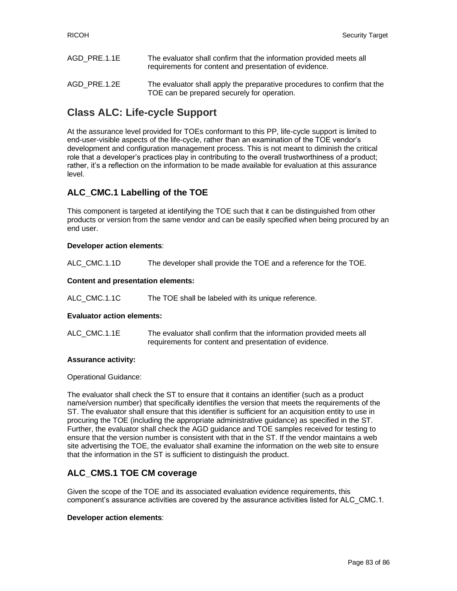| AGD PRE.1.1E | The evaluator shall confirm that the information provided meets all<br>requirements for content and presentation of evidence. |
|--------------|-------------------------------------------------------------------------------------------------------------------------------|
| AGD PRE.1.2E | The evaluator shall apply the preparative procedures to confirm that the<br>TOE can be prepared securely for operation.       |

# **Class ALC: Life-cycle Support**

At the assurance level provided for TOEs conformant to this PP, life-cycle support is limited to end-user-visible aspects of the life-cycle, rather than an examination of the TOE vendor's development and configuration management process. This is not meant to diminish the critical role that a developer's practices play in contributing to the overall trustworthiness of a product; rather, it's a reflection on the information to be made available for evaluation at this assurance level.

## **ALC\_CMC.1 Labelling of the TOE**

This component is targeted at identifying the TOE such that it can be distinguished from other products or version from the same vendor and can be easily specified when being procured by an end user.

## **Developer action elements**:

ALC\_CMC.1.1D The developer shall provide the TOE and a reference for the TOE.

## **Content and presentation elements:**

ALC\_CMC.1.1C The TOE shall be labeled with its unique reference.

#### **Evaluator action elements:**

ALC\_CMC.1.1E The evaluator shall confirm that the information provided meets all requirements for content and presentation of evidence.

#### **Assurance activity:**

Operational Guidance:

The evaluator shall check the ST to ensure that it contains an identifier (such as a product name/version number) that specifically identifies the version that meets the requirements of the ST. The evaluator shall ensure that this identifier is sufficient for an acquisition entity to use in procuring the TOE (including the appropriate administrative guidance) as specified in the ST. Further, the evaluator shall check the AGD guidance and TOE samples received for testing to ensure that the version number is consistent with that in the ST. If the vendor maintains a web site advertising the TOE, the evaluator shall examine the information on the web site to ensure that the information in the ST is sufficient to distinguish the product.

## **ALC\_CMS.1 TOE CM coverage**

Given the scope of the TOE and its associated evaluation evidence requirements, this component's assurance activities are covered by the assurance activities listed for ALC\_CMC.1.

#### **Developer action elements**: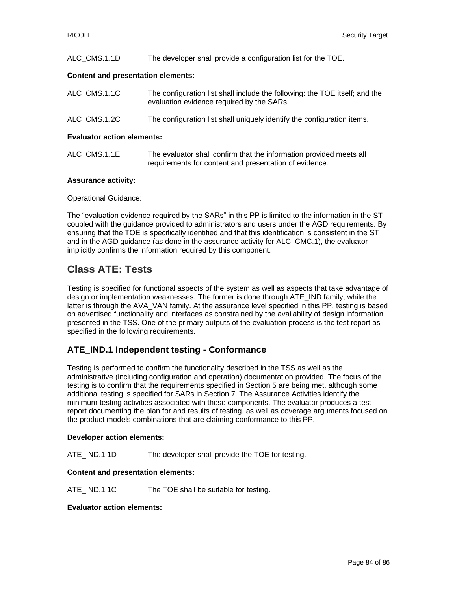| ALC CMS.1.1D                                                               | The developer shall provide a configuration list for the TOE.              |
|----------------------------------------------------------------------------|----------------------------------------------------------------------------|
| Content and presentation elements:                                         |                                                                            |
| $\overline{M}$ $\overline{M}$ $\overline{M}$ $\overline{M}$ $\overline{M}$ | The configuration list aboll include the following the TOE itaalf, and the |

| ALU UMS.I.IU | The configuration list shall include the following: the TOE fiself, and the<br>evaluation evidence required by the SARs. |
|--------------|--------------------------------------------------------------------------------------------------------------------------|
| ALC CMS.1.2C | The configuration list shall uniquely identify the configuration items.                                                  |

#### **Evaluator action elements:**

| ALC CMS.1.1E | The evaluator shall confirm that the information provided meets all |
|--------------|---------------------------------------------------------------------|
|              | requirements for content and presentation of evidence.              |

## **Assurance activity:**

Operational Guidance:

The "evaluation evidence required by the SARs" in this PP is limited to the information in the ST coupled with the guidance provided to administrators and users under the AGD requirements. By ensuring that the TOE is specifically identified and that this identification is consistent in the ST and in the AGD guidance (as done in the assurance activity for ALC\_CMC.1), the evaluator implicitly confirms the information required by this component.

# **Class ATE: Tests**

Testing is specified for functional aspects of the system as well as aspects that take advantage of design or implementation weaknesses. The former is done through ATE\_IND family, while the latter is through the AVA\_VAN family. At the assurance level specified in this PP, testing is based on advertised functionality and interfaces as constrained by the availability of design information presented in the TSS. One of the primary outputs of the evaluation process is the test report as specified in the following requirements.

## **ATE\_IND.1 Independent testing - Conformance**

Testing is performed to confirm the functionality described in the TSS as well as the administrative (including configuration and operation) documentation provided. The focus of the testing is to confirm that the requirements specified in Section 5 are being met, although some additional testing is specified for SARs in Section 7. The Assurance Activities identify the minimum testing activities associated with these components. The evaluator produces a test report documenting the plan for and results of testing, as well as coverage arguments focused on the product models combinations that are claiming conformance to this PP.

## **Developer action elements:**

ATE IND.1.1D The developer shall provide the TOE for testing.

#### **Content and presentation elements:**

ATE IND.1.1C The TOE shall be suitable for testing.

#### **Evaluator action elements:**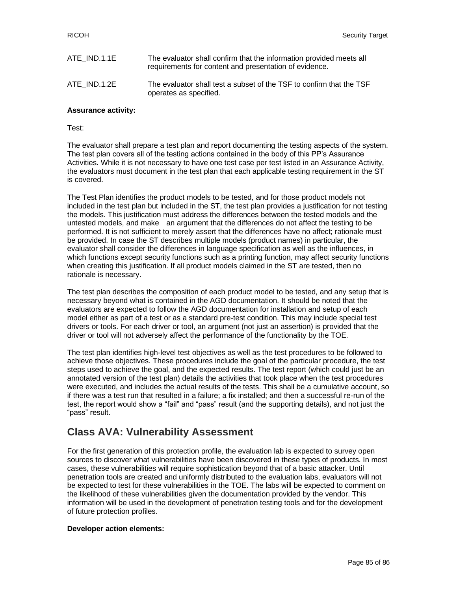| ATE IND.1.1E | The evaluator shall confirm that the information provided meets all<br>requirements for content and presentation of evidence. |
|--------------|-------------------------------------------------------------------------------------------------------------------------------|
| ATE IND.1.2E | The evaluator shall test a subset of the TSF to confirm that the TSF<br>operates as specified.                                |

## **Assurance activity:**

Test:

The evaluator shall prepare a test plan and report documenting the testing aspects of the system. The test plan covers all of the testing actions contained in the body of this PP's Assurance Activities. While it is not necessary to have one test case per test listed in an Assurance Activity, the evaluators must document in the test plan that each applicable testing requirement in the ST is covered.

The Test Plan identifies the product models to be tested, and for those product models not included in the test plan but included in the ST, the test plan provides a justification for not testing the models. This justification must address the differences between the tested models and the untested models, and make an argument that the differences do not affect the testing to be performed. It is not sufficient to merely assert that the differences have no affect; rationale must be provided. In case the ST describes multiple models (product names) in particular, the evaluator shall consider the differences in language specification as well as the influences, in which functions except security functions such as a printing function, may affect security functions when creating this justification. If all product models claimed in the ST are tested, then no rationale is necessary.

The test plan describes the composition of each product model to be tested, and any setup that is necessary beyond what is contained in the AGD documentation. It should be noted that the evaluators are expected to follow the AGD documentation for installation and setup of each model either as part of a test or as a standard pre-test condition. This may include special test drivers or tools. For each driver or tool, an argument (not just an assertion) is provided that the driver or tool will not adversely affect the performance of the functionality by the TOE.

The test plan identifies high-level test objectives as well as the test procedures to be followed to achieve those objectives. These procedures include the goal of the particular procedure, the test steps used to achieve the goal, and the expected results. The test report (which could just be an annotated version of the test plan) details the activities that took place when the test procedures were executed, and includes the actual results of the tests. This shall be a cumulative account, so if there was a test run that resulted in a failure; a fix installed; and then a successful re-run of the test, the report would show a "fail" and "pass" result (and the supporting details), and not just the "pass" result.

# **Class AVA: Vulnerability Assessment**

For the first generation of this protection profile, the evaluation lab is expected to survey open sources to discover what vulnerabilities have been discovered in these types of products. In most cases, these vulnerabilities will require sophistication beyond that of a basic attacker. Until penetration tools are created and uniformly distributed to the evaluation labs, evaluators will not be expected to test for these vulnerabilities in the TOE. The labs will be expected to comment on the likelihood of these vulnerabilities given the documentation provided by the vendor. This information will be used in the development of penetration testing tools and for the development of future protection profiles.

#### **Developer action elements:**